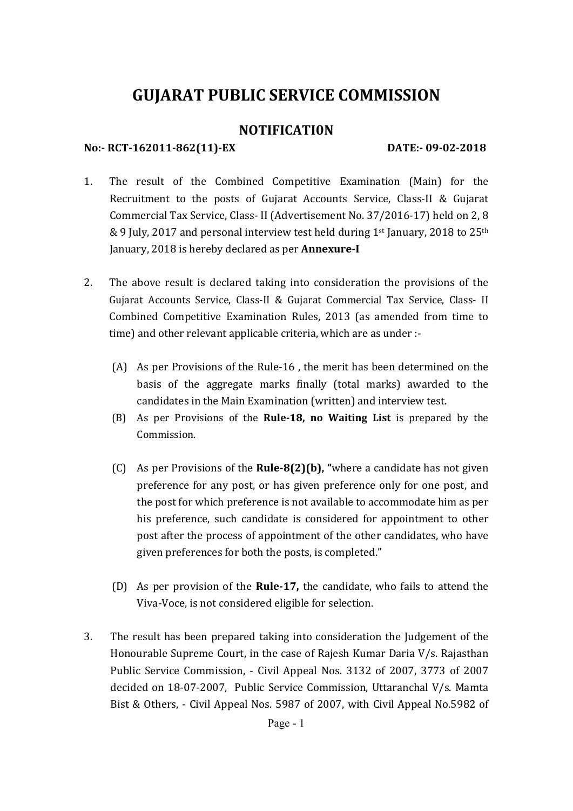# **GUJARAT PUBLIC SERVICE COMMISSION**

# **NOTIFICATI0N**

# **No:‐ RCT‐162011‐862(11)‐EX DATE:‐ 09‐02‐2018**

- 1. The result of the Combined Competitive Examination (Main) for the Recruitment to the posts of Gujarat Accounts Service, Class-II & Gujarat Commercial Tax Service, Class- II (Advertisement No. 37/2016-17) held on 2, 8 & 9 July, 2017 and personal interview test held during 1<sup>st</sup> January, 2018 to 25<sup>th</sup> January, 2018 is hereby declared as per **Annexure‐I**
- 2. The above result is declared taking into consideration the provisions of the Gujarat Accounts Service, Class-II & Gujarat Commercial Tax Service, Class- II Combined Competitive Examination Rules, 2013 (as amended from time to time) and other relevant applicable criteria, which are as under :-
	- (A) As per Provisions of the Rule-16, the merit has been determined on the basis of the aggregate marks finally (total marks) awarded to the candidates in the Main Examination (written) and interview test.
	- (B) As per Provisions of the **Rule‐18, no Waiting List** is prepared by the Commission.
	- (C) As per Provisions of the **Rule-8(2)(b)**, "where a candidate has not given preference for any post, or has given preference only for one post, and the post for which preference is not available to accommodate him as per his preference, such candidate is considered for appointment to other post after the process of appointment of the other candidates, who have given preferences for both the posts, is completed."
	- (D) As per provision of the **Rule-17**, the candidate, who fails to attend the Viva-Voce, is not considered eligible for selection.
- 3. The result has been prepared taking into consideration the Judgement of the Honourable Supreme Court, in the case of Rajesh Kumar Daria  $V/s$ . Rajasthan Public Service Commission, - Civil Appeal Nos. 3132 of 2007, 3773 of 2007 decided on 18-07-2007, Public Service Commission, Uttaranchal V/s. Mamta Bist & Others, - Civil Appeal Nos. 5987 of 2007, with Civil Appeal No.5982 of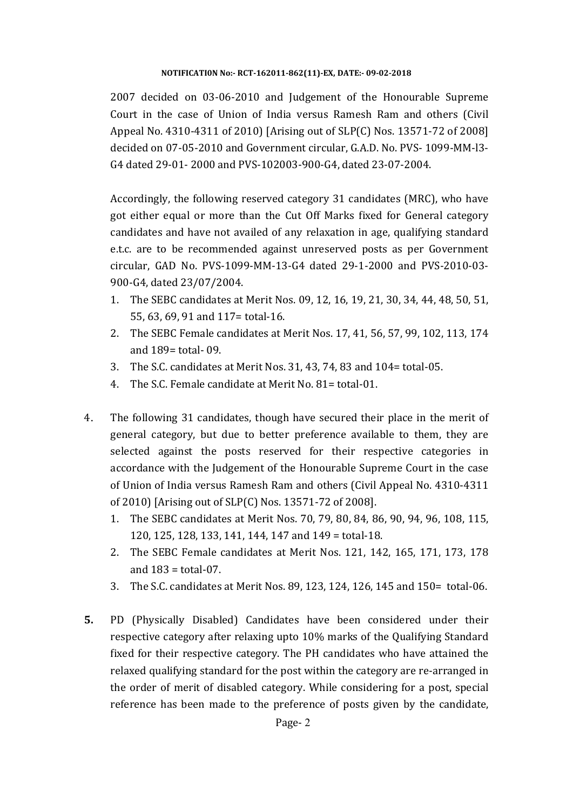2007 decided on 03-06-2010 and Judgement of the Honourable Supreme Court in the case of Union of India versus Ramesh Ram and others (Civil Appeal No. 4310-4311 of 2010) [Arising out of SLP(C) Nos. 13571-72 of 2008] decided on 07-05-2010 and Government circular, G.A.D. No. PVS- 1099-MM-l3-G4 dated 29-01- 2000 and PVS-102003-900-G4, dated 23-07-2004.

Accordingly, the following reserved category 31 candidates (MRC), who have got either equal or more than the Cut Off Marks fixed for General category candidates and have not availed of any relaxation in age, qualifying standard e.t.c. are to be recommended against unreserved posts as per Government circular, GAD No. PVS‐1099‐MM‐13‐G4 dated 29‐1‐2000 and PVS‐2010‐03‐ 900-G4, dated 23/07/2004.

- 1. The SEBC candidates at Merit Nos. 09, 12, 16, 19, 21, 30, 34, 44, 48, 50, 51, 55, 63, 69, 91 and 117= total-16.
- 2. The SEBC Female candidates at Merit Nos. 17, 41, 56, 57, 99, 102, 113, 174 and 189= total- 09.
- 3. The S.C. candidates at Merit Nos. 31, 43, 74, 83 and 104= total-05.
- 4. The S.C. Female candidate at Merit No. 81= total-01.
- 4. The following 31 candidates, though have secured their place in the merit of general category, but due to better preference available to them, they are selected against the posts reserved for their respective categories in accordance with the Judgement of the Honourable Supreme Court in the case of Union of India versus Ramesh Ram and others (Civil Appeal No. 4310-4311 of 2010) [Arising out of SLP(C) Nos. 13571-72 of 2008].
	- 1. The SEBC candidates at Merit Nos. 70, 79, 80, 84, 86, 90, 94, 96, 108, 115,  $120, 125, 128, 133, 141, 144, 147$  and  $149 = total-18$ .
	- 2. The SEBC Female candidates at Merit Nos. 121, 142, 165, 171, 173, 178 and  $183 =$  total-07.
	- 3. The S.C. candidates at Merit Nos. 89, 123, 124, 126, 145 and 150= total-06.
- **5.** PD (Physically Disabled) Candidates have been considered under their respective category after relaxing upto 10% marks of the Qualifying Standard fixed for their respective category. The PH candidates who have attained the relaxed qualifying standard for the post within the category are re-arranged in the order of merit of disabled category. While considering for a post, special reference has been made to the preference of posts given by the candidate,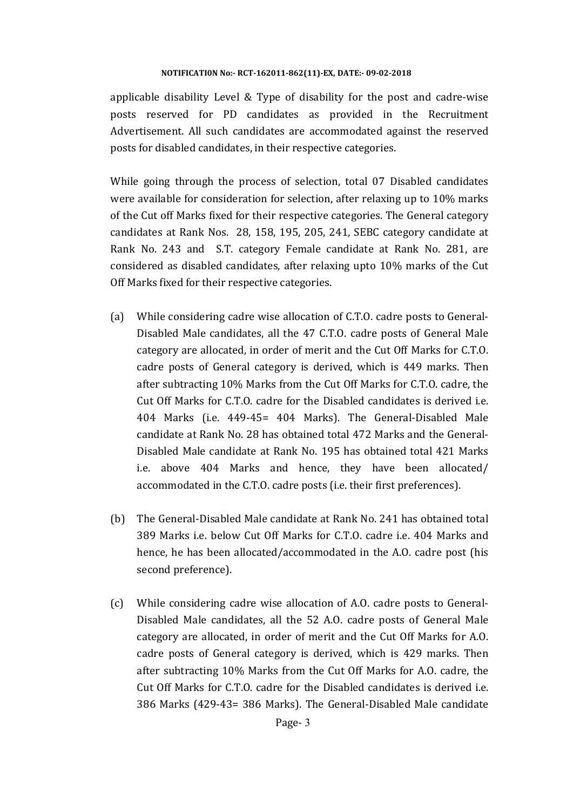applicable disability Level & Type of disability for the post and cadre-wise posts reserved for PD candidates as provided in the Recruitment Advertisement. All such candidates are accommodated against the reserved posts for disabled candidates, in their respective categories.

While going through the process of selection, total 07 Disabled candidates were available for consideration for selection, after relaxing up to  $10\%$  marks of the Cut off Marks fixed for their respective categories. The General category candidates at Rank Nos. 28, 158, 195, 205, 241, SEBC category candidate at Rank No. 243 and S.T. category Female candidate at Rank No. 281, are considered as disabled candidates, after relaxing upto  $10\%$  marks of the Cut Off Marks fixed for their respective categories.

- (a) While considering cadre wise allocation of  $C.T.O.$  cadre posts to General– Disabled Male candidates, all the 47 C.T.O. cadre posts of General Male category are allocated, in order of merit and the Cut Off Marks for C.T.O. cadre posts of General category is derived, which is 449 marks. Then after subtracting 10% Marks from the Cut Off Marks for C.T.O. cadre, the Cut Off Marks for C.T.O. cadre for the Disabled candidates is derived i.e. 404 Marks (i.e. 449-45= 404 Marks). The General-Disabled Male candidate at Rank No. 28 has obtained total 472 Marks and the General-Disabled Male candidate at Rank No. 195 has obtained total 421 Marks i.e. above 404 Marks and hence, they have been allocated/ accommodated in the C.T.O. cadre posts (i.e. their first preferences).
- (b) The General-Disabled Male candidate at Rank No. 241 has obtained total 389 Marks i.e. below Cut Off Marks for C.T.O. cadre i.e. 404 Marks and hence, he has been allocated/accommodated in the A.O. cadre post (his second preference).
- $(c)$  While considering cadre wise allocation of A.O. cadre posts to General-Disabled Male candidates, all the 52 A.O. cadre posts of General Male category are allocated, in order of merit and the Cut Off Marks for A.O. cadre posts of General category is derived, which is 429 marks. Then after subtracting 10% Marks from the Cut Off Marks for A.O. cadre, the Cut Off Marks for C.T.O. cadre for the Disabled candidates is derived i.e. 386 Marks (429-43= 386 Marks). The General-Disabled Male candidate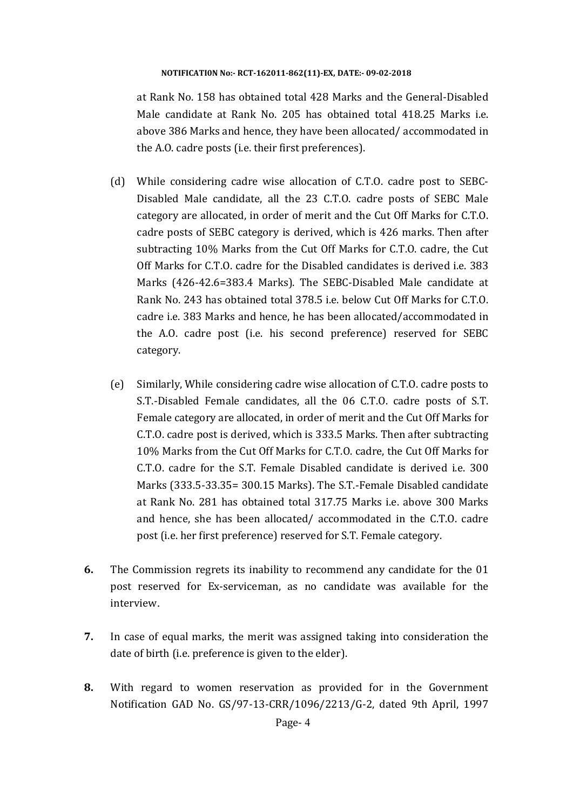at Rank No. 158 has obtained total 428 Marks and the General-Disabled Male candidate at Rank No. 205 has obtained total 418.25 Marks i.e. above 386 Marks and hence, they have been allocated/ accommodated in the A.O. cadre posts (i.e. their first preferences).

- (d) While considering cadre wise allocation of C.T.O. cadre post to SEBC-Disabled Male candidate, all the 23 C.T.O. cadre posts of SEBC Male category are allocated, in order of merit and the Cut Off Marks for C.T.O. cadre posts of SEBC category is derived, which is 426 marks. Then after subtracting  $10\%$  Marks from the Cut Off Marks for C.T.O. cadre, the Cut Off Marks for C.T.O. cadre for the Disabled candidates is derived i.e. 383 Marks (426-42.6=383.4 Marks). The SEBC-Disabled Male candidate at Rank No. 243 has obtained total 378.5 i.e. below Cut Off Marks for C.T.O. cadre i.e. 383 Marks and hence, he has been allocated/accommodated in the A.O. cadre post (i.e. his second preference) reserved for SEBC category.
- (e) Similarly, While considering cadre wise allocation of C.T.O. cadre posts to S.T.-Disabled Female candidates, all the 06 C.T.O. cadre posts of S.T. Female category are allocated, in order of merit and the Cut Off Marks for C.T.O. cadre post is derived, which is 333.5 Marks. Then after subtracting 10% Marks from the Cut Off Marks for C.T.O. cadre, the Cut Off Marks for C.T.O. cadre for the S.T. Female Disabled candidate is derived i.e. 300 Marks (333.5-33.35= 300.15 Marks). The S.T.-Female Disabled candidate at Rank No. 281 has obtained total 317.75 Marks i.e. above 300 Marks and hence, she has been allocated/ accommodated in the C.T.O. cadre post (i.e. her first preference) reserved for S.T. Female category.
- **6.** The Commission regrets its inability to recommend any candidate for the 01 post reserved for Ex-serviceman, as no candidate was available for the interview.
- **7.** In case of equal marks, the merit was assigned taking into consideration the date of birth (i.e. preference is given to the elder).
- **8.** With regard to women reservation as provided for in the Government Notification GAD No. GS/97-13-CRR/1096/2213/G-2, dated 9th April, 1997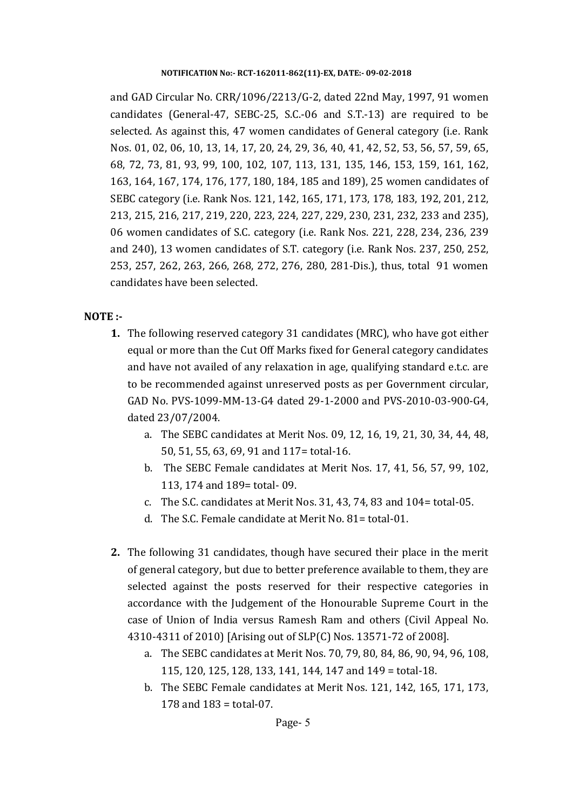and GAD Circular No. CRR/1096/2213/G-2, dated 22nd May, 1997, 91 women candidates (General-47, SEBC-25, S.C.-06 and S.T.-13) are required to be selected. As against this, 47 women candidates of General category (i.e. Rank Nos. 01, 02, 06, 10, 13, 14, 17, 20, 24, 29, 36, 40, 41, 42, 52, 53, 56, 57, 59, 65, 68, 72, 73, 81, 93, 99, 100, 102, 107, 113, 131, 135, 146, 153, 159, 161, 162, 163, 164, 167, 174, 176, 177, 180, 184, 185 and 189), 25 women candidates of SEBC category (i.e. Rank Nos. 121, 142, 165, 171, 173, 178, 183, 192, 201, 212, 213, 215, 216, 217, 219, 220, 223, 224, 227, 229, 230, 231, 232, 233 and 235), 06 women candidates of S.C. category (i.e. Rank Nos. 221, 228, 234, 236, 239 and  $240$ , 13 women candidates of S.T. category (i.e. Rank Nos. 237, 250, 252, 253, 257, 262, 263, 266, 268, 272, 276, 280, 281-Dis.), thus, total 91 women candidates have been selected.

### **NOTE :‐**

- **1.** The following reserved category 31 candidates (MRC), who have got either equal or more than the Cut Off Marks fixed for General category candidates and have not availed of any relaxation in age, qualifying standard e.t.c. are to be recommended against unreserved posts as per Government circular, GAD No. PVS-1099-MM-13-G4 dated 29-1-2000 and PVS-2010-03-900-G4, dated 23/07/2004.
	- a. The SEBC candidates at Merit Nos. 09, 12, 16, 19, 21, 30, 34, 44, 48, 50, 51, 55, 63, 69, 91 and 117= total-16.
	- b. The SEBC Female candidates at Merit Nos. 17, 41, 56, 57, 99, 102, 113, 174 and 189= total- 09.
	- c. The S.C. candidates at Merit Nos. 31, 43, 74, 83 and 104= total-05.
	- d. The S.C. Female candidate at Merit No. 81= total-01.
- **2.** The following 31 candidates, though have secured their place in the merit of general category, but due to better preference available to them, they are selected against the posts reserved for their respective categories in accordance with the Judgement of the Honourable Supreme Court in the case of Union of India versus Ramesh Ram and others (Civil Appeal No. 4310-4311 of 2010) [Arising out of SLP(C) Nos. 13571-72 of 2008].
	- a. The SEBC candidates at Merit Nos. 70, 79, 80, 84, 86, 90, 94, 96, 108, 115, 120, 125, 128, 133, 141, 144, 147 and 149 = total-18.
	- b. The SEBC Female candidates at Merit Nos. 121, 142, 165, 171, 173, 178 and  $183 = \text{total} - 07$ .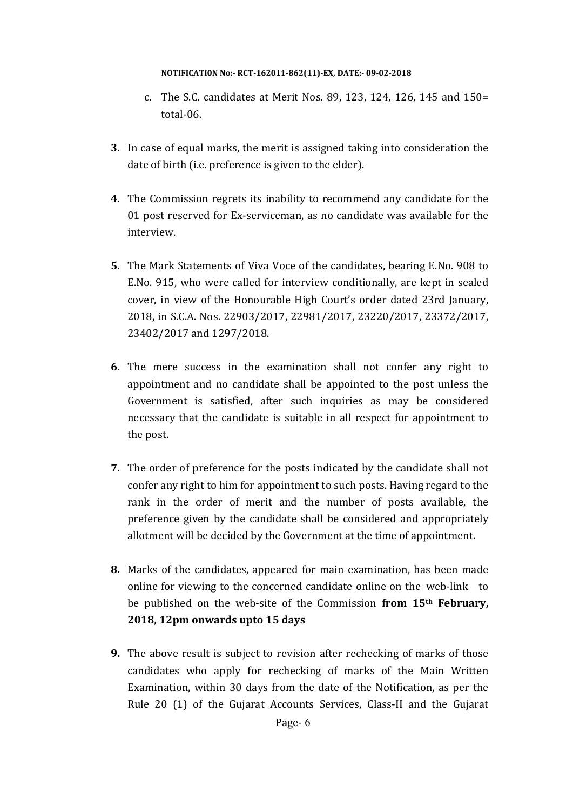- c. The S.C. candidates at Merit Nos. 89, 123, 124, 126, 145 and  $150=$ total‐06.
- **3.** In case of equal marks, the merit is assigned taking into consideration the date of birth (i.e. preference is given to the elder).
- **4.** The Commission regrets its inability to recommend any candidate for the 01 post reserved for Ex-serviceman, as no candidate was available for the interview.
- **5.** The Mark Statements of Viva Voce of the candidates, bearing E.No. 908 to E.No. 915, who were called for interview conditionally, are kept in sealed cover, in view of the Honourable High Court's order dated 23rd January, 2018, in S.C.A. Nos. 22903/2017, 22981/2017, 23220/2017, 23372/2017, 23402/2017 and 1297/2018.
- **6.** The mere success in the examination shall not confer any right to appointment and no candidate shall be appointed to the post unless the Government is satisfied, after such inquiries as may be considered necessary that the candidate is suitable in all respect for appointment to the post.
- **7.** The order of preference for the posts indicated by the candidate shall not confer any right to him for appointment to such posts. Having regard to the rank in the order of merit and the number of posts available, the preference given by the candidate shall be considered and appropriately allotment will be decided by the Government at the time of appointment.
- **8.** Marks of the candidates, appeared for main examination, has been made online for viewing to the concerned candidate online on the web-link to be published on the web-site of the Commission from 15<sup>th</sup> February, **2018, 12pm onwards upto 15 days**
- **9.** The above result is subject to revision after rechecking of marks of those candidates who apply for rechecking of marks of the Main Written Examination, within 30 days from the date of the Notification, as per the Rule 20 (1) of the Gujarat Accounts Services, Class-II and the Gujarat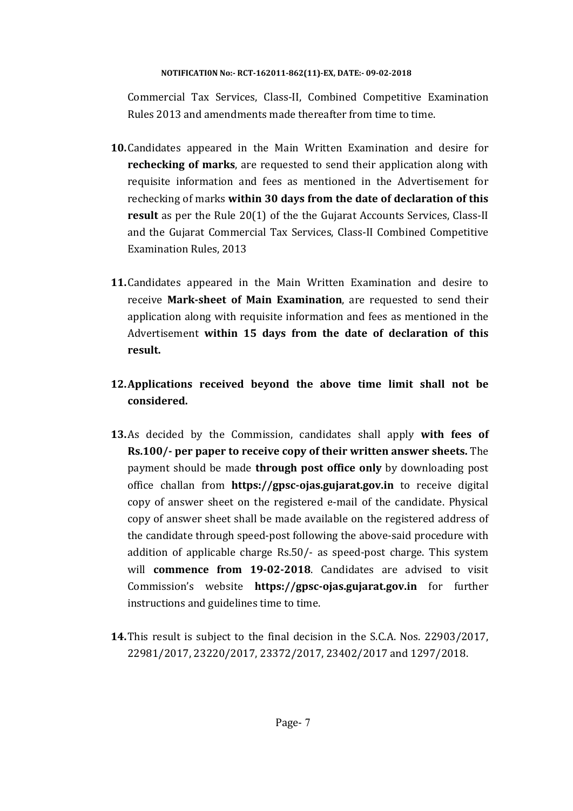Commercial Tax Services, Class-II, Combined Competitive Examination Rules 2013 and amendments made thereafter from time to time.

- **10.** Candidates appeared in the Main Written Examination and desire for **rechecking of marks**, are requested to send their application along with requisite information and fees as mentioned in the Advertisement for rechecking of marks **within 30 days from the date of declaration of this result** as per the Rule 20(1) of the the Gujarat Accounts Services, Class-II and the Gujarat Commercial Tax Services, Class-II Combined Competitive Examination Rules, 2013
- **11.** Candidates appeared in the Main Written Examination and desire to receive Mark-sheet of Main Examination, are requested to send their application along with requisite information and fees as mentioned in the Advertisement **within 15 days from the date of declaration of this result.**
- **12.Applications received beyond the above time limit shall not be considered.**
- **13.**As decided by the Commission, candidates shall apply **with fees of Rs.100/‐ per paper to receive copy of their written answer sheets.** The payment should be made **through post office only** by downloading post office challan from **https://gpsc-ojas.gujarat.gov.in** to receive digital copy of answer sheet on the registered e-mail of the candidate. Physical copy of answer sheet shall be made available on the registered address of the candidate through speed-post following the above-said procedure with addition of applicable charge Rs.50/- as speed-post charge. This system will **commence from 19‐02‐2018**. Candidates are advised to visit Commission's website **https://gpsc‐ojas.gujarat.gov.in** for further instructions and guidelines time to time.
- **14.**This result is subject to the final decision in the S.C.A. Nos. 22903/2017, 22981/2017, 23220/2017, 23372/2017, 23402/2017 and 1297/2018.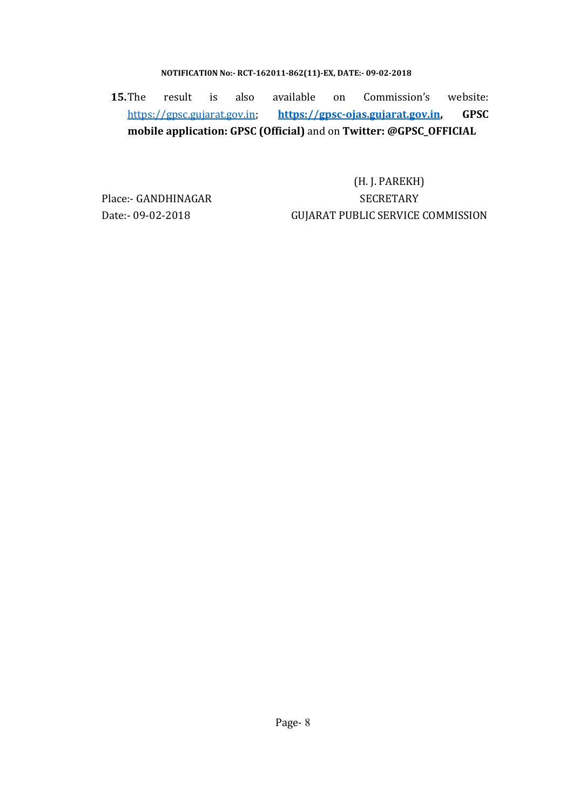**15.**The result is also available on Commission's website: https://gpsc.gujarat.gov.in; **https://gpsc‐ojas.gujarat.gov.in, GPSC mobile application: GPSC (Official)** and on **Twitter: @GPSC\_OFFICIAL**

(H.J. PAREKH) Place:- GANDHINAGAR SECRETARY Date:- 09-02-2018 GUJARAT PUBLIC SERVICE COMMISSION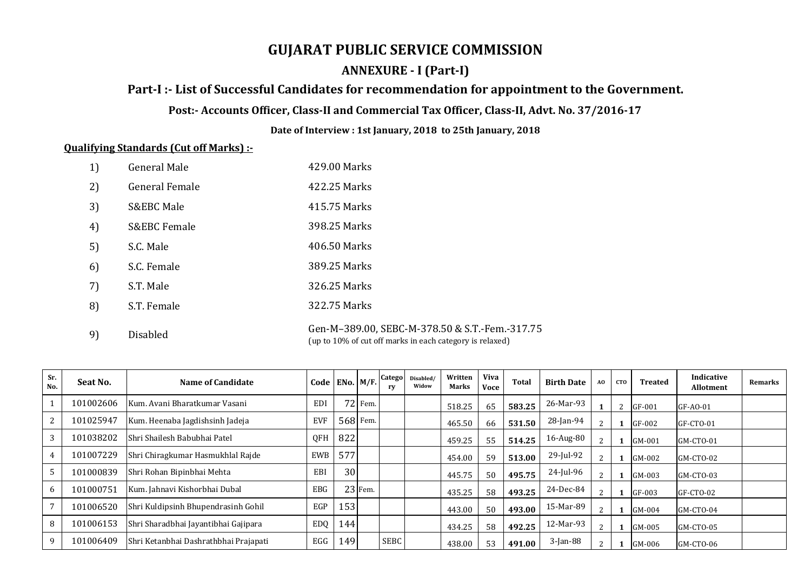# **GUJARAT PUBLIC SERVICE COMMISSION**

# **ANNEXURE ‐ I (Part‐I)**

# **Part‐I :‐ List of Successful Candidates for recommendation for appointment to the Government.**

# Post:- Accounts Officer, Class-II and Commercial Tax Officer, Class-II, Advt. No. 37/2016-17

**Date of Interview : 1st January, 2018 to 25th January, 2018**

### **Qualifying Standards (Cut off Marks) :‐**

| 1) | <b>General Male</b>     | 429.00 Marks                                                                                               |
|----|-------------------------|------------------------------------------------------------------------------------------------------------|
| 2) | <b>General Female</b>   | 422.25 Marks                                                                                               |
| 3) | <b>S&amp;EBC Male</b>   | 415.75 Marks                                                                                               |
| 4) | <b>S&amp;EBC Female</b> | 398.25 Marks                                                                                               |
| 5) | S.C. Male               | 406.50 Marks                                                                                               |
| 6) | S.C. Female             | 389.25 Marks                                                                                               |
| 7) | S.T. Male               | 326.25 Marks                                                                                               |
| 8) | S.T. Female             | 322.75 Marks                                                                                               |
| 9) | <b>Disabled</b>         | Gen-M-389.00, SEBC-M-378.50 & S.T.-Fem.-317.75<br>(up to 10% of cut off marks in each category is relaxed) |

| Sr.<br>No.     | Seat No.  | Name of Candidate                     | $\mid$ Code $\mid$ ENo. $\mid$ M/F. $\mid$ Catego $\mid$ |     |          | ry   | Disabled/<br>Widow | Written<br>Marks | <b>Viva</b><br>Voce | <b>Total</b> | <b>Birth Date</b> | AO             | <b>CTO</b> | <b>Treated</b> | Indicative<br><b>Allotment</b> | <b>Remarks</b> |
|----------------|-----------|---------------------------------------|----------------------------------------------------------|-----|----------|------|--------------------|------------------|---------------------|--------------|-------------------|----------------|------------|----------------|--------------------------------|----------------|
|                | 101002606 | Kum. Avani Bharatkumar Vasani         | <b>EDI</b>                                               |     | 72 Fem.  |      |                    | 518.25           | 65                  | 583.25       | 26-Mar-93         |                | 2          | $GF-001$       | GF-AO-01                       |                |
| 2              | 101025947 | Kum. Heenaba Jagdishsinh Jadeja       | <b>EVF</b>                                               |     | 568 Fem. |      |                    | 465.50           | 66                  | 531.50       | 28-Jan-94         | $\mathcal{D}$  |            | GF-002         | GF-CTO-01                      |                |
| 3              | 101038202 | Shri Shailesh Babubhai Patel          | QFH                                                      | 822 |          |      |                    | 459.25           | 55                  | 514.25       | 16-Aug-80         | $\overline{2}$ |            | $GM-001$       | GM-CTO-01                      |                |
| $\overline{4}$ | 101007229 | Shri Chiragkumar Hasmukhlal Rajde     | EWB                                                      | 577 |          |      |                    | 454.00           | 59                  | 513.00       | 29-Jul-92         | $\mathcal{D}$  |            | $GM-002$       | GM-CTO-02                      |                |
| 5              | 101000839 | Shri Rohan Bipinbhai Mehta            | EBI                                                      | 30  |          |      |                    | 445.75           | 50                  | 495.75       | 24-Jul-96         | $\overline{2}$ |            | GM-003         | GM-CTO-03                      |                |
| 6              | 101000751 | Kum. Jahnavi Kishorbhai Dubal         | <b>EBG</b>                                               |     | 23 Fem.  |      |                    | 435.25           | 58                  | 493.25       | 24-Dec-84         | 2              |            | GF-003         | GF-CTO-02                      |                |
|                | 101006520 | Shri Kuldipsinh Bhupendrasinh Gohil   | EGP                                                      | 153 |          |      |                    | 443.00           | 50                  | 493.00       | 15-Mar-89         | 2              |            | $GM-004$       | GM-CTO-04                      |                |
| 8              | 101006153 | Shri Sharadbhai Jayantibhai Gajipara  | <b>EDQ</b>                                               | 144 |          |      |                    | 434.25           | 58                  | 492.25       | 12-Mar-93         | 2              |            | GM-005         | GM-CTO-05                      |                |
| 9              | 101006409 | Shri Ketanbhai Dashrathbhai Prajapati | EGG                                                      | 149 |          | SEBC |                    | 438.00           | 53                  | 491.00       | 3-Jan-88          | $\overline{2}$ |            | GM-006         | GM-CTO-06                      |                |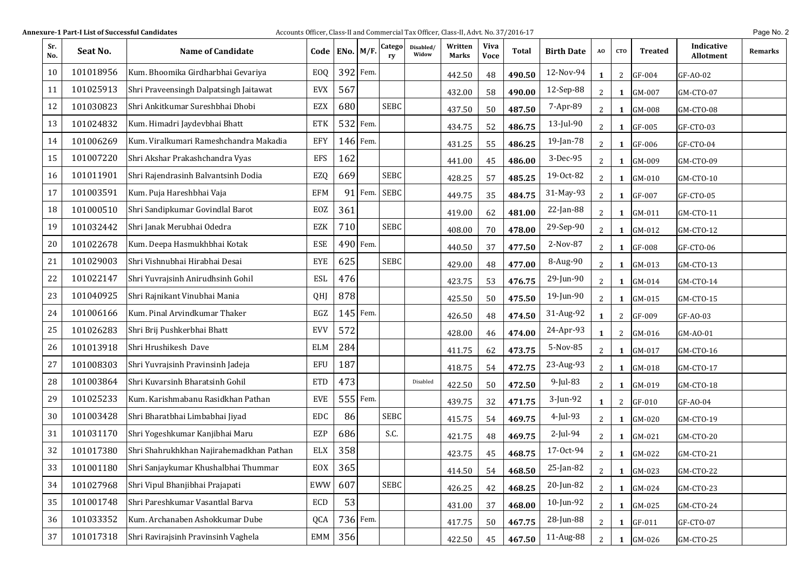| Sr.<br>No. | Seat No.  | <b>Name of Candidate</b>                 |            | Code   ENo. $M/F$ . |          | Catego<br>ry | Disabled/<br>Widow | Written<br>Marks | <b>Viva</b><br><b>Voce</b> | Total  | <b>Birth Date</b> | AO             | <b>CTO</b>   | <b>Treated</b> | Indicative<br><b>Allotment</b> | Remarks |
|------------|-----------|------------------------------------------|------------|---------------------|----------|--------------|--------------------|------------------|----------------------------|--------|-------------------|----------------|--------------|----------------|--------------------------------|---------|
| 10         | 101018956 | Kum. Bhoomika Girdharbhai Gevariya       | EOQ        | 392                 | Fem.     |              |                    | 442.50           | 48                         | 490.50 | 12-Nov-94         | $\mathbf{1}$   | 2            | GF-004         | GF-AO-02                       |         |
| 11         | 101025913 | Shri Praveensingh Dalpatsingh Jaitawat   | <b>EVX</b> | 567                 |          |              |                    | 432.00           | 58                         | 490.00 | 12-Sep-88         | $\mathbf{2}$   | 1            | GM-007         | GM-CTO-07                      |         |
| 12         | 101030823 | Shri Ankitkumar Sureshbhai Dhobi         | EZX        | 680                 |          | <b>SEBC</b>  |                    | 437.50           | 50                         | 487.50 | 7-Apr-89          | 2              | 1            | GM-008         | GM-CTO-08                      |         |
| 13         | 101024832 | Kum. Himadri Jaydevbhai Bhatt            | <b>ETK</b> |                     | 532 Fem. |              |                    | 434.75           | 52                         | 486.75 | 13-Jul-90         | $\mathbf{2}$   | 1            | GF-005         | GF-CTO-03                      |         |
| 14         | 101006269 | Kum. Viralkumari Rameshchandra Makadia   | EFY        |                     | 146 Fem. |              |                    | 431.25           | 55                         | 486.25 | 19-Jan-78         | $\mathbf{2}$   | $\mathbf{1}$ | $GF-006$       | GF-CTO-04                      |         |
| 15         | 101007220 | Shri Akshar Prakashchandra Vyas          | <b>EFS</b> | 162                 |          |              |                    | 441.00           | 45                         | 486.00 | 3-Dec-95          | $2^{\circ}$    | 1            | GM-009         | GM-CTO-09                      |         |
| 16         | 101011901 | Shri Rajendrasinh Balvantsinh Dodia      | EZQ        | 669                 |          | <b>SEBC</b>  |                    | 428.25           | 57                         | 485.25 | 19-Oct-82         | $2^{\circ}$    | 1            | GM-010         | GM-CTO-10                      |         |
| 17         | 101003591 | Kum. Puja Hareshbhai Vaja                | <b>EFM</b> | 91                  | Fem.     | SEBC         |                    | 449.75           | 35                         | 484.75 | 31-May-93         | $2^{\circ}$    | $\mathbf{1}$ | GF-007         | GF-CTO-05                      |         |
| 18         | 101000510 | Shri Sandipkumar Govindlal Barot         | EOZ        | 361                 |          |              |                    | 419.00           | 62                         | 481.00 | 22-Jan-88         | $\mathbf{2}$   | 1            | GM-011         | GM-CTO-11                      |         |
| 19         | 101032442 | Shri Janak Merubhai Odedra               | EZK        | 710                 |          | <b>SEBC</b>  |                    | 408.00           | 70                         | 478.00 | 29-Sep-90         | $2^{\circ}$    | 1            | GM-012         | GM-CTO-12                      |         |
| 20         | 101022678 | Kum. Deepa Hasmukhbhai Kotak             | ESE        |                     | 490 Fem. |              |                    | 440.50           | 37                         | 477.50 | 2-Nov-87          | $2^{\circ}$    | 1            | GF-008         | GF-CTO-06                      |         |
| 21         | 101029003 | Shri Vishnubhai Hirabhai Desai           | <b>EYE</b> | 625                 |          | <b>SEBC</b>  |                    | 429.00           | 48                         | 477.00 | 8-Aug-90          | $2^{\circ}$    | $\mathbf{1}$ | GM-013         | GM-CTO-13                      |         |
| 22         | 101022147 | Shri Yuvrajsinh Anirudhsinh Gohil        | <b>ESL</b> | 476                 |          |              |                    | 423.75           | 53                         | 476.75 | 29-Jun-90         | $2^{\circ}$    | $\mathbf{1}$ | GM-014         | GM-CTO-14                      |         |
| 23         | 101040925 | Shri Rajnikant Vinubhai Mania            | QHJ        | 878                 |          |              |                    | 425.50           | 50                         | 475.50 | 19-Jun-90         | $\mathbf{2}$   | $\mathbf{1}$ | GM-015         | GM-CTO-15                      |         |
| 24         | 101006166 | Kum. Pinal Arvindkumar Thaker            | EGZ        | 145                 | Fem.     |              |                    | 426.50           | 48                         | 474.50 | 31-Aug-92         | $\mathbf{1}$   | 2            | GF-009         | GF-AO-03                       |         |
| 25         | 101026283 | Shri Brij Pushkerbhai Bhatt              | <b>EVV</b> | 572                 |          |              |                    | 428.00           | 46                         | 474.00 | 24-Apr-93         | $\mathbf{1}$   | $\mathbf{2}$ | GM-016         | GM-AO-01                       |         |
| 26         | 101013918 | Shri Hrushikesh Dave                     | <b>ELM</b> | 284                 |          |              |                    | 411.75           | 62                         | 473.75 | 5-Nov-85          | $\mathbf{2}$   | $\mathbf{1}$ | GM-017         | GM-CTO-16                      |         |
| 27         | 101008303 | Shri Yuvrajsinh Pravinsinh Jadeja        | EFU        | 187                 |          |              |                    | 418.75           | 54                         | 472.75 | 23-Aug-93         | $\mathbf{2}$   | $\mathbf{1}$ | GM-018         | GM-CTO-17                      |         |
| 28         | 101003864 | Shri Kuvarsinh Bharatsinh Gohil          | <b>ETD</b> | 473                 |          |              | Disabled           | 422.50           | 50                         | 472.50 | 9-Jul-83          | $2^{\circ}$    | $\mathbf{1}$ | GM-019         | GM-CTO-18                      |         |
| 29         | 101025233 | Kum. Karishmabanu Rasidkhan Pathan       | <b>EVE</b> |                     | 555 Fem. |              |                    | 439.75           | 32                         | 471.75 | 3-Jun-92          | $\mathbf{1}$   | $\mathbf{2}$ | GF-010         | GF-AO-04                       |         |
| 30         | 101003428 | Shri Bharatbhai Limbabhai Jiyad          | <b>EDC</b> | 86                  |          | <b>SEBC</b>  |                    | 415.75           | 54                         | 469.75 | 4-Jul-93          | $2^{\circ}$    | $\mathbf{1}$ | GM-020         | GM-CTO-19                      |         |
| 31         | 101031170 | Shri Yogeshkumar Kanjibhai Maru          | EZP        | 686                 |          | S.C.         |                    | 421.75           | 48                         | 469.75 | 2-Jul-94          | $\mathbf{2}$   | 1            | GM-021         | GM-CTO-20                      |         |
| 32         | 101017380 | Shri Shahrukhkhan Najirahemadkhan Pathan | <b>ELX</b> | 358                 |          |              |                    | 423.75           | 45                         | 468.75 | 17-Oct-94         | $\mathbf{2}$   | 1            | GM-022         | GM-CTO-21                      |         |
| 33         | 101001180 | Shri Sanjaykumar Khushalbhai Thummar     | EOX        | 365                 |          |              |                    | 414.50           | 54                         | 468.50 | 25-Jan-82         | $\overline{2}$ |              | 1 GM-023       | GM-CTO-22                      |         |
| 34         | 101027968 | Shri Vipul Bhanjibhai Prajapati          | EWW        | 607                 |          | <b>SEBC</b>  |                    | 426.25           | 42                         | 468.25 | 20-Jun-82         | $\mathbf{2}$   | 1            | GM-024         | GM-CTO-23                      |         |
| 35         | 101001748 | Shri Pareshkumar Vasantlal Barva         | ECD        | 53                  |          |              |                    | 431.00           | 37                         | 468.00 | 10-Jun-92         | $\mathbf{2}$   | $\mathbf{1}$ | GM-025         | GM-CTO-24                      |         |
| 36         | 101033352 | Kum. Archanaben Ashokkumar Dube          | QCA        |                     | 736 Fem. |              |                    | 417.75           | 50                         | 467.75 | 28-Jun-88         | $\mathbf{2}$   | 1            | GF-011         | GF-CTO-07                      |         |
| 37         | 101017318 | Shri Ravirajsinh Pravinsinh Vaghela      | EMM        | 356                 |          |              |                    | 422.50           | 45                         | 467.50 | 11-Aug-88         | $2^{\circ}$    | $\mathbf{1}$ | GM-026         | GM-CTO-25                      |         |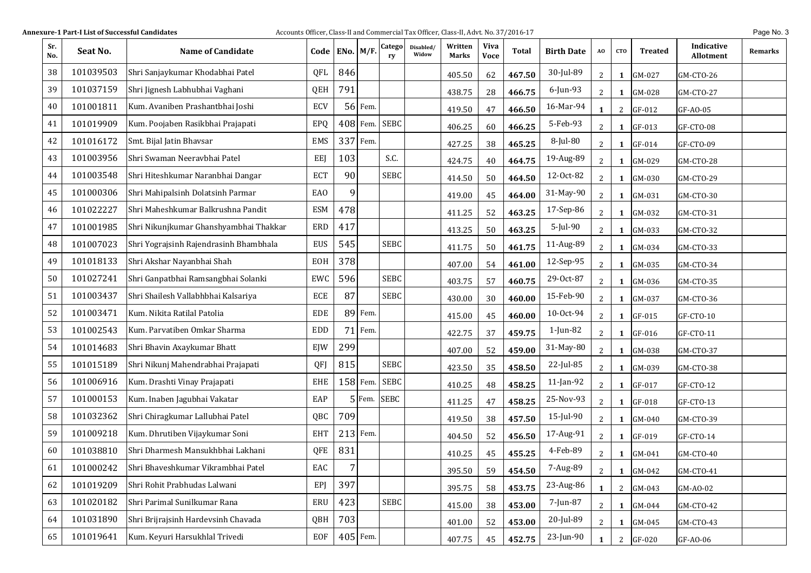| Sr.<br>No. | Seat No.  | <b>Name of Candidate</b>               |                 | Code   ENo. $M/F$ . |            | Catego<br>ry | Disabled/<br>Widow | Written<br>Marks | Viva<br><b>Voce</b> | Total  | <b>Birth Date</b> | AO             | <b>CTO</b>   | Treated  | Indicative<br><b>Allotment</b> | Remarks |
|------------|-----------|----------------------------------------|-----------------|---------------------|------------|--------------|--------------------|------------------|---------------------|--------|-------------------|----------------|--------------|----------|--------------------------------|---------|
| 38         | 101039503 | Shri Sanjaykumar Khodabhai Patel       | QFL             | 846                 |            |              |                    | 405.50           | 62                  | 467.50 | 30-Jul-89         | $\mathbf{2}$   | 1            | GM-027   | GM-CTO-26                      |         |
| 39         | 101037159 | Shri Jignesh Labhubhai Vaghani         | QEH             | 791                 |            |              |                    | 438.75           | 28                  | 466.75 | 6-Jun-93          | $\mathbf{2}$   | 1            | GM-028   | GM-CTO-27                      |         |
| 40         | 101001811 | Kum. Avaniben Prashantbhai Joshi       | ECV             | 56                  | Fem.       |              |                    | 419.50           | 47                  | 466.50 | 16-Mar-94         | $\mathbf{1}$   | $\mathbf{2}$ | GF-012   | GF-AO-05                       |         |
| 41         | 101019909 | Kum. Poojaben Rasikbhai Prajapati      | EPQ             | 408                 | Fem.       | <b>SEBC</b>  |                    | 406.25           | 60                  | 466.25 | 5-Feb-93          | $2^{\circ}$    | 1            | GF-013   | GF-CTO-08                      |         |
| 42         | 101016172 | Smt. Bijal Jatin Bhavsar               | <b>EMS</b>      | 337                 | Fem.       |              |                    | 427.25           | 38                  | 465.25 | 8-Jul-80          | $2^{\circ}$    | 1            | GF-014   | GF-CTO-09                      |         |
| 43         | 101003956 | Shri Swaman Neeravbhai Patel           | <b>EEJ</b>      | 103                 |            | S.C.         |                    | 424.75           | 40                  | 464.75 | 19-Aug-89         | $\mathbf{2}$   | 1            | GM-029   | GM-CTO-28                      |         |
| 44         | 101003548 | Shri Hiteshkumar Naranbhai Dangar      | <b>ECT</b>      | 90                  |            | <b>SEBC</b>  |                    | 414.50           | 50                  | 464.50 | 12-Oct-82         | $\mathbf{2}$   | 1            | GM-030   | GM-CTO-29                      |         |
| 45         | 101000306 | Shri Mahipalsinh Dolatsinh Parmar      | EA <sub>0</sub> | 9                   |            |              |                    | 419.00           | 45                  | 464.00 | 31-May-90         | $\mathbf{2}$   | 1            | GM-031   | GM-CTO-30                      |         |
| 46         | 101022227 | Shri Maheshkumar Balkrushna Pandit     | <b>ESM</b>      | 478                 |            |              |                    | 411.25           | 52                  | 463.25 | 17-Sep-86         | $2^{\circ}$    | 1            | GM-032   | GM-CTO-31                      |         |
| 47         | 101001985 | Shri Nikunjkumar Ghanshyambhai Thakkar | ERD             | 417                 |            |              |                    | 413.25           | 50                  | 463.25 | 5-Jul-90          | $2^{\circ}$    | $\mathbf{1}$ | GM-033   | GM-CTO-32                      |         |
| 48         | 101007023 | Shri Yograjsinh Rajendrasinh Bhambhala | EUS             | 545                 |            | <b>SEBC</b>  |                    | 411.75           | 50                  | 461.75 | 11-Aug-89         | $\mathbf{2}$   | 1            | GM-034   | GM-CTO-33                      |         |
| 49         | 101018133 | Shri Akshar Nayanbhai Shah             | EOH             | 378                 |            |              |                    | 407.00           | 54                  | 461.00 | 12-Sep-95         | $2^{\circ}$    | $\mathbf{1}$ | GM-035   | GM-CTO-34                      |         |
| 50         | 101027241 | Shri Ganpatbhai Ramsangbhai Solanki    | EWC             | 596                 |            | <b>SEBC</b>  |                    | 403.75           | 57                  | 460.75 | 29-Oct-87         | $2^{\circ}$    | 1            | GM-036   | GM-CTO-35                      |         |
| 51         | 101003437 | Shri Shailesh Vallabhbhai Kalsariya    | ECE             | 87                  |            | <b>SEBC</b>  |                    | 430.00           | 30                  | 460.00 | 15-Feb-90         | $2^{\circ}$    | 1            | GM-037   | GM-CTO-36                      |         |
| 52         | 101003471 | Kum. Nikita Ratilal Patolia            | <b>EDE</b>      |                     | 89 Fem.    |              |                    | 415.00           | 45                  | 460.00 | 10-Oct-94         | $2^{\circ}$    | $\mathbf{1}$ | GF-015   | GF-CTO-10                      |         |
| 53         | 101002543 | Kum. Parvatiben Omkar Sharma           | <b>EDD</b>      | 71                  | Fem.       |              |                    | 422.75           | 37                  | 459.75 | 1-Jun-82          | $\overline{2}$ | $\mathbf{1}$ | GF-016   | GF-CTO-11                      |         |
| 54         | 101014683 | Shri Bhavin Axaykumar Bhatt            | EJW             | 299                 |            |              |                    | 407.00           | 52                  | 459.00 | 31-May-80         | $2^{\circ}$    | $\mathbf{1}$ | GM-038   | GM-CTO-37                      |         |
| 55         | 101015189 | Shri Nikunj Mahendrabhai Prajapati     | QFJ             | 815                 |            | <b>SEBC</b>  |                    | 423.50           | 35                  | 458.50 | 22-Jul-85         | $2^{\circ}$    | 1            | GM-039   | GM-CTO-38                      |         |
| 56         | 101006916 | Kum. Drashti Vinay Prajapati           | <b>EHE</b>      |                     | $158$ Fem. | <b>SEBC</b>  |                    | 410.25           | 48                  | 458.25 | 11-Jan-92         | $\mathbf{2}$   | $\mathbf{1}$ | GF-017   | GF-CTO-12                      |         |
| 57         | 101000153 | Kum. Inaben Jagubhai Vakatar           | EAP             |                     |            | 5 Fem. SEBC  |                    | 411.25           | 47                  | 458.25 | 25-Nov-93         | $\overline{2}$ | $\mathbf{1}$ | GF-018   | GF-CTO-13                      |         |
| 58         | 101032362 | Shri Chiragkumar Lallubhai Patel       | QBC             | 709                 |            |              |                    | 419.50           | 38                  | 457.50 | 15-Jul-90         | $\mathbf{2}$   | $\mathbf{1}$ | GM-040   | GM-CTO-39                      |         |
| 59         | 101009218 | Kum. Dhrutiben Vijaykumar Soni         | <b>EHT</b>      | 213                 | Fem.       |              |                    | 404.50           | 52                  | 456.50 | 17-Aug-91         | $\overline{2}$ | $\mathbf{1}$ | GF-019   | GF-CTO-14                      |         |
| 60         | 101038810 | Shri Dharmesh Mansukhbhai Lakhani      | QFE             | 831                 |            |              |                    | 410.25           | 45                  | 455.25 | 4-Feb-89          | $\mathbf{2}$   | $\mathbf{1}$ | GM-041   | GM-CTO-40                      |         |
| 61         | 101000242 | Shri Bhaveshkumar Vikrambhai Patel     | EAC             | 7                   |            |              |                    | 395.50           | 59                  | 454.50 | 7-Aug-89          | $2^{\circ}$    |              | 1 GM-042 | GM-CTO-41                      |         |
| 62         | 101019209 | Shri Rohit Prabhudas Lalwani           | EPJ             | 397                 |            |              |                    | 395.75           | 58                  | 453.75 | 23-Aug-86         | $\mathbf{1}$   | $\mathbf{2}$ | GM-043   | GM-AO-02                       |         |
| 63         | 101020182 | Shri Parimal Sunilkumar Rana           | ERU             | 423                 |            | <b>SEBC</b>  |                    | 415.00           | 38                  | 453.00 | 7-Jun-87          | $\mathbf{2}$   | 1            | GM-044   | GM-CTO-42                      |         |
| 64         | 101031890 | Shri Brijrajsinh Hardevsinh Chavada    | QBH             | 703                 |            |              |                    | 401.00           | 52                  | 453.00 | 20-Jul-89         | $\mathbf{2}$   | 1            | GM-045   | GM-CTO-43                      |         |
| 65         | 101019641 | Kum. Keyuri Harsukhlal Trivedi         | EOF             |                     | 405 Fem.   |              |                    | 407.75           | 45                  | 452.75 | 23-Jun-90         | 1              |              | 2 GF-020 | GF-AO-06                       |         |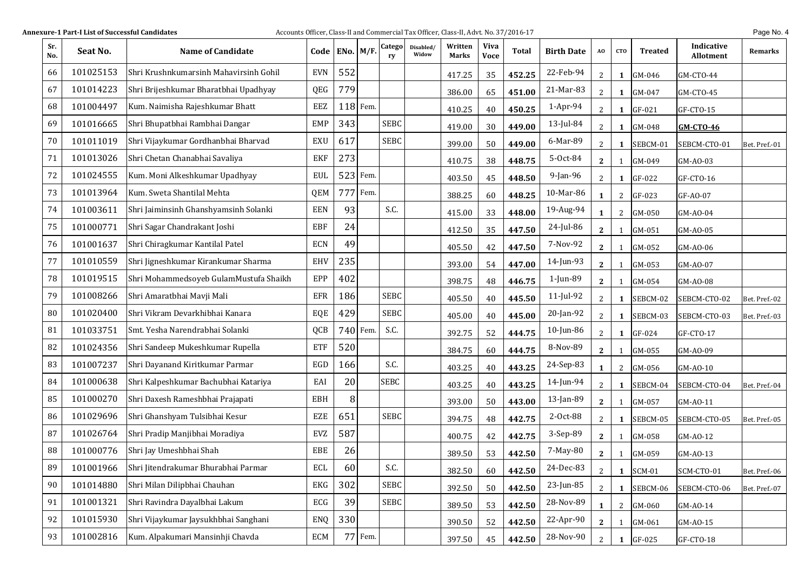| Sr.<br>No. | Seat No.  | <b>Name of Candidate</b>               |            | Code   ENo. $M/F$ . |            | Catego<br>ry | Disabled/<br>Widow | Written<br>Marks | <b>Viva</b><br><b>Voce</b> | <b>Total</b> | <b>Birth Date</b> | AO             | <b>CTO</b>   | <b>Treated</b> | Indicative<br><b>Allotment</b> | Remarks       |
|------------|-----------|----------------------------------------|------------|---------------------|------------|--------------|--------------------|------------------|----------------------------|--------------|-------------------|----------------|--------------|----------------|--------------------------------|---------------|
| 66         | 101025153 | Shri Krushnkumarsinh Mahavirsinh Gohil | <b>EVN</b> | 552                 |            |              |                    | 417.25           | 35                         | 452.25       | 22-Feb-94         | $\overline{2}$ | 1            | GM-046         | GM-CTO-44                      |               |
| 67         | 101014223 | Shri Brijeshkumar Bharatbhai Upadhyay  | QEG        | 779                 |            |              |                    | 386.00           | 65                         | 451.00       | 21-Mar-83         | $\overline{2}$ | 1            | GM-047         | GM-CTO-45                      |               |
| 68         | 101004497 | Kum. Naimisha Rajeshkumar Bhatt        | EEZ        |                     | $118$ Fem. |              |                    | 410.25           | 40                         | 450.25       | $1-Apr-94$        | $\overline{2}$ | 1            | GF-021         | GF-CTO-15                      |               |
| 69         | 101016665 | Shri Bhupatbhai Rambhai Dangar         | <b>EMP</b> | 343                 |            | <b>SEBC</b>  |                    | 419.00           | 30                         | 449.00       | 13-Jul-84         | 2              | 1            | GM-048         | <b>GM-CTO-46</b>               |               |
| 70         | 101011019 | Shri Vijaykumar Gordhanbhai Bharvad    | EXU        | 617                 |            | <b>SEBC</b>  |                    | 399.00           | 50                         | 449.00       | 6-Mar-89          | 2              | 1            | SEBCM-01       | SEBCM-CTO-01                   | Bet. Pref.-01 |
| 71         | 101013026 | Shri Chetan Chanabhai Savaliya         | EKF        | 273                 |            |              |                    | 410.75           | 38                         | 448.75       | 5-Oct-84          | $\mathbf{2}$   | 1            | GM-049         | GM-AO-03                       |               |
| 72         | 101024555 | Kum. Moni Alkeshkumar Upadhyay         | EUL        |                     | $523$ Fem. |              |                    | 403.50           | 45                         | 448.50       | 9-Jan-96          | $\overline{2}$ | 1            | GF-022         | GF-CTO-16                      |               |
| 73         | 101013964 | Kum. Sweta Shantilal Mehta             | QEM        |                     | 777 Fem.   |              |                    | 388.25           | 60                         | 448.25       | 10-Mar-86         | 1              | 2            | GF-023         | GF-AO-07                       |               |
| 74         | 101003611 | Shri Jaiminsinh Ghanshyamsinh Solanki  | <b>EEN</b> | 93                  |            | S.C.         |                    | 415.00           | 33                         | 448.00       | 19-Aug-94         | 1              | 2            | GM-050         | GM-AO-04                       |               |
| 75         | 101000771 | Shri Sagar Chandrakant Joshi           | EBF        | 24                  |            |              |                    | 412.50           | 35                         | 447.50       | 24-Jul-86         | $\mathbf{2}$   | 1            | GM-051         | GM-AO-05                       |               |
| 76         | 101001637 | Shri Chiragkumar Kantilal Patel        | <b>ECN</b> | 49                  |            |              |                    | 405.50           | 42                         | 447.50       | 7-Nov-92          | $\mathbf{2}$   | 1            | GM-052         | GM-AO-06                       |               |
| 77         | 101010559 | Shri Jigneshkumar Kirankumar Sharma    | EHV        | 235                 |            |              |                    | 393.00           | 54                         | 447.00       | 14-Jun-93         | $\mathbf{2}$   | 1            | GM-053         | GM-AO-07                       |               |
| 78         | 101019515 | Shri Mohammedsoyeb GulamMustufa Shaikh | EPP        | 402                 |            |              |                    | 398.75           | 48                         | 446.75       | 1-Jun-89          | $\mathbf{2}$   |              | GM-054         | GM-AO-08                       |               |
| 79         | 101008266 | Shri Amaratbhai Mavji Mali             | EFR        | 186                 |            | <b>SEBC</b>  |                    | 405.50           | 40                         | 445.50       | 11-Jul-92         | $\overline{2}$ | 1            | SEBCM-02       | SEBCM-CTO-02                   | Bet. Pref.-02 |
| 80         | 101020400 | Shri Vikram Devarkhibhai Kanara        | EQE        | 429                 |            | <b>SEBC</b>  |                    | 405.00           | 40                         | 445.00       | 20-Jan-92         | $\overline{2}$ | 1            | SEBCM-03       | SEBCM-CTO-03                   | Bet. Pref.-03 |
| 81         | 101033751 | Smt. Yesha Narendrabhai Solanki        | QCB        |                     | 740 Fem.   | S.C.         |                    | 392.75           | 52                         | 444.75       | 10-Jun-86         | $\overline{2}$ | 1            | GF-024         | GF-CTO-17                      |               |
| 82         | 101024356 | Shri Sandeep Mukeshkumar Rupella       | ETF        | 520                 |            |              |                    | 384.75           | 60                         | 444.75       | 8-Nov-89          | $\mathbf{2}$   | 1            | GM-055         | GM-AO-09                       |               |
| 83         | 101007237 | Shri Dayanand Kiritkumar Parmar        | EGD        | 166                 |            | S.C.         |                    | 403.25           | 40                         | 443.25       | 24-Sep-83         | $\mathbf{1}$   | 2            | GM-056         | GM-AO-10                       |               |
| 84         | 101000638 | Shri Kalpeshkumar Bachubhai Katariya   | EAI        | 20                  |            | <b>SEBC</b>  |                    | 403.25           | 40                         | 443.25       | 14-Jun-94         | 2              | 1            | SEBCM-04       | SEBCM-CTO-04                   | Bet. Pref.-04 |
| 85         | 101000270 | Shri Daxesh Rameshbhai Prajapati       | <b>EBH</b> | 8                   |            |              |                    | 393.00           | 50                         | 443.00       | 13-Jan-89         | $\mathbf{2}$   | 1            | GM-057         | GM-AO-11                       |               |
| 86         | 101029696 | Shri Ghanshyam Tulsibhai Kesur         | <b>EZE</b> | 651                 |            | <b>SEBC</b>  |                    | 394.75           | 48                         | 442.75       | 2-Oct-88          | $\overline{2}$ | 1            | SEBCM-05       | SEBCM-CTO-05                   | Bet. Pref.-05 |
| 87         | 101026764 | Shri Pradip Manjibhai Moradiya         | <b>EVZ</b> | 587                 |            |              |                    | 400.75           | 42                         | 442.75       | 3-Sep-89          | $\mathbf{2}$   | 1            | GM-058         | GM-AO-12                       |               |
| 88         | 101000776 | Shri Jay Umeshbhai Shah                | EBE        | 26                  |            |              |                    | 389.50           | 53                         | 442.50       | 7-May-80          | $\mathbf{2}$   | 1            | GM-059         | GM-AO-13                       |               |
| 89         | 101001966 | Shri Jitendrakumar Bhurabhai Parmar    | ECL        | 60                  |            | S.C.         |                    | 382.50           | 60                         | 442.50       | 24-Dec-83         | $\overline{2}$ | $\mathbf{1}$ | <b>SCM-01</b>  | SCM-CTO-01                     | Bet. Pref.-06 |
| 90         | 101014880 | Shri Milan Dilipbhai Chauhan           | EKG        | 302                 |            | <b>SEBC</b>  |                    | 392.50           | 50                         | 442.50       | 23-Jun-85         | $\sqrt{2}$     | 1            | SEBCM-06       | SEBCM-CTO-06                   | Bet. Pref.-07 |
| 91         | 101001321 | Shri Ravindra Dayalbhai Lakum          | ECG        | 39                  |            | <b>SEBC</b>  |                    | 389.50           | 53                         | 442.50       | 28-Nov-89         | 1              | 2            | GM-060         | GM-AO-14                       |               |
| 92         | 101015930 | Shri Vijaykumar Jaysukhbhai Sanghani   | ENQ        | 330                 |            |              |                    | 390.50           | 52                         | 442.50       | 22-Apr-90         | $\mathbf{2}$   |              | GM-061         | GM-AO-15                       |               |
| 93         | 101002816 | Kum. Alpakumari Mansinhji Chavda       | ECM        |                     | 77 Fem.    |              |                    | 397.50           | 45                         | 442.50       | 28-Nov-90         | 2              | 1            | GF-025         | GF-CTO-18                      |               |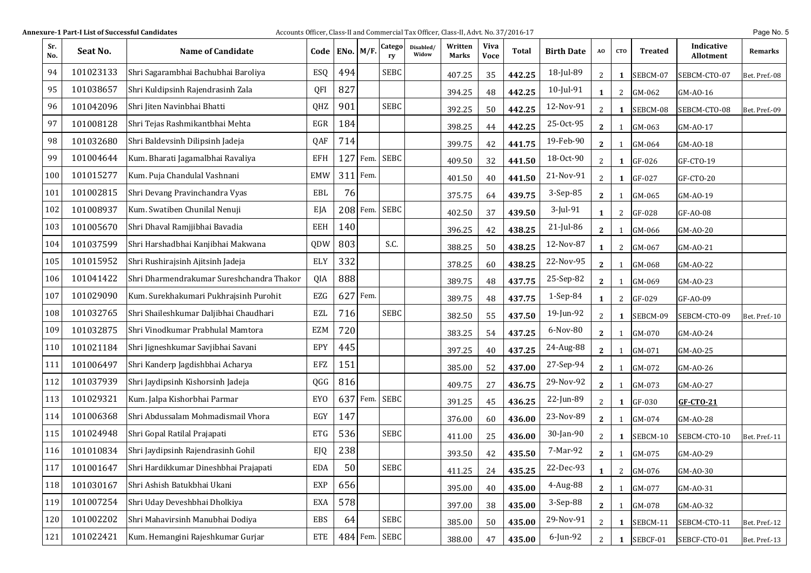| Sr.<br>No. | Seat No.  | <b>Name of Candidate</b>                  | Code ENo. $M/F$ . |          |          | Catego<br>ry  | Disabled/<br>Widow | Written<br>Marks | <b>Viva</b><br><b>Voce</b> | Total  | <b>Birth Date</b> | AO             | <b>CTO</b>   | <b>Treated</b> | Indicative<br><b>Allotment</b> | Remarks       |
|------------|-----------|-------------------------------------------|-------------------|----------|----------|---------------|--------------------|------------------|----------------------------|--------|-------------------|----------------|--------------|----------------|--------------------------------|---------------|
| 94         | 101023133 | Shri Sagarambhai Bachubhai Baroliya       | ESQ               | 494      |          | <b>SEBC</b>   |                    | 407.25           | 35                         | 442.25 | 18-Jul-89         | $\overline{2}$ | 1            | SEBCM-07       | SEBCM-CTO-07                   | Bet. Pref.-08 |
| 95         | 101038657 | Shri Kuldipsinh Rajendrasinh Zala         | QFI               | 827      |          |               |                    | 394.25           | 48                         | 442.25 | 10-Jul-91         | $\mathbf{1}$   | 2            | GM-062         | GM-AO-16                       |               |
| 96         | 101042096 | Shri Jiten Navinbhai Bhatti               | QHZ               | 901      |          | <b>SEBC</b>   |                    | 392.25           | 50                         | 442.25 | 12-Nov-91         | $\overline{2}$ | 1            | SEBCM-08       | SEBCM-CTO-08                   | Bet. Pref.-09 |
| 97         | 101008128 | Shri Tejas Rashmikantbhai Mehta           | EGR               | 184      |          |               |                    | 398.25           | 44                         | 442.25 | 25-Oct-95         | $\mathbf{2}$   | -1           | GM-063         | GM-AO-17                       |               |
| 98         | 101032680 | Shri Baldevsinh Dilipsinh Jadeja          | QAF               | 714      |          |               |                    | 399.75           | 42                         | 441.75 | 19-Feb-90         | $\mathbf{2}$   | -1           | GM-064         | GM-AO-18                       |               |
| 99         | 101004644 | Kum. Bharati Jagamalbhai Ravaliya         | EFH               | 127      | Fem.     | <b>SEBC</b>   |                    | 409.50           | 32                         | 441.50 | 18-Oct-90         | $\overline{2}$ | 1            | GF-026         | GF-CTO-19                      |               |
| 100        | 101015277 | Kum. Puja Chandulal Vashnani              | <b>EMW</b>        | 311 Fem. |          |               |                    | 401.50           | 40                         | 441.50 | 21-Nov-91         | $\overline{2}$ | 1            | GF-027         | GF-CTO-20                      |               |
| 101        | 101002815 | Shri Devang Pravinchandra Vyas            | EBL               | 76       |          |               |                    | 375.75           | 64                         | 439.75 | 3-Sep-85          | $\mathbf{2}$   | -1           | GM-065         | GM-AO-19                       |               |
| 102        | 101008937 | Kum. Swatiben Chunilal Nenuji             | EJA               |          | 208 Fem. | <b>SEBC</b>   |                    | 402.50           | 37                         | 439.50 | 3-Jul-91          | $\mathbf{1}$   | 2            | GF-028         | GF-AO-08                       |               |
| 103        | 101005670 | Shri Dhaval Ramjjibhai Bavadia            | EEH               | 140      |          |               |                    | 396.25           | 42                         | 438.25 | $21$ -Jul-86      | $\mathbf{2}$   | 1            | GM-066         | GM-AO-20                       |               |
| 104        | 101037599 | Shri Harshadbhai Kanjibhai Makwana        | QDW               | 803      |          | S.C.          |                    | 388.25           | 50                         | 438.25 | 12-Nov-87         | 1              | 2            | GM-067         | GM-AO-21                       |               |
| 105        | 101015952 | Shri Rushirajsinh Ajitsinh Jadeja         | ELY               | 332      |          |               |                    | 378.25           | 60                         | 438.25 | 22-Nov-95         | $\mathbf{2}$   | 1            | GM-068         | GM-A0-22                       |               |
| 106        | 101041422 | Shri Dharmendrakumar Sureshchandra Thakor | QIA               | 888      |          |               |                    | 389.75           | 48                         | 437.75 | 25-Sep-82         | $\mathbf{2}$   |              | GM-069         | GM-AO-23                       |               |
| 107        | 101029090 | Kum. Surekhakumari Pukhrajsinh Purohit    | EZG               | 627      | Fem.     |               |                    | 389.75           | 48                         | 437.75 | 1-Sep-84          | 1              | 2            | GF-029         | GF-AO-09                       |               |
| 108        | 101032765 | Shri Shaileshkumar Daljibhai Chaudhari    | EZL               | 716      |          | <b>SEBC</b>   |                    | 382.50           | 55                         | 437.50 | 19-Jun-92         | $\overline{2}$ | 1            | SEBCM-09       | SEBCM-CTO-09                   | Bet. Pref.-10 |
| 109        | 101032875 | Shri Vinodkumar Prabhulal Mamtora         | EZM               | 720      |          |               |                    | 383.25           | 54                         | 437.25 | 6-Nov-80          | $\mathbf{2}$   | $\mathbf{1}$ | GM-070         | GM-AO-24                       |               |
| 110        | 101021184 | Shri Jigneshkumar Savjibhai Savani        | EPY               | 445      |          |               |                    | 397.25           | 40                         | 437.25 | 24-Aug-88         | $\mathbf{2}$   | 1            | GM-071         | GM-AO-25                       |               |
| 111        | 101006497 | Shri Kanderp Jagdishbhai Acharya          | EFZ               | 151      |          |               |                    | 385.00           | 52                         | 437.00 | 27-Sep-94         | $\mathbf{2}$   | 1            | GM-072         | GM-AO-26                       |               |
| 112        | 101037939 | Shri Jaydipsinh Kishorsinh Jadeja         | QGG               | 816      |          |               |                    | 409.75           | 27                         | 436.75 | 29-Nov-92         | $\mathbf{2}$   | 1            | GM-073         | GM-AO-27                       |               |
| 113        | 101029321 | Kum. Jalpa Kishorbhai Parmar              | <b>EYO</b>        | 637      | Fem.     | <b>SEBC</b>   |                    | 391.25           | 45                         | 436.25 | 22-Jun-89         | $\overline{2}$ | $\mathbf{1}$ | GF-030         | <b>GF-CTO-21</b>               |               |
| 114        | 101006368 | Shri Abdussalam Mohmadismail Vhora        | EGY               | 147      |          |               |                    | 376.00           | 60                         | 436.00 | 23-Nov-89         | $\mathbf{2}$   | $\mathbf{1}$ | GM-074         | GM-AO-28                       |               |
| 115        | 101024948 | Shri Gopal Ratilal Prajapati              | <b>ETG</b>        | 536      |          | <b>SEBC</b>   |                    | 411.00           | 25                         | 436.00 | 30-Jan-90         | $\overline{2}$ | 1            | SEBCM-10       | SEBCM-CTO-10                   | Bet. Pref.-11 |
| 116        | 101010834 | Shri Jaydipsinh Rajendrasinh Gohil        | EJQ               | 238      |          |               |                    | 393.50           | 42                         | 435.50 | 7-Mar-92          | $\mathbf{2}$   | 1            | GM-075         | GM-AO-29                       |               |
| 117        | 101001647 | Shri Hardikkumar Dineshbhai Prajapati     | EDA               | 50       |          | <b>SEBC</b>   |                    | 411.25           | 24                         | 435.25 | 22-Dec-93         | $\mathbf{1}$   | $\mathbf{2}$ | GM-076         | GM-AO-30                       |               |
| 118        | 101030167 | Shri Ashish Batukbhai Ukani               | EXP               | 656      |          |               |                    | 395.00           | 40                         | 435.00 | 4-Aug-88          | $\mathbf{2}$   | $\mathbf{1}$ | GM-077         | GM-AO-31                       |               |
| 119        | 101007254 | Shri Uday Deveshbhai Dholkiya             | EXA               | 578      |          |               |                    | 397.00           | 38                         | 435.00 | 3-Sep-88          | $\mathbf{2}$   |              | GM-078         | GM-AO-32                       |               |
| 120        | 101002202 | Shri Mahavirsinh Manubhai Dodiya          | EBS               | 64       |          | <b>SEBC</b>   |                    | 385.00           | 50                         | 435.00 | 29-Nov-91         | $\overline{2}$ | 1            | SEBCM-11       | SEBCM-CTO-11                   | Bet. Pref.-12 |
| 121        | 101022421 | Kum. Hemangini Rajeshkumar Gurjar         | ETE               |          |          | 484 Fem. SEBC |                    | 388.00           | 47                         | 435.00 | 6-Jun-92          | $\overline{2}$ | 1            | SEBCF-01       | SEBCF-CTO-01                   | Bet. Pref.-13 |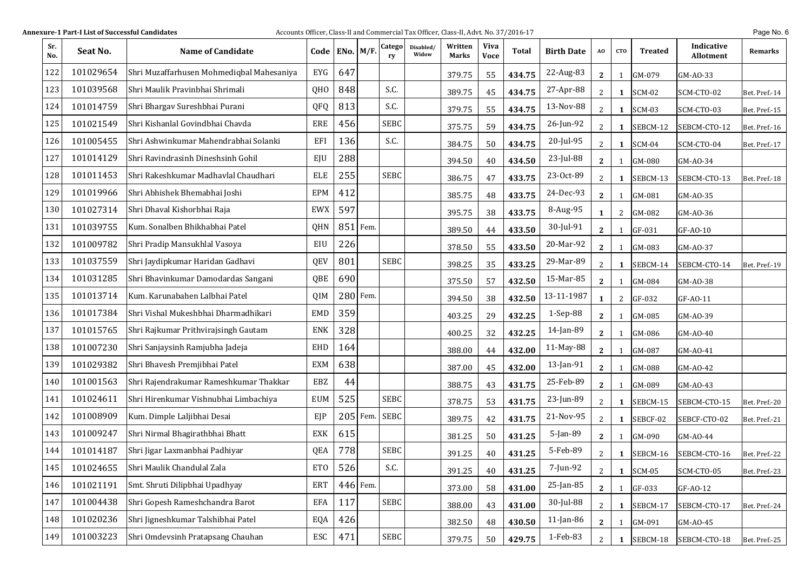| Sr.<br>No. | Seat No.  | Name of Candidate                         | Code       | $ENo.$ $M/F.$ |          | Catego<br>ry | Disabled/<br>Widow | Written<br>Marks | <b>Viva</b><br><b>Voce</b> | Total  | <b>Birth Date</b> | AO             | <b>CTO</b>   | <b>Treated</b> | Indicative<br><b>Allotment</b> | Remarks       |
|------------|-----------|-------------------------------------------|------------|---------------|----------|--------------|--------------------|------------------|----------------------------|--------|-------------------|----------------|--------------|----------------|--------------------------------|---------------|
| 122        | 101029654 | Shri Muzaffarhusen Mohmediqbal Mahesaniya | EYG        | 647           |          |              |                    | 379.75           | 55                         | 434.75 | 22-Aug-83         | $\mathbf{2}$   | 1            | GM-079         | GM-AO-33                       |               |
| 123        | 101039568 | Shri Maulik Pravinbhai Shrimali           | QHO        | 848           |          | S.C.         |                    | 389.75           | 45                         | 434.75 | 27-Apr-88         | 2              | 1            | <b>SCM-02</b>  | SCM-CTO-02                     | Bet. Pref.-14 |
| 124        | 101014759 | Shri Bhargav Sureshbhai Purani            | QFQ        | 813           |          | S.C.         |                    | 379.75           | 55                         | 434.75 | 13-Nov-88         | 2              | $\mathbf{1}$ | <b>SCM-03</b>  | SCM-CTO-03                     | Bet. Pref.-15 |
| 125        | 101021549 | Shri Kishanlal Govindbhai Chavda          | ERE        | 456           |          | <b>SEBC</b>  |                    | 375.75           | 59                         | 434.75 | 26-Jun-92         | 2              | 1            | SEBCM-12       | SEBCM-CTO-12                   | Bet. Pref.-16 |
| 126        | 101005455 | Shri Ashwinkumar Mahendrabhai Solanki     | EFI        | 136           |          | S.C.         |                    | 384.75           | 50                         | 434.75 | 20-Jul-95         | 2              | 1            | <b>SCM-04</b>  | SCM-CTO-04                     | Bet. Pref.-17 |
| 127        | 101014129 | Shri Ravindrasinh Dineshsinh Gohil        | EJU        | 288           |          |              |                    | 394.50           | 40                         | 434.50 | 23-Jul-88         | $\mathbf{2}$   | 1            | GM-080         | GM-AO-34                       |               |
| 128        | 101011453 | Shri Rakeshkumar Madhavlal Chaudhari      | ELE        | 255           |          | <b>SEBC</b>  |                    | 386.75           | 47                         | 433.75 | 23-Oct-89         | $\overline{2}$ | 1            | SEBCM-13       | SEBCM-CTO-13                   | Bet. Pref.-18 |
| 129        | 101019966 | Shri Abhishek Bhemabhai Joshi             | <b>EPM</b> | 412           |          |              |                    | 385.75           | 48                         | 433.75 | 24-Dec-93         | $\mathbf{2}$   | 1            | GM-081         | GM-AO-35                       |               |
| 130        | 101027314 | Shri Dhaval Kishorbhai Raja               | <b>EWX</b> | 597           |          |              |                    | 395.75           | 38                         | 433.75 | 8-Aug-95          | 1              | 2            | GM-082         | GM-AO-36                       |               |
| 131        | 101039755 | Kum. Sonalben Bhikhabhai Patel            | QHN        | $851$ Fem.    |          |              |                    | 389.50           | 44                         | 433.50 | 30-Jul-91         | $\mathbf{2}$   | 1            | GF-031         | GF-AO-10                       |               |
| 132        | 101009782 | Shri Pradip Mansukhlal Vasoya             | EIU        | 226           |          |              |                    | 378.50           | 55                         | 433.50 | 20-Mar-92         | $\mathbf{2}$   | 1            | GM-083         | GM-A0-37                       |               |
| 133        | 101037559 | Shri Jaydipkumar Haridan Gadhavi          | QEV        | 801           |          | <b>SEBC</b>  |                    | 398.25           | 35                         | 433.25 | 29-Mar-89         | 2              | 1            | SEBCM-14       | SEBCM-CTO-14                   | Bet. Pref.-19 |
| 134        | 101031285 | Shri Bhavinkumar Damodardas Sangani       | QBE        | 690           |          |              |                    | 375.50           | 57                         | 432.50 | 15-Mar-85         | $\mathbf{2}$   | 1            | GM-084         | GM-AO-38                       |               |
| 135        | 101013714 | Kum. Karunabahen Lalbhai Patel            | QIM        | 280 Fem.      |          |              |                    | 394.50           | 38                         | 432.50 | 13-11-1987        | $\mathbf{1}$   | 2            | GF-032         | GF-AO-11                       |               |
| 136        | 101017384 | Shri Vishal Mukeshbhai Dharmadhikari      | <b>EMD</b> | 359           |          |              |                    | 403.25           | 29                         | 432.25 | 1-Sep-88          | $\mathbf{2}$   | 1            | GM-085         | GM-AO-39                       |               |
| 137        | 101015765 | Shri Rajkumar Prithvirajsingh Gautam      | <b>ENK</b> | 328           |          |              |                    | 400.25           | 32                         | 432.25 | 14-Jan-89         | $\mathbf{2}$   | 1            | GM-086         | GM-AO-40                       |               |
| 138        | 101007230 | Shri Sanjaysinh Ramjubha Jadeja           | EHD        | 164           |          |              |                    | 388.00           | 44                         | 432.00 | 11-May-88         | $\mathbf{2}$   | 1            | GM-087         | GM-AO-41                       |               |
| 139        | 101029382 | Shri Bhavesh Premjibhai Patel             | <b>EXM</b> | 638           |          |              |                    | 387.00           | 45                         | 432.00 | 13-Jan-91         | $\mathbf{2}$   | 1            | GM-088         | GM-A0-42                       |               |
| 140        | 101001563 | Shri Rajendrakumar Rameshkumar Thakkar    | EBZ        | 44            |          |              |                    | 388.75           | 43                         | 431.75 | 25-Feb-89         | $\mathbf{2}$   | 1            | GM-089         | GM-A0-43                       |               |
| 141        | 101024611 | Shri Hirenkumar Vishnubhai Limbachiya     | <b>EUM</b> | 525           |          | <b>SEBC</b>  |                    | 378.75           | 53                         | 431.75 | 23-Jun-89         | 2              | 1            | SEBCM-15       | SEBCM-CTO-15                   | Bet. Pref.-20 |
| 142        | 101008909 | Kum. Dimple Laljibhai Desai               | EJP        |               | 205 Fem. | <b>SEBC</b>  |                    | 389.75           | 42                         | 431.75 | 21-Nov-95         | 2              | 1            | SEBCF-02       | SEBCF-CTO-02                   | Bet. Pref.-21 |
| 143        | 101009247 | Shri Nirmal Bhagirathbhai Bhatt           | <b>EXK</b> | 615           |          |              |                    | 381.25           | 50                         | 431.25 | 5-Jan-89          | $\mathbf{2}$   | 1            | GM-090         | GM-AO-44                       |               |
| 144        | 101014187 | Shri Jigar Laxmanbhai Padhiyar            | QEA        | 778           |          | <b>SEBC</b>  |                    | 391.25           | 40                         | 431.25 | 5-Feb-89          | 2              | 1            | SEBCM-16       | SEBCM-CTO-16                   | Bet. Pref.-22 |
| 145        | 101024655 | Shri Maulik Chandulal Zala                | <b>ETO</b> | 526           |          | S.C.         |                    | 391.25           | 40                         | 431.25 | 7-Jun-92          | $\mathbf{2}$   | $\mathbf{1}$ | <b>SCM-05</b>  | SCM-CTO-05                     | Bet. Pref.-23 |
| 146        | 101021191 | Smt. Shruti Dilipbhai Upadhyay            | ERT        |               | 446 Fem. |              |                    | 373.00           | 58                         | 431.00 | 25-Jan-85         | $\mathbf{2}$   | 1            | GF-033         | GF-AO-12                       |               |
| 147        | 101004438 | Shri Gopesh Rameshchandra Barot           | EFA        | 117           |          | SEBC         |                    | 388.00           | 43                         | 431.00 | 30-Jul-88         | 2              | 1            | SEBCM-17       | SEBCM-CTO-17                   | Bet. Pref.-24 |
| 148        | 101020236 | Shri Jigneshkumar Talshibhai Patel        | EQA        | 426           |          |              |                    | 382.50           | 48                         | 430.50 | 11-Jan-86         | $\mathbf{2}$   | 1            | GM-091         | GM-AO-45                       |               |
| 149        | 101003223 | Shri Omdevsinh Pratapsang Chauhan         | ESC        | 471           |          | <b>SEBC</b>  |                    | 379.75           | 50                         | 429.75 | 1-Feb-83          | 2              | 1            | SEBCM-18       | SEBCM-CTO-18                   | Bet. Pref.-25 |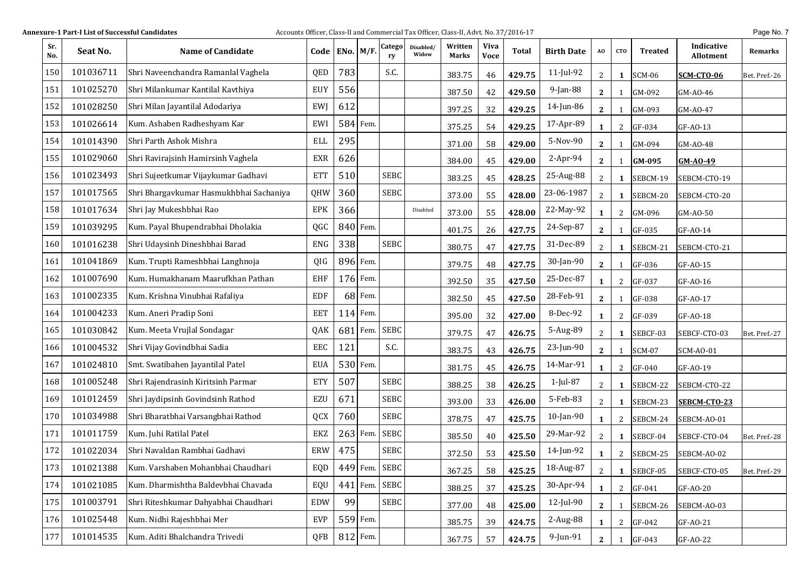| Sr.<br>No. | Seat No.  | <b>Name of Candidate</b>                | Code       | $ENo.$ $M/F.$ |          | Catego<br>ry | Disabled/<br>Widow | Written<br>Marks | <b>Viva</b><br><b>Voce</b> | Total  | <b>Birth Date</b> | AO             | <b>CTO</b>     | <b>Treated</b> | Indicative<br>Allotment | Remarks       |
|------------|-----------|-----------------------------------------|------------|---------------|----------|--------------|--------------------|------------------|----------------------------|--------|-------------------|----------------|----------------|----------------|-------------------------|---------------|
| 150        | 101036711 | Shri Naveenchandra Ramanlal Vaghela     | QED        | 783           |          | S.C.         |                    | 383.75           | 46                         | 429.75 | $11$ -Jul-92      | 2              | 1              | <b>SCM-06</b>  | <b>SCM-CTO-06</b>       | Bet. Pref.-26 |
| 151        | 101025270 | Shri Milankumar Kantilal Kavthiya       | <b>EUY</b> | 556           |          |              |                    | 387.50           | 42                         | 429.50 | 9-Jan-88          | $\mathbf{2}$   | -1             | GM-092         | GM-AO-46                |               |
| 152        | 101028250 | Shri Milan Jayantilal Adodariya         | <b>EW</b>  | 612           |          |              |                    | 397.25           | 32                         | 429.25 | 14-Jun-86         | $\mathbf{2}$   | 1              | GM-093         | GM-AO-47                |               |
| 153        | 101026614 | Kum. Ashaben Radheshyam Kar             | EWI        |               | 584 Fem. |              |                    | 375.25           | 54                         | 429.25 | 17-Apr-89         | 1              | 2              | GF-034         | GF-AO-13                |               |
| 154        | 101014390 | Shri Parth Ashok Mishra                 | ELL        | 295           |          |              |                    | 371.00           | 58                         | 429.00 | 5-Nov-90          | $\mathbf{2}$   | -1             | GM-094         | GM-AO-48                |               |
| 155        | 101029060 | Shri Ravirajsinh Hamirsinh Vaghela      | EXR        | 626           |          |              |                    | 384.00           | 45                         | 429.00 | $2-Apr-94$        | $\mathbf{2}$   | 1              | GM-095         | $GM-AO-49$              |               |
| 156        | 101023493 | Shri Sujeetkumar Vijaykumar Gadhavi     | <b>ETT</b> | 510           |          | <b>SEBC</b>  |                    | 383.25           | 45                         | 428.25 | 25-Aug-88         | 2              | 1              | SEBCM-19       | SEBCM-CTO-19            |               |
| 157        | 101017565 | Shri Bhargavkumar Hasmukhbhai Sachaniya | QHW        | 360           |          | <b>SEBC</b>  |                    | 373.00           | 55                         | 428.00 | 23-06-1987        | 2              | 1              | SEBCM-20       | SEBCM-CTO-20            |               |
| 158        | 101017634 | Shri Jay Mukeshbhai Rao                 | EPK        | 366           |          |              | Disabled           | 373.00           | 55                         | 428.00 | 22-May-92         | 1              | $\overline{2}$ | GM-096         | GM-AO-50                |               |
| 159        | 101039295 | Kum. Payal Bhupendrabhai Dholakia       | QGC        |               | 840 Fem. |              |                    | 401.75           | 26                         | 427.75 | 24-Sep-87         | $\mathbf{2}$   | 1              | GF-035         | GF-AO-14                |               |
| 160        | 101016238 | Shri Udaysinh Dineshbhai Barad          | ENG        | 338           |          | <b>SEBC</b>  |                    | 380.75           | 47                         | 427.75 | 31-Dec-89         | $\overline{2}$ | 1              | SEBCM-21       | SEBCM-CTO-21            |               |
| 161        | 101041869 | Kum. Trupti Rameshbhai Langhnoja        | QIG        |               | 896 Fem. |              |                    | 379.75           | 48                         | 427.75 | 30-Jan-90         | $\mathbf{2}$   | 1              | GF-036         | GF-AO-15                |               |
| 162        | 101007690 | Kum. Humakhanam Maarufkhan Pathan       | EHF        | 176 Fem.      |          |              |                    | 392.50           | 35                         | 427.50 | 25-Dec-87         | 1              | 2              | GF-037         | GF-AO-16                |               |
| 163        | 101002335 | Kum. Krishna Vinubhai Rafaliya          | EDF        |               | 68 Fem.  |              |                    | 382.50           | 45                         | 427.50 | 28-Feb-91         | $\mathbf{2}$   | 1              | GF-038         | GF-AO-17                |               |
| 164        | 101004233 | Kum. Aneri Pradip Soni                  | EET        |               | 114 Fem. |              |                    | 395.00           | 32                         | 427.00 | 8-Dec-92          | 1              | $\overline{2}$ | GF-039         | GF-AO-18                |               |
| 165        | 101030842 | Kum. Meeta Vrujlal Sondagar             | QAK        | 681           | Fem.     | <b>SEBC</b>  |                    | 379.75           | 47                         | 426.75 | 5-Aug-89          | 2              | 1              | SEBCF-03       | SEBCF-CTO-03            | Bet. Pref.-27 |
| 166        | 101004532 | Shri Vijay Govindbhai Sadia             | EEC        | 121           |          | S.C.         |                    | 383.75           | 43                         | 426.75 | 23-Jun-90         | $\mathbf{2}$   | $\mathbf{1}$   | <b>SCM-07</b>  | SCM-AO-01               |               |
| 167        | 101024810 | Smt. Swatibahen Jayantilal Patel        | <b>EUA</b> |               | 530 Fem. |              |                    | 381.75           | 45                         | 426.75 | 14-Mar-91         | $\mathbf{1}$   | 2              | GF-040         | GF-AO-19                |               |
| 168        | 101005248 | Shri Rajendrasinh Kiritsinh Parmar      | <b>ETY</b> | 507           |          | <b>SEBC</b>  |                    | 388.25           | 38                         | 426.25 | 1-Jul-87          | $\overline{2}$ | 1              | SEBCM-22       | SEBCM-CTO-22            |               |
| 169        | 101012459 | Shri Jaydipsinh Govindsinh Rathod       | EZU        | 671           |          | <b>SEBC</b>  |                    | 393.00           | 33                         | 426.00 | 5-Feb-83          | 2              | 1              | SEBCM-23       | SEBCM-CTO-23            |               |
| 170        | 101034988 | Shri Bharatbhai Varsangbhai Rathod      | QCX        | 760           |          | <b>SEBC</b>  |                    | 378.75           | 47                         | 425.75 | 10-Jan-90         | 1              | 2              | SEBCM-24       | SEBCM-AO-01             |               |
| 171        | 101011759 | Kum. Juhi Ratilal Patel                 | EKZ        |               | 263 Fem. | <b>SEBC</b>  |                    | 385.50           | 40                         | 425.50 | 29-Mar-92         | 2              | 1              | SEBCF-04       | SEBCF-CTO-04            | Bet. Pref.-28 |
| 172        | 101022034 | Shri Navaldan Rambhai Gadhavi           | ERW        | 475           |          | <b>SEBC</b>  |                    | 372.50           | 53                         | 425.50 | 14-Jun-92         | 1              | 2              | SEBCM-25       | SEBCM-AO-02             |               |
| 173        | 101021388 | Kum. Varshaben Mohanbhai Chaudhari      | EQD        |               | 449 Fem. | <b>SEBC</b>  |                    | 367.25           | 58                         | 425.25 | 18-Aug-87         | $\overline{c}$ | $\mathbf{1}$   | SEBCF-05       | SEBCF-CTO-05            | Bet. Pref.-29 |
| 174        | 101021085 | Kum. Dharmishtha Baldevbhai Chavada     | EQU        |               | 441 Fem. | <b>SEBC</b>  |                    | 388.25           | 37                         | 425.25 | 30-Apr-94         | $\mathbf{1}$   | 2              | GF-041         | GF-AO-20                |               |
| 175        | 101003791 | Shri Riteshkumar Dahyabhai Chaudhari    | <b>EDW</b> | 99            |          | <b>SEBC</b>  |                    | 377.00           | 48                         | 425.00 | 12-Jul-90         | $\mathbf{2}$   | 1              | SEBCM-26       | SEBCM-AO-03             |               |
| 176        | 101025448 | Kum. Nidhi Rajeshbhai Mer               | EVP        |               | 559 Fem. |              |                    | 385.75           | 39                         | 424.75 | 2-Aug-88          | 1              | 2              | GF-042         | GF-AO-21                |               |
| 177        | 101014535 | Kum. Aditi Bhalchandra Trivedi          | QFB        | 812 Fem.      |          |              |                    | 367.75           | 57                         | 424.75 | 9-Jun-91          | $\mathbf{2}$   | 1              | GF-043         | GF-AO-22                |               |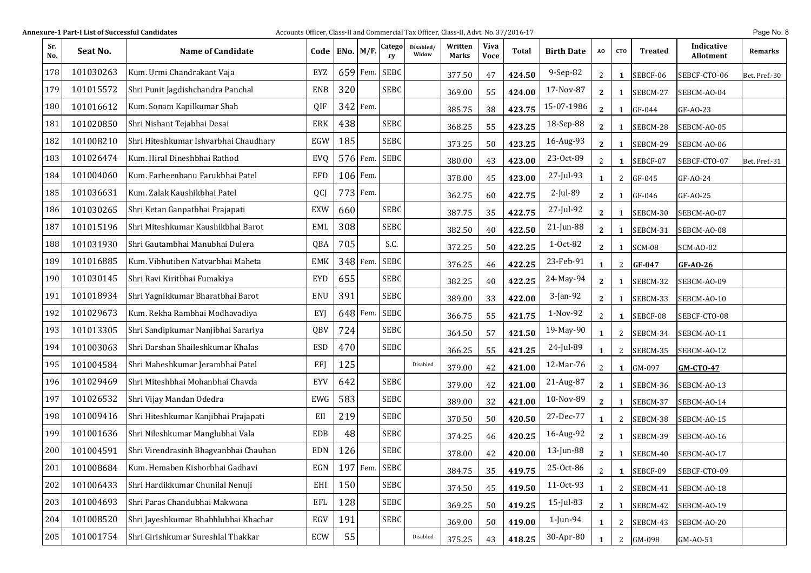| Sr.<br>No. | Seat No.  | <b>Name of Candidate</b>              |            | Code   ENo.   M/F. |          | Catego<br>ry | Disabled/<br>Widow | Written<br>Marks | <b>Viva</b><br><b>Voce</b> | <b>Total</b> | <b>Birth Date</b> | AO             | <b>CTO</b>   | <b>Treated</b> | Indicative<br><b>Allotment</b> | Remarks       |
|------------|-----------|---------------------------------------|------------|--------------------|----------|--------------|--------------------|------------------|----------------------------|--------------|-------------------|----------------|--------------|----------------|--------------------------------|---------------|
| 178        | 101030263 | Kum. Urmi Chandrakant Vaja            | EYZ        |                    | 659 Fem. | <b>SEBC</b>  |                    | 377.50           | 47                         | 424.50       | 9-Sep-82          | $\overline{2}$ | 1            | SEBCF-06       | SEBCF-CTO-06                   | Bet. Pref.-30 |
| 179        | 101015572 | Shri Punit Jagdishchandra Panchal     | <b>ENB</b> | 320                |          | <b>SEBC</b>  |                    | 369.00           | 55                         | 424.00       | 17-Nov-87         | $\mathbf{2}$   | -1           | SEBCM-27       | SEBCM-AO-04                    |               |
| 180        | 101016612 | Kum. Sonam Kapilkumar Shah            | QIF        |                    | 342 Fem. |              |                    | 385.75           | 38                         | 423.75       | 15-07-1986        | $\mathbf{2}$   | -1           | GF-044         | GF-A0-23                       |               |
| 181        | 101020850 | Shri Nishant Tejabhai Desai           | <b>ERK</b> | 438                |          | <b>SEBC</b>  |                    | 368.25           | 55                         | 423.25       | 18-Sep-88         | $\mathbf{2}$   | -1           | SEBCM-28       | SEBCM-AO-05                    |               |
| 182        | 101008210 | Shri Hiteshkumar Ishvarbhai Chaudhary | EGW        | 185                |          | <b>SEBC</b>  |                    | 373.25           | 50                         | 423.25       | 16-Aug-93         | $\mathbf{2}$   | -1           | SEBCM-29       | SEBCM-AO-06                    |               |
| 183        | 101026474 | Kum. Hiral Dineshbhai Rathod          | EVQ        |                    | 576 Fem. | <b>SEBC</b>  |                    | 380.00           | 43                         | 423.00       | 23-Oct-89         | $\overline{2}$ | 1            | SEBCF-07       | SEBCF-CTO-07                   | Bet. Pref.-31 |
| 184        | 101004060 | Kum. Farheenbanu Farukbhai Patel      | EFD        |                    | 106 Fem. |              |                    | 378.00           | 45                         | 423.00       | 27-Jul-93         | 1              | 2            | GF-045         | GF-AO-24                       |               |
| 185        | 101036631 | Kum. Zalak Kaushikbhai Patel          | QCJ        |                    | 773 Fem. |              |                    | 362.75           | 60                         | 422.75       | 2-Jul-89          | $\mathbf{2}$   | -1           | GF-046         | GF-AO-25                       |               |
| 186        | 101030265 | Shri Ketan Ganpatbhai Prajapati       | <b>EXW</b> | 660                |          | <b>SEBC</b>  |                    | 387.75           | 35                         | 422.75       | 27-Jul-92         | $\mathbf{2}$   |              | SEBCM-30       | SEBCM-AO-07                    |               |
| 187        | 101015196 | Shri Miteshkumar Kaushikbhai Barot    | EML        | 308                |          | <b>SEBC</b>  |                    | 382.50           | 40                         | 422.50       | 21-Jun-88         | $\mathbf{2}$   | -1           | SEBCM-31       | SEBCM-AO-08                    |               |
| 188        | 101031930 | Shri Gautambhai Manubhai Dulera       | QBA        | 705                |          | S.C.         |                    | 372.25           | 50                         | 422.25       | 1-Oct-82          | $\mathbf{2}$   | 1            | SCM-08         | SCM-AO-02                      |               |
| 189        | 101016885 | Kum. Vibhutiben Natvarbhai Maheta     | EMK        |                    | 348 Fem. | <b>SEBC</b>  |                    | 376.25           | 46                         | 422.25       | 23-Feb-91         | $\mathbf{1}$   | 2            | GF-047         | GF-AO-26                       |               |
| 190        | 101030145 | Shri Ravi Kiritbhai Fumakiya          | EYD        | 655                |          | <b>SEBC</b>  |                    | 382.25           | 40                         | 422.25       | 24-May-94         | $\mathbf{2}$   |              | SEBCM-32       | SEBCM-AO-09                    |               |
| 191        | 101018934 | Shri Yagnikkumar Bharatbhai Barot     | <b>ENU</b> | 391                |          | <b>SEBC</b>  |                    | 389.00           | 33                         | 422.00       | 3-Jan-92          | $\mathbf{2}$   | -1           | SEBCM-33       | SEBCM-AO-10                    |               |
| 192        | 101029673 | Kum. Rekha Rambhai Modhavadiya        | EYJ        |                    | 648 Fem. | <b>SEBC</b>  |                    | 366.75           | 55                         | 421.75       | 1-Nov-92          | $\overline{2}$ | 1            | SEBCF-08       | SEBCF-CTO-08                   |               |
| 193        | 101013305 | Shri Sandipkumar Nanjibhai Sarariya   | QBV        | 724                |          | <b>SEBC</b>  |                    | 364.50           | 57                         | 421.50       | 19-May-90         | $\mathbf{1}$   | 2            | SEBCM-34       | SEBCM-AO-11                    |               |
| 194        | 101003063 | Shri Darshan Shaileshkumar Khalas     | <b>ESD</b> | 470                |          | <b>SEBC</b>  |                    | 366.25           | 55                         | 421.25       | 24-Jul-89         | 1              | 2            | SEBCM-35       | SEBCM-AO-12                    |               |
| 195        | 101004584 | Shri Maheshkumar Jerambhai Patel      | EFJ        | 125                |          |              | Disabled           | 379.00           | 42                         | 421.00       | 12-Mar-76         | $\overline{2}$ | 1            | GM-097         | <b>GM-CTO-47</b>               |               |
| 196        | 101029469 | Shri Miteshbhai Mohanbhai Chavda      | <b>EYV</b> | 642                |          | <b>SEBC</b>  |                    | 379.00           | 42                         | 421.00       | 21-Aug-87         | $\mathbf{2}$   | $\mathbf{1}$ | SEBCM-36       | SEBCM-AO-13                    |               |
| 197        | 101026532 | Shri Vijay Mandan Odedra              | EWG        | 583                |          | <b>SEBC</b>  |                    | 389.00           | 32                         | 421.00       | 10-Nov-89         | $\mathbf{2}$   | 1            | SEBCM-37       | SEBCM-AO-14                    |               |
| 198        | 101009416 | Shri Hiteshkumar Kanjibhai Prajapati  | EII        | 219                |          | <b>SEBC</b>  |                    | 370.50           | 50                         | 420.50       | 27-Dec-77         | 1              | 2            | SEBCM-38       | SEBCM-AO-15                    |               |
| 199        | 101001636 | Shri Nileshkumar Manglubhai Vala      | EDB        | 48                 |          | <b>SEBC</b>  |                    | 374.25           | 46                         | 420.25       | 16-Aug-92         | $\mathbf{2}$   | 1            | SEBCM-39       | SEBCM-AO-16                    |               |
| 200        | 101004591 | Shri Virendrasinh Bhagvanbhai Chauhan | <b>EDN</b> | 126                |          | <b>SEBC</b>  |                    | 378.00           | 42                         | 420.00       | 13-Jun-88         | $\mathbf{2}$   | 1            | SEBCM-40       | SEBCM-AO-17                    |               |
| 201        | 101008684 | Kum. Hemaben Kishorbhai Gadhavi       | EGN        |                    | 197 Fem. | <b>SEBC</b>  |                    | 384.75           | 35                         | 419.75       | 25-Oct-86         | $\mathbf{2}$   | $\mathbf{1}$ | SEBCF-09       | SEBCF-CTO-09                   |               |
| 202        | 101006433 | Shri Hardikkumar Chunilal Nenuji      | EHI        | 150                |          | <b>SEBC</b>  |                    | 374.50           | 45                         | 419.50       | 11-Oct-93         | 1              | 2            | SEBCM-41       | SEBCM-AO-18                    |               |
| 203        | 101004693 | Shri Paras Chandubhai Makwana         | EFL        | 128                |          | <b>SEBC</b>  |                    | 369.25           | 50                         | 419.25       | 15-Jul-83         | $\mathbf{2}$   |              | SEBCM-42       | SEBCM-AO-19                    |               |
| 204        | 101008520 | Shri Jayeshkumar Bhabhlubhai Khachar  | EGV        | 191                |          | <b>SEBC</b>  |                    | 369.00           | 50                         | 419.00       | 1-Jun-94          | 1              | 2            | SEBCM-43       | SEBCM-AO-20                    |               |
| 205        | 101001754 | Shri Girishkumar Sureshlal Thakkar    | ECW        | 55                 |          |              | Disabled           | 375.25           | 43                         | 418.25       | 30-Apr-80         | -1             | 2            | GM-098         | GM-AO-51                       |               |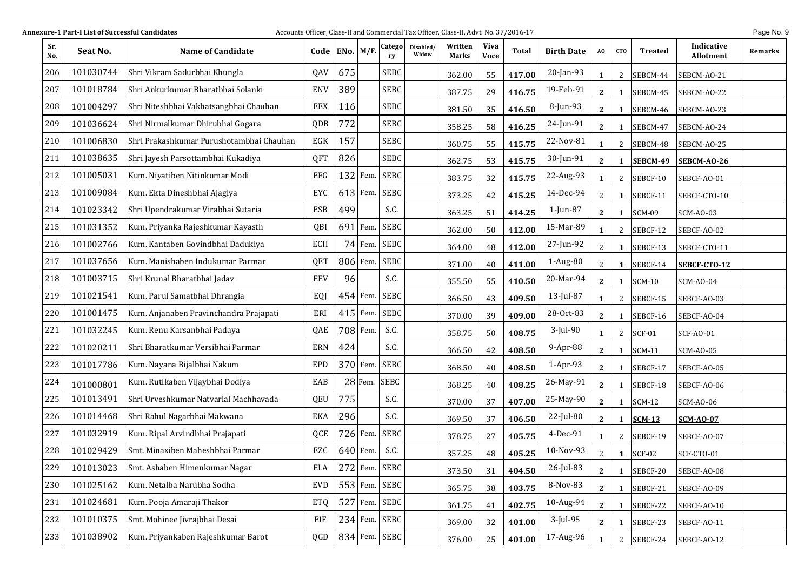|  | Page No. 9 |  |  |
|--|------------|--|--|
|--|------------|--|--|

| Sr.<br>No. | Seat No.  | <b>Name of Candidate</b>                 | Code ENo. M/F. |     |            | Catego<br>ry  | Disabled/<br>Widow | Written<br>Marks | <b>Viva</b><br><b>Voce</b> | Total  | <b>Birth Date</b> | AO             | <b>CTO</b>     | Treated       | Indicative<br><b>Allotment</b> | Remarks |
|------------|-----------|------------------------------------------|----------------|-----|------------|---------------|--------------------|------------------|----------------------------|--------|-------------------|----------------|----------------|---------------|--------------------------------|---------|
| 206        | 101030744 | Shri Vikram Sadurbhai Khungla            | QAV            | 675 |            | <b>SEBC</b>   |                    | 362.00           | 55                         | 417.00 | 20-Jan-93         | 1              | 2              | SEBCM-44      | SEBCM-AO-21                    |         |
| 207        | 101018784 | Shri Ankurkumar Bharatbhai Solanki       | <b>ENV</b>     | 389 |            | <b>SEBC</b>   |                    | 387.75           | 29                         | 416.75 | 19-Feb-91         | $\mathbf{2}$   |                | SEBCM-45      | SEBCM-AO-22                    |         |
| 208        | 101004297 | Shri Niteshbhai Vakhatsangbhai Chauhan   | EEX            | 116 |            | <b>SEBC</b>   |                    | 381.50           | 35                         | 416.50 | 8-Jun-93          | $\mathbf{2}$   |                | SEBCM-46      | SEBCM-AO-23                    |         |
| 209        | 101036624 | Shri Nirmalkumar Dhirubhai Gogara        | QDB            | 772 |            | <b>SEBC</b>   |                    | 358.25           | 58                         | 416.25 | 24-Jun-91         | $\mathbf{2}$   |                | SEBCM-47      | SEBCM-AO-24                    |         |
| 210        | 101006830 | Shri Prakashkumar Purushotambhai Chauhan | EGK            | 157 |            | <b>SEBC</b>   |                    | 360.75           | 55                         | 415.75 | 22-Nov-81         | 1              | 2              | SEBCM-48      | SEBCM-AO-25                    |         |
| 211        | 101038635 | Shri Jayesh Parsottambhai Kukadiya       | QFT            | 826 |            | <b>SEBC</b>   |                    | 362.75           | 53                         | 415.75 | 30-Jun-91         | $\mathbf{2}$   |                | SEBCM-49      | <b>SEBCM-AO-26</b>             |         |
| 212        | 101005031 | Kum. Niyatiben Nitinkumar Modi           | EFG            |     | $132$ Fem. | <b>SEBC</b>   |                    | 383.75           | 32                         | 415.75 | 22-Aug-93         | 1              | $\overline{2}$ | SEBCF-10      | SEBCF-AO-01                    |         |
| 213        | 101009084 | Kum. Ekta Dineshbhai Ajagiya             | EYC            |     | 613 Fem.   | <b>SEBC</b>   |                    | 373.25           | 42                         | 415.25 | 14-Dec-94         | $\overline{2}$ | 1              | SEBCF-11      | SEBCF-CTO-10                   |         |
| 214        | 101023342 | Shri Upendrakumar Virabhai Sutaria       | <b>ESB</b>     | 499 |            | S.C.          |                    | 363.25           | 51                         | 414.25 | 1-Jun-87          | $\mathbf{2}$   | $\mathbf{1}$   | <b>SCM-09</b> | <b>SCM-AO-03</b>               |         |
| 215        | 101031352 | Kum. Priyanka Rajeshkumar Kayasth        | QBI            |     | $691$ Fem. | <b>SEBC</b>   |                    | 362.00           | 50                         | 412.00 | 15-Mar-89         | 1              | 2              | SEBCF-12      | SEBCF-AO-02                    |         |
| 216        | 101002766 | Kum. Kantaben Govindbhai Dadukiya        | ECH            |     | $74$ Fem.  | <b>SEBC</b>   |                    | 364.00           | 48                         | 412.00 | 27-Jun-92         | $\overline{2}$ | 1              | SEBCF-13      | SEBCF-CTO-11                   |         |
| 217        | 101037656 | Kum. Manishaben Indukumar Parmar         | QET            |     | 806 Fem.   | <b>SEBC</b>   |                    | 371.00           | 40                         | 411.00 | 1-Aug-80          | $\overline{2}$ | 1              | SEBCF-14      | SEBCF-CTO-12                   |         |
| 218        | 101003715 | Shri Krunal Bharatbhai Jadav             | <b>EEV</b>     | 96  |            | S.C.          |                    | 355.50           | 55                         | 410.50 | 20-Mar-94         | $\mathbf{2}$   | 1              | <b>SCM-10</b> | <b>SCM-AO-04</b>               |         |
| 219        | 101021541 | Kum. Parul Samatbhai Dhrangia            | EQJ            |     | 454 Fem.   | <b>SEBC</b>   |                    | 366.50           | 43                         | 409.50 | 13-Jul-87         | 1              | $\mathbf{2}$   | SEBCF-15      | SEBCF-AO-03                    |         |
| 220        | 101001475 | Kum. Anjanaben Pravinchandra Prajapati   | ERI            |     | 415 Fem.   | <b>SEBC</b>   |                    | 370.00           | 39                         | 409.00 | 28-Oct-83         | $\mathbf{2}$   | 1              | SEBCF-16      | SEBCF-AO-04                    |         |
| 221        | 101032245 | Kum. Renu Karsanbhai Padaya              | QAE            |     | 708 Fem.   | S.C.          |                    | 358.75           | 50                         | 408.75 | 3-Jul-90          | 1              | $\mathbf{2}$   | <b>SCF-01</b> | <b>SCF-AO-01</b>               |         |
| 222        | 101020211 | Shri Bharatkumar Versibhai Parmar        | ERN            | 424 |            | S.C.          |                    | 366.50           | 42                         | 408.50 | 9-Apr-88          | $\mathbf{2}$   | 1              | <b>SCM-11</b> | <b>SCM-AO-05</b>               |         |
| 223        | 101017786 | Kum. Nayana Bijalbhai Nakum              | EPD            |     | 370 Fem.   | <b>SEBC</b>   |                    | 368.50           | 40                         | 408.50 | 1-Apr-93          | $\mathbf{2}$   | 1              | SEBCF-17      | SEBCF-AO-05                    |         |
| 224        | 101000801 | Kum. Rutikaben Vijaybhai Dodiya          | EAB            |     | 28 Fem.    | <b>SEBC</b>   |                    | 368.25           | 40                         | 408.25 | 26-May-91         | $\mathbf{2}$   | 1              | SEBCF-18      | SEBCF-AO-06                    |         |
| 225        | 101013491 | Shri Urveshkumar Natvarlal Machhavada    | QEU            | 775 |            | S.C.          |                    | 370.00           | 37                         | 407.00 | 25-May-90         | $\mathbf{2}$   | 1              | <b>SCM-12</b> | <b>SCM-AO-06</b>               |         |
| 226        | 101014468 | Shri Rahul Nagarbhai Makwana             | <b>EKA</b>     | 296 |            | S.C.          |                    | 369.50           | 37                         | 406.50 | 22-Jul-80         | $\mathbf{2}$   | 1              | <b>SCM-13</b> | <b>SCM-AO-07</b>               |         |
| 227        | 101032919 | Kum. Ripal Arvindbhai Prajapati          | QCE            |     | 726 Fem.   | <b>SEBC</b>   |                    | 378.75           | 27                         | 405.75 | 4-Dec-91          | 1              | $\mathbf{2}$   | SEBCF-19      | SEBCF-AO-07                    |         |
| 228        | 101029429 | Smt. Minaxiben Maheshbhai Parmar         | EZC            |     | 640 Fem.   | S.C.          |                    | 357.25           | 48                         | 405.25 | 10-Nov-93         | $\overline{a}$ | 1              | <b>SCF-02</b> | SCF-CTO-01                     |         |
| 229        | 101013023 | Smt. Ashaben Himenkumar Nagar            | ELA            |     |            | 272 Fem. SEBC |                    | 373.50           | 31                         | 404.50 | 26-Jul-83         | $\mathbf{2}$   | $\mathbf{1}$   | SEBCF-20      | SEBCF-AO-08                    |         |
| 230        | 101025162 | Kum. Netalba Narubha Sodha               | <b>EVD</b>     |     |            | 553 Fem. SEBC |                    | 365.75           | 38                         | 403.75 | 8-Nov-83          | $\mathbf{2}$   |                | SEBCF-21      | SEBCF-AO-09                    |         |
| 231        | 101024681 | Kum. Pooja Amaraji Thakor                | ETQ            |     |            | 527 Fem. SEBC |                    | 361.75           | 41                         | 402.75 | 10-Aug-94         | $\mathbf{2}$   | 1              | SEBCF-22      | SEBCF-AO-10                    |         |
| 232        | 101010375 | Smt. Mohinee Jivrajbhai Desai            | EIF            |     |            | 234 Fem. SEBC |                    | 369.00           | 32                         | 401.00 | 3-Jul-95          | $\mathbf{2}$   |                | SEBCF-23      | SEBCF-AO-11                    |         |
| 233        | 101038902 | Kum. Priyankaben Rajeshkumar Barot       | QGD            |     |            | 834 Fem. SEBC |                    | 376.00           | 25                         | 401.00 | 17-Aug-96         | 1              |                | 2 SEBCF-24    | SEBCF-AO-12                    |         |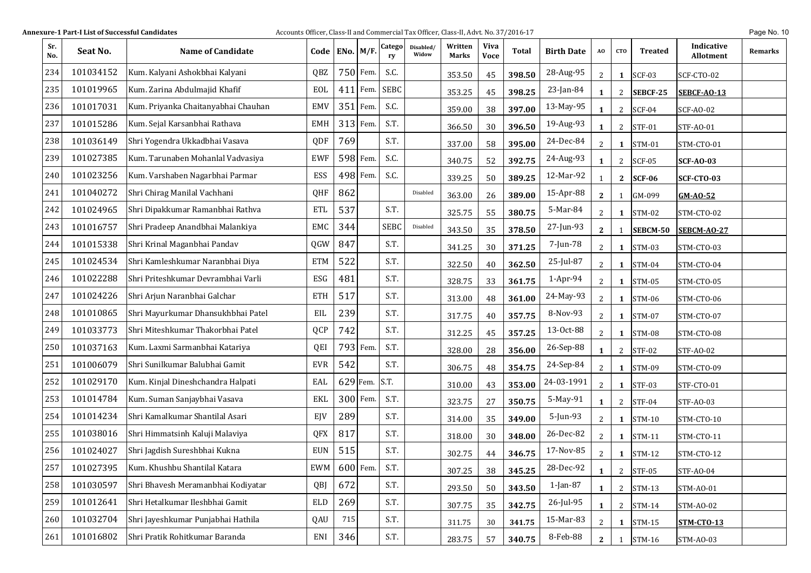| Sr.<br>No. | Seat No.  | <b>Name of Candidate</b>            | Code   ENo. $M/F$ . |     |            | Catego<br>ry | Disabled/<br>Widow | Written<br>Marks | <b>Viva</b><br><b>Voce</b> | Total  | <b>Birth Date</b> | A0           | <b>CTO</b>   | <b>Treated</b> | Indicative<br><b>Allotment</b> | Remarks |
|------------|-----------|-------------------------------------|---------------------|-----|------------|--------------|--------------------|------------------|----------------------------|--------|-------------------|--------------|--------------|----------------|--------------------------------|---------|
| 234        | 101034152 | Kum. Kalyani Ashokbhai Kalyani      | QBZ                 |     | 750 Fem.   | S.C.         |                    | 353.50           | 45                         | 398.50 | 28-Aug-95         | 2            | 1            | <b>SCF-03</b>  | SCF-CTO-02                     |         |
| 235        | 101019965 | Kum. Zarina Abdulmajid Khafif       | EOL                 | 411 | Fem.       | <b>SEBC</b>  |                    | 353.25           | 45                         | 398.25 | 23-Jan-84         | $\mathbf{1}$ | 2            | SEBCF-25       | <b>SEBCF-AO-13</b>             |         |
| 236        | 101017031 | Kum. Priyanka Chaitanyabhai Chauhan | <b>EMV</b>          | 351 | Fem.       | S.C.         |                    | 359.00           | 38                         | 397.00 | 13-May-95         | $\mathbf{1}$ | 2            | <b>SCF-04</b>  | <b>SCF-AO-02</b>               |         |
| 237        | 101015286 | Kum. Sejal Karsanbhai Rathava       | <b>EMH</b>          |     | 313 Fem.   | S.T.         |                    | 366.50           | 30                         | 396.50 | 19-Aug-93         | $\mathbf{1}$ | 2            | <b>STF-01</b>  | <b>STF-AO-01</b>               |         |
| 238        | 101036149 | Shri Yogendra Ukkadbhai Vasava      | QDF                 | 769 |            | S.T.         |                    | 337.00           | 58                         | 395.00 | 24-Dec-84         | 2            | 1            | <b>STM-01</b>  | STM-CTO-01                     |         |
| 239        | 101027385 | Kum. Tarunaben Mohanlal Vadvasiya   | <b>EWF</b>          |     | 598 Fem.   | S.C.         |                    | 340.75           | 52                         | 392.75 | 24-Aug-93         | $\mathbf{1}$ | 2            | <b>SCF-05</b>  | <b>SCF-AO-03</b>               |         |
| 240        | 101023256 | Kum. Varshaben Nagarbhai Parmar     | ESS                 |     | 498 Fem.   | S.C.         |                    | 339.25           | 50                         | 389.25 | 12-Mar-92         | 1            | $\mathbf{2}$ | <b>SCF-06</b>  | <b>SCF-CTO-03</b>              |         |
| 241        | 101040272 | Shri Chirag Manilal Vachhani        | QHF                 | 862 |            |              | Disabled           | 363.00           | 26                         | 389.00 | 15-Apr-88         | $\mathbf{2}$ | 1            | GM-099         | GM-AO-52                       |         |
| 242        | 101024965 | Shri Dipakkumar Ramanbhai Rathva    | <b>ETL</b>          | 537 |            | S.T.         |                    | 325.75           | 55                         | 380.75 | 5-Mar-84          | 2            | 1            | <b>STM-02</b>  | STM-CTO-02                     |         |
| 243        | 101016757 | Shri Pradeep Anandbhai Malankiya    | EMC                 | 344 |            | <b>SEBC</b>  | Disabled           | 343.50           | 35                         | 378.50 | 27-Jun-93         | $\mathbf{2}$ | 1            | SEBCM-50       | <b>SEBCM-AO-27</b>             |         |
| 244        | 101015338 | Shri Krinal Maganbhai Pandav        | QGW                 | 847 |            | S.T.         |                    | 341.25           | 30                         | 371.25 | 7-Jun-78          | 2            | 1            | <b>STM-03</b>  | STM-CTO-03                     |         |
| 245        | 101024534 | Shri Kamleshkumar Naranbhai Diya    | <b>ETM</b>          | 522 |            | S.T.         |                    | 322.50           | 40                         | 362.50 | 25-Jul-87         | 2            | 1            | STM-04         | STM-CTO-04                     |         |
| 246        | 101022288 | Shri Priteshkumar Devrambhai Varli  | ESG                 | 481 |            | S.T.         |                    | 328.75           | 33                         | 361.75 | $1-Apr-94$        | 2            | 1            | <b>STM-05</b>  | STM-CTO-05                     |         |
| 247        | 101024226 | Shri Arjun Naranbhai Galchar        | <b>ETH</b>          | 517 |            | S.T.         |                    | 313.00           | 48                         | 361.00 | 24-May-93         | 2            | 1            | STM-06         | STM-CTO-06                     |         |
| 248        | 101010865 | Shri Mayurkumar Dhansukhbhai Patel  | EIL                 | 239 |            | S.T.         |                    | 317.75           | 40                         | 357.75 | 8-Nov-93          | 2            | 1            | STM-07         | STM-CTO-07                     |         |
| 249        | 101033773 | Shri Miteshkumar Thakorbhai Patel   | QCP                 | 742 |            | S.T.         |                    | 312.25           | 45                         | 357.25 | 13-Oct-88         | 2            | 1            | <b>STM-08</b>  | STM-CTO-08                     |         |
| 250        | 101037163 | Kum. Laxmi Sarmanbhai Katariya      | QEI                 |     | 793 Fem.   | S.T.         |                    | 328.00           | 28                         | 356.00 | 26-Sep-88         | $\mathbf{1}$ | 2            | <b>STF-02</b>  | STF-AO-02                      |         |
| 251        | 101006079 | Shri Sunilkumar Balubhai Gamit      | <b>EVR</b>          | 542 |            | S.T.         |                    | 306.75           | 48                         | 354.75 | 24-Sep-84         | 2            | 1            | STM-09         | STM-CTO-09                     |         |
| 252        | 101029170 | Kum. Kinjal Dineshchandra Halpati   | EAL                 |     | 629 Fem.   | S.T.         |                    | 310.00           | 43                         | 353.00 | 24-03-1991        | 2            | 1            | <b>STF-03</b>  | STF-CTO-01                     |         |
| 253        | 101014784 | Kum. Suman Sanjaybhai Vasava        | <b>EKL</b>          |     | 300 Fem.   | S.T.         |                    | 323.75           | 27                         | 350.75 | 5-May-91          | $\mathbf{1}$ | 2            | <b>STF-04</b>  | STF-A0-03                      |         |
| 254        | 101014234 | Shri Kamalkumar Shantilal Asari     | EJV                 | 289 |            | S.T.         |                    | 314.00           | 35                         | 349.00 | $5$ -Jun-93       | 2            | 1            | <b>STM-10</b>  | STM-CTO-10                     |         |
| 255        | 101038016 | Shri Himmatsinh Kaluji Malaviya     | QFX                 | 817 |            | S.T.         |                    | 318.00           | 30                         | 348.00 | 26-Dec-82         | 2            | 1            | <b>STM-11</b>  | STM-CTO-11                     |         |
| 256        | 101024027 | Shri Jagdish Sureshbhai Kukna       | <b>EUN</b>          | 515 |            | S.T.         |                    | 302.75           | 44                         | 346.75 | 17-Nov-85         | 2            | $\mathbf{1}$ | <b>STM-12</b>  | STM-CTO-12                     |         |
| 257        | 101027395 | Kum. Khushbu Shantilal Katara       | EWM                 |     | $600$ Fem. | S.T.         |                    | 307.25           | 38                         | 345.25 | 28-Dec-92         | $\mathbf{L}$ | $\mathbf{2}$ | $STF-05$       | <b>STF-AO-04</b>               |         |
| 258        | 101030597 | Shri Bhavesh Meramanbhai Kodiyatar  | QBJ                 | 672 |            | S.T.         |                    | 293.50           | 50                         | 343.50 | 1-Jan-87          | $\mathbf{1}$ | $\mathbf{2}$ | <b>STM-13</b>  | STM-AO-01                      |         |
| 259        | 101012641 | Shri Hetalkumar Ileshbhai Gamit     | ELD                 | 269 |            | S.T.         |                    | 307.75           | 35                         | 342.75 | 26-Jul-95         | 1            | $\mathbf{2}$ | <b>STM-14</b>  | STM-AO-02                      |         |
| 260        | 101032704 | Shri Jayeshkumar Punjabhai Hathila  | QAU                 | 715 |            | S.T.         |                    | 311.75           | 30                         | 341.75 | 15-Mar-83         | 2            | 1            | <b>STM-15</b>  | <b>STM-CTO-13</b>              |         |
| 261        | 101016802 | Shri Pratik Rohitkumar Baranda      | ENI                 | 346 |            | S.T.         |                    | 283.75           | 57                         | 340.75 | 8-Feb-88          | $\mathbf{2}$ | 1            | STM-16         | <b>STM-AO-03</b>               |         |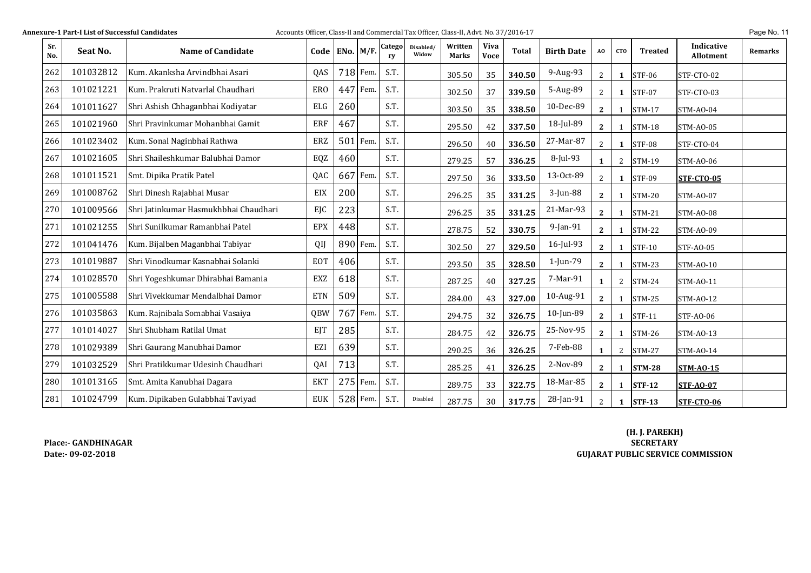| <b>Annexure-1 Part-I List of Successful Candidates</b> |  |  |
|--------------------------------------------------------|--|--|
|--------------------------------------------------------|--|--|

#### **Particle Burnal Commercial Tax Officer, Class-II and Commercial Tax Officer, Class-II, Advt. No. 37/2016-17 <b>Page No. 11** Page No. 11

| Sr.<br>No. | Seat No.  | <b>Name of Candidate</b>              | Code       | ENo. $M/F$ . |            | Catego<br>rv | Disabled/<br>Widow | Written<br><b>Marks</b> | <b>Viva</b><br><b>Voce</b> | <b>Total</b> | <b>Birth Date</b> | AO           | CT <sub>0</sub> | <b>Treated</b> | Indicative<br><b>Allotment</b> | <b>Remarks</b> |
|------------|-----------|---------------------------------------|------------|--------------|------------|--------------|--------------------|-------------------------|----------------------------|--------------|-------------------|--------------|-----------------|----------------|--------------------------------|----------------|
| 262        | 101032812 | Kum. Akanksha Arvindbhai Asari        | <b>OAS</b> |              | 718 Fem.   | S.T.         |                    | 305.50                  | 35                         | 340.50       | 9-Aug-93          | $\mathbf{2}$ | $\mathbf{1}$    | <b>STF-06</b>  | STF-CTO-02                     |                |
| 263        | 101021221 | Kum. Prakruti Natvarlal Chaudhari     | <b>ERO</b> |              | 447 Fem.   | S.T.         |                    | 302.50                  | 37                         | 339.50       | 5-Aug-89          | 2            | 1               | <b>STF-07</b>  | STF-CTO-03                     |                |
| 264        | 101011627 | Shri Ashish Chhaganbhai Kodiyatar     | ELG        | 260          |            | S.T.         |                    | 303.50                  | 35                         | 338.50       | 10-Dec-89         | $\mathbf{2}$ |                 | $STM-17$       | <b>STM-AO-04</b>               |                |
| 265        | 101021960 | Shri Pravinkumar Mohanbhai Gamit      | ERF        | 467          |            | S.T.         |                    | 295.50                  | 42                         | 337.50       | 18-Jul-89         | $2^{\circ}$  | 1               | <b>STM-18</b>  | <b>STM-AO-05</b>               |                |
| 266        | 101023402 | Kum. Sonal Naginbhai Rathwa           | ERZ        |              | $501$ Fem. | S.T.         |                    | 296.50                  | 40                         | 336.50       | 27-Mar-87         | 2            | 1               | <b>STF-08</b>  | STF-CTO-04                     |                |
| 267        | 101021605 | Shri Shaileshkumar Balubhai Damor     | EQZ        | 460          |            | S.T.         |                    | 279.25                  | 57                         | 336.25       | 8-Jul-93          | 1            | 2               | <b>STM-19</b>  | STM-AO-06                      |                |
| 268        | 101011521 | Smt. Dipika Pratik Patel              | QAC        |              | 667 Fem.   | S.T.         |                    | 297.50                  | 36                         | 333.50       | 13-Oct-89         | 2            | 1               | <b>STF-09</b>  | <b>STF-CTO-05</b>              |                |
| 269        | 101008762 | Shri Dinesh Rajabhai Musar            | EIX        | 200          |            | S.T.         |                    | 296.25                  | 35                         | 331.25       | 3-Jun-88          | $\mathbf{2}$ | 1               | <b>STM-20</b>  | <b>STM-AO-07</b>               |                |
| 270        | 101009566 | Shri Jatinkumar Hasmukhbhai Chaudhari | EIC        | 223          |            | S.T.         |                    | 296.25                  | 35                         | 331.25       | 21-Mar-93         | $\mathbf{2}$ |                 | <b>STM-21</b>  | <b>STM-AO-08</b>               |                |
| 271        | 101021255 | Shri Sunilkumar Ramanbhai Patel       | <b>EPX</b> | 448          |            | S.T.         |                    | 278.75                  | 52                         | 330.75       | 9-Jan-91          | $\mathbf{2}$ |                 | <b>STM-22</b>  | STM-A0-09                      |                |
| 272        | 101041476 | Kum. Bijalben Maganbhai Tabiyar       | QIJ        |              | 890 Fem.   | S.T.         |                    | 302.50                  | 27                         | 329.50       | 16-Jul-93         | $\mathbf{2}$ |                 | <b>STF-10</b>  | STF-AO-05                      |                |
| 273        | 101019887 | Shri Vinodkumar Kasnabhai Solanki     | <b>EOT</b> | 406          |            | S.T.         |                    | 293.50                  | 35                         | 328.50       | 1-Jun-79          | $\mathbf{2}$ |                 | $STM-23$       | <b>STM-AO-10</b>               |                |
| 274        | 101028570 | Shri Yogeshkumar Dhirabhai Bamania    | EXZ        | 618          |            | S.T.         |                    | 287.25                  | 40                         | 327.25       | 7-Mar-91          | 1            | 2               | <b>STM-24</b>  | <b>STM-AO-11</b>               |                |
| 275        | 101005588 | lShri Vivekkumar Mendalbhai Damor     | <b>ETN</b> | 509          |            | S.T.         |                    | 284.00                  | 43                         | 327.00       | 10-Aug-91         | $\mathbf{2}$ |                 | $STM-25$       | STM-A0-12                      |                |
| 276        | 101035863 | Kum. Rajnibala Somabhai Vasaiya       | QBW        |              | 767 Fem.   | S.T.         |                    | 294.75                  | 32                         | 326.75       | 10-Jun-89         | $\mathbf{2}$ |                 | <b>STF-11</b>  | STF-AO-06                      |                |
| 277        | 101014027 | Shri Shubham Ratilal Umat             | EIT        | 285          |            | S.T.         |                    | 284.75                  | 42                         | 326.75       | 25-Nov-95         | $\mathbf{2}$ |                 | <b>STM-26</b>  | <b>STM-AO-13</b>               |                |
| 278        | 101029389 | Shri Gaurang Manubhai Damor           | EZI        | 639          |            | S.T.         |                    | 290.25                  | 36                         | 326.25       | 7-Feb-88          | 1            | 2               | $STM-27$       | STM-A0-14                      |                |
| 279        | 101032529 | Shri Pratikkumar Udesinh Chaudhari    | QAI        | 713          |            | S.T.         |                    | 285.25                  | 41                         | 326.25       | 2-Nov-89          | $\mathbf{2}$ |                 | <b>STM-28</b>  | <b>STM-AO-15</b>               |                |
| 280        | 101013165 | Smt. Amita Kanubhai Dagara            | <b>EKT</b> |              | 275 Fem.   | S.T.         |                    | 289.75                  | 33                         | 322.75       | 18-Mar-85         | $\mathbf{2}$ |                 | <b>STF-12</b>  | <b>STF-AO-07</b>               |                |
| 281        | 101024799 | Kum. Dipikaben Gulabbhai Taviyad      | <b>EUK</b> |              | 528 Fem.   | S.T.         | Disabled           | 287.75                  | 30                         | 317.75       | 28-Jan-91         | 2            | $\mathbf 1$     | <b>STF-13</b>  | STF-CTO-06                     |                |

**Place:‐ GANDHINAGARDate:‐ 09‐02‐2018**

**(H. J. PAREKH) SECRETARY GUJARAT PUBLIC SERVICE COMMISSION**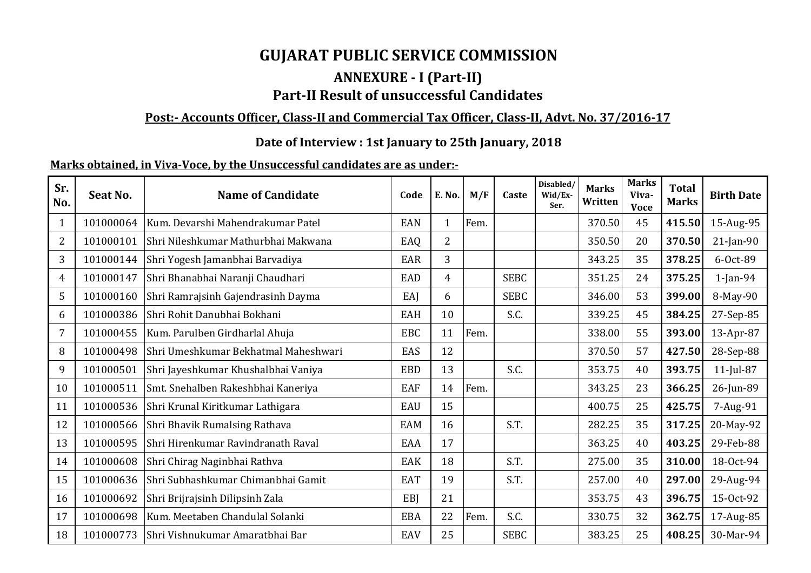# **GUJARAT PUBLIC SERVICE COMMISSION**

# **ANNEXURE ‐ I (Part‐II) Part‐II Result of unsuccessful Candidates**

# <u> Post:- Accounts Officer, Class-II and Commercial Tax Officer, Class-II, Advt. No. 37/2016-17</u>

# **Date of Interview : 1st January to 25th January, 2018**

# **Marks obtained, in Viva‐Voce, by the Unsuccessful candidates are as under:‐**

| Sr.<br>No. | Seat No.  | <b>Name of Candidate</b>             | Code       | E. No.         | M/F  | Caste       | Disabled/<br>Wid/Ex-<br>Ser. | <b>Marks</b><br>Written | <b>Marks</b><br>Viva-<br><b>Voce</b> | <b>Total</b><br><b>Marks</b> | <b>Birth Date</b> |
|------------|-----------|--------------------------------------|------------|----------------|------|-------------|------------------------------|-------------------------|--------------------------------------|------------------------------|-------------------|
| 1          | 101000064 | Kum. Devarshi Mahendrakumar Patel    | EAN        | 1              | Fem. |             |                              | 370.50                  | 45                                   | 415.50                       | 15-Aug-95         |
| 2          | 101000101 | Shri Nileshkumar Mathurbhai Makwana  | EAQ        | $\overline{2}$ |      |             |                              | 350.50                  | 20                                   | 370.50                       | $21$ -Jan-90      |
| 3          | 101000144 | Shri Yogesh Jamanbhai Barvadiya      | EAR        | 3              |      |             |                              | 343.25                  | 35                                   | 378.25                       | 6-0ct-89          |
| 4          | 101000147 | Shri Bhanabhai Naranji Chaudhari     | <b>EAD</b> | 4              |      | <b>SEBC</b> |                              | 351.25                  | 24                                   | 375.25                       | $1$ -Jan-94       |
| 5          | 101000160 | Shri Ramrajsinh Gajendrasinh Dayma   | EAJ        | 6              |      | <b>SEBC</b> |                              | 346.00                  | 53                                   | 399.00                       | 8-May-90          |
| 6          | 101000386 | Shri Rohit Danubhai Bokhani          | EAH        | 10             |      | S.C.        |                              | 339.25                  | 45                                   | 384.25                       | 27-Sep-85         |
| 7          | 101000455 | Kum. Parulben Girdharlal Ahuja       | <b>EBC</b> | 11             | Fem. |             |                              | 338.00                  | 55                                   | 393.00                       | 13-Apr-87         |
| 8          | 101000498 | Shri Umeshkumar Bekhatmal Maheshwari | EAS        | 12             |      |             |                              | 370.50                  | 57                                   | 427.50                       | 28-Sep-88         |
| 9          | 101000501 | Shri Jayeshkumar Khushalbhai Vaniya  | <b>EBD</b> | 13             |      | S.C.        |                              | 353.75                  | 40                                   | 393.75                       | $11$ -Jul-87      |
| 10         | 101000511 | Smt. Snehalben Rakeshbhai Kaneriya   | EAF        | 14             | Fem. |             |                              | 343.25                  | 23                                   | 366.25                       | 26-Jun-89         |
| 11         | 101000536 | Shri Krunal Kiritkumar Lathigara     | EAU        | 15             |      |             |                              | 400.75                  | 25                                   | 425.75                       | 7-Aug-91          |
| 12         | 101000566 | Shri Bhavik Rumalsing Rathava        | <b>EAM</b> | 16             |      | S.T.        |                              | 282.25                  | 35                                   | 317.25                       | 20-May-92         |
| 13         | 101000595 | Shri Hirenkumar Ravindranath Raval   | EAA        | 17             |      |             |                              | 363.25                  | 40                                   | 403.25                       | 29-Feb-88         |
| 14         | 101000608 | Shri Chirag Naginbhai Rathva         | <b>EAK</b> | 18             |      | S.T.        |                              | 275.00                  | 35                                   | 310.00                       | 18-Oct-94         |
| 15         | 101000636 | Shri Subhashkumar Chimanbhai Gamit   | <b>EAT</b> | 19             |      | S.T.        |                              | 257.00                  | 40                                   | 297.00                       | 29-Aug-94         |
| 16         | 101000692 | Shri Brijrajsinh Dilipsinh Zala      | EBI        | 21             |      |             |                              | 353.75                  | 43                                   | 396.75                       | 15-Oct-92         |
| 17         | 101000698 | Kum. Meetaben Chandulal Solanki      | <b>EBA</b> | 22             | Fem. | S.C.        |                              | 330.75                  | 32                                   | 362.75                       | 17-Aug-85         |
| 18         | 101000773 | Shri Vishnukumar Amaratbhai Bar      | EAV        | 25             |      | <b>SEBC</b> |                              | 383.25                  | 25                                   | 408.25                       | 30-Mar-94         |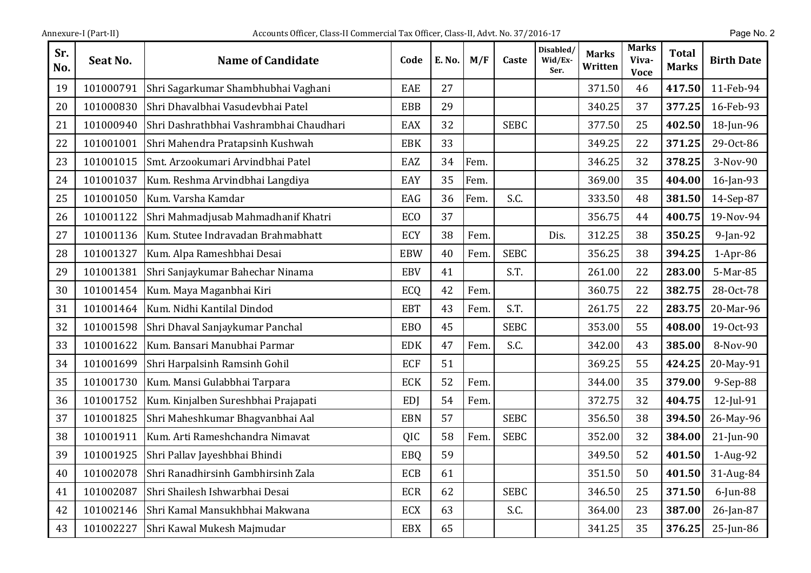| Sr.<br>No. | Seat No.  | <b>Name of Candidate</b>                | Code       | E. No. | M/F  | Caste       | Disabled/<br>Wid/Ex-<br>Ser. | <b>Marks</b><br>Written | <b>Marks</b><br>Viva-<br><b>Voce</b> | <b>Total</b><br><b>Marks</b> | <b>Birth Date</b> |
|------------|-----------|-----------------------------------------|------------|--------|------|-------------|------------------------------|-------------------------|--------------------------------------|------------------------------|-------------------|
| 19         | 101000791 | Shri Sagarkumar Shambhubhai Vaghani     | EAE        | 27     |      |             |                              | 371.50                  | 46                                   | 417.50                       | 11-Feb-94         |
| 20         | 101000830 | Shri Dhavalbhai Vasudevbhai Patel       | <b>EBB</b> | 29     |      |             |                              | 340.25                  | 37                                   | 377.25                       | 16-Feb-93         |
| 21         | 101000940 | Shri Dashrathbhai Vashrambhai Chaudhari | <b>EAX</b> | 32     |      | <b>SEBC</b> |                              | 377.50                  | 25                                   | 402.50                       | 18-Jun-96         |
| 22         | 101001001 | Shri Mahendra Pratapsinh Kushwah        | <b>EBK</b> | 33     |      |             |                              | 349.25                  | 22                                   | 371.25                       | 29-Oct-86         |
| 23         | 101001015 | Smt. Arzookumari Arvindbhai Patel       | EAZ        | 34     | Fem. |             |                              | 346.25                  | 32                                   | 378.25                       | 3-Nov-90          |
| 24         | 101001037 | Kum. Reshma Arvindbhai Langdiya         | EAY        | 35     | Fem. |             |                              | 369.00                  | 35                                   | 404.00                       | 16-Jan-93         |
| 25         | 101001050 | Kum. Varsha Kamdar                      | EAG        | 36     | Fem. | S.C.        |                              | 333.50                  | 48                                   | 381.50                       | 14-Sep-87         |
| 26         | 101001122 | Shri Mahmadjusab Mahmadhanif Khatri     | ECO        | 37     |      |             |                              | 356.75                  | 44                                   | 400.75                       | 19-Nov-94         |
| 27         | 101001136 | Kum. Stutee Indravadan Brahmabhatt      | ECY        | 38     | Fem. |             | Dis.                         | 312.25                  | 38                                   | 350.25                       | $9$ -Jan-92       |
| 28         | 101001327 | Kum. Alpa Rameshbhai Desai              | <b>EBW</b> | 40     | Fem. | <b>SEBC</b> |                              | 356.25                  | 38                                   | 394.25                       | $1-Apr-86$        |
| 29         | 101001381 | Shri Sanjaykumar Bahechar Ninama        | <b>EBV</b> | 41     |      | S.T.        |                              | 261.00                  | 22                                   | 283.00                       | 5-Mar-85          |
| 30         | 101001454 | Kum. Maya Maganbhai Kiri                | ECQ        | 42     | Fem. |             |                              | 360.75                  | 22                                   | 382.75                       | 28-Oct-78         |
| 31         | 101001464 | Kum. Nidhi Kantilal Dindod              | <b>EBT</b> | 43     | Fem. | S.T.        |                              | 261.75                  | 22                                   | 283.75                       | 20-Mar-96         |
| 32         | 101001598 | Shri Dhaval Sanjaykumar Panchal         | <b>EBO</b> | 45     |      | <b>SEBC</b> |                              | 353.00                  | 55                                   | 408.00                       | 19-0ct-93         |
| 33         | 101001622 | Kum. Bansari Manubhai Parmar            | <b>EDK</b> | 47     | Fem. | S.C.        |                              | 342.00                  | 43                                   | 385.00                       | 8-Nov-90          |
| 34         | 101001699 | Shri Harpalsinh Ramsinh Gohil           | <b>ECF</b> | 51     |      |             |                              | 369.25                  | 55                                   | 424.25                       | 20-May-91         |
| 35         | 101001730 | Kum. Mansi Gulabbhai Tarpara            | <b>ECK</b> | 52     | Fem. |             |                              | 344.00                  | 35                                   | 379.00                       | 9-Sep-88          |
| 36         | 101001752 | Kum. Kinjalben Sureshbhai Prajapati     | <b>EDI</b> | 54     | Fem. |             |                              | 372.75                  | 32                                   | 404.75                       | $12$ -Jul-91      |
| 37         | 101001825 | Shri Maheshkumar Bhagvanbhai Aal        | <b>EBN</b> | 57     |      | <b>SEBC</b> |                              | 356.50                  | 38                                   | 394.50                       | 26-May-96         |
| 38         | 101001911 | Kum. Arti Rameshchandra Nimavat         | <b>QIC</b> | 58     | Fem. | <b>SEBC</b> |                              | 352.00                  | 32                                   | 384.00                       | 21-Jun-90         |
| 39         | 101001925 | Shri Pallav Jayeshbhai Bhindi           | EBQ        | 59     |      |             |                              | 349.50                  | 52                                   | 401.50                       | 1-Aug-92          |
| 40         | 101002078 | Shri Ranadhirsinh Gambhirsinh Zala      | <b>ECB</b> | 61     |      |             |                              | 351.50                  | 50                                   | 401.50                       | 31-Aug-84         |
| 41         | 101002087 | Shri Shailesh Ishwarbhai Desai          | <b>ECR</b> | 62     |      | <b>SEBC</b> |                              | 346.50                  | 25                                   | 371.50                       | $6$ -Jun-88       |
| 42         | 101002146 | Shri Kamal Mansukhbhai Makwana          | <b>ECX</b> | 63     |      | S.C.        |                              | 364.00                  | 23                                   | 387.00                       | 26-Jan-87         |
| 43         | 101002227 | Shri Kawal Mukesh Majmudar              | <b>EBX</b> | 65     |      |             |                              | 341.25                  | 35                                   | 376.25                       | 25-Jun-86         |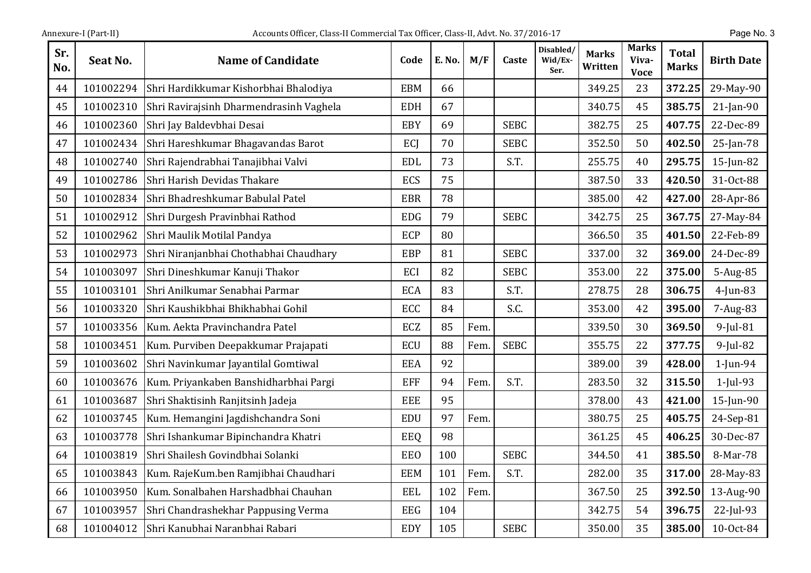| Sr.<br>No. | <b>Seat No.</b> | <b>Name of Candidate</b>                | Code       | <b>E. No.</b> | M/F  | Caste       | Disabled/<br>Wid/Ex-<br>Ser. | <b>Marks</b><br>Written | <b>Marks</b><br>Viva-<br><b>Voce</b> | <b>Total</b><br><b>Marks</b> | <b>Birth Date</b> |
|------------|-----------------|-----------------------------------------|------------|---------------|------|-------------|------------------------------|-------------------------|--------------------------------------|------------------------------|-------------------|
| 44         | 101002294       | Shri Hardikkumar Kishorbhai Bhalodiya   | <b>EBM</b> | 66            |      |             |                              | 349.25                  | 23                                   | 372.25                       | 29-May-90         |
| 45         | 101002310       | Shri Ravirajsinh Dharmendrasinh Vaghela | <b>EDH</b> | 67            |      |             |                              | 340.75                  | 45                                   | 385.75                       | $21$ -Jan-90      |
| 46         | 101002360       | Shri Jay Baldevbhai Desai               | EBY        | 69            |      | <b>SEBC</b> |                              | 382.75                  | 25                                   | 407.75                       | 22-Dec-89         |
| 47         | 101002434       | Shri Hareshkumar Bhagavandas Barot      | ECJ        | 70            |      | <b>SEBC</b> |                              | 352.50                  | 50                                   | 402.50                       | $25$ -Jan-78      |
| 48         | 101002740       | Shri Rajendrabhai Tanajibhai Valvi      | <b>EDL</b> | 73            |      | S.T.        |                              | 255.75                  | 40                                   | 295.75                       | 15-Jun-82         |
| 49         | 101002786       | Shri Harish Devidas Thakare             | <b>ECS</b> | 75            |      |             |                              | 387.50                  | 33                                   | 420.50                       | 31-Oct-88         |
| 50         | 101002834       | Shri Bhadreshkumar Babulal Patel        | <b>EBR</b> | 78            |      |             |                              | 385.00                  | 42                                   | 427.00                       | 28-Apr-86         |
| 51         | 101002912       | Shri Durgesh Pravinbhai Rathod          | <b>EDG</b> | 79            |      | <b>SEBC</b> |                              | 342.75                  | 25                                   | 367.75                       | 27-May-84         |
| 52         | 101002962       | Shri Maulik Motilal Pandya              | <b>ECP</b> | 80            |      |             |                              | 366.50                  | 35                                   | 401.50                       | 22-Feb-89         |
| 53         | 101002973       | Shri Niranjanbhai Chothabhai Chaudhary  | <b>EBP</b> | 81            |      | <b>SEBC</b> |                              | 337.00                  | 32                                   | 369.00                       | 24-Dec-89         |
| 54         | 101003097       | Shri Dineshkumar Kanuji Thakor          | ECI        | 82            |      | <b>SEBC</b> |                              | 353.00                  | 22                                   | 375.00                       | 5-Aug-85          |
| 55         | 101003101       | Shri Anilkumar Senabhai Parmar          | <b>ECA</b> | 83            |      | S.T.        |                              | 278.75                  | 28                                   | 306.75                       | $4$ -Jun-83       |
| 56         | 101003320       | Shri Kaushikbhai Bhikhabhai Gohil       | ECC        | 84            |      | S.C.        |                              | 353.00                  | 42                                   | 395.00                       | 7-Aug-83          |
| 57         | 101003356       | Kum. Aekta Pravinchandra Patel          | ECZ        | 85            | Fem. |             |                              | 339.50                  | 30                                   | 369.50                       | $9$ -Jul-81       |
| 58         | 101003451       | Kum. Purviben Deepakkumar Prajapati     | ECU        | 88            | Fem. | <b>SEBC</b> |                              | 355.75                  | 22                                   | 377.75                       | $9$ -Jul-82       |
| 59         | 101003602       | Shri Navinkumar Jayantilal Gomtiwal     | <b>EEA</b> | 92            |      |             |                              | 389.00                  | 39                                   | 428.00                       | $1$ -Jun-94       |
| 60         | 101003676       | Kum. Priyankaben Banshidharbhai Pargi   | <b>EFF</b> | 94            | Fem. | S.T.        |                              | 283.50                  | 32                                   | 315.50                       | $1$ -Jul-93       |
| 61         | 101003687       | Shri Shaktisinh Ranjitsinh Jadeja       | <b>EEE</b> | 95            |      |             |                              | 378.00                  | 43                                   | 421.00                       | 15-Jun-90         |
| 62         | 101003745       | Kum. Hemangini Jagdishchandra Soni      | <b>EDU</b> | 97            | Fem. |             |                              | 380.75                  | 25                                   | 405.75                       | 24-Sep-81         |
| 63         | 101003778       | Shri Ishankumar Bipinchandra Khatri     | EEQ        | 98            |      |             |                              | 361.25                  | 45                                   | 406.25                       | 30-Dec-87         |
| 64         | 101003819       | Shri Shailesh Govindbhai Solanki        | EEO        | 100           |      | <b>SEBC</b> |                              | 344.50                  | 41                                   | 385.50                       | 8-Mar-78          |
| 65         | 101003843       | Kum. RajeKum.ben Ramjibhai Chaudhari    | <b>EEM</b> | 101           | Fem. | S.T.        |                              | 282.00                  | 35                                   | 317.00                       | 28-May-83         |
| 66         | 101003950       | Kum. Sonalbahen Harshadbhai Chauhan     | <b>EEL</b> | 102           | Fem. |             |                              | 367.50                  | 25                                   | 392.50                       | 13-Aug-90         |
| 67         | 101003957       | Shri Chandrashekhar Pappusing Verma     | <b>EEG</b> | 104           |      |             |                              | 342.75                  | 54                                   | 396.75                       | 22-Jul-93         |
| 68         | 101004012       | Shri Kanubhai Naranbhai Rabari          | EDY        | 105           |      | <b>SEBC</b> |                              | 350.00                  | 35                                   | 385.00                       | 10-Oct-84         |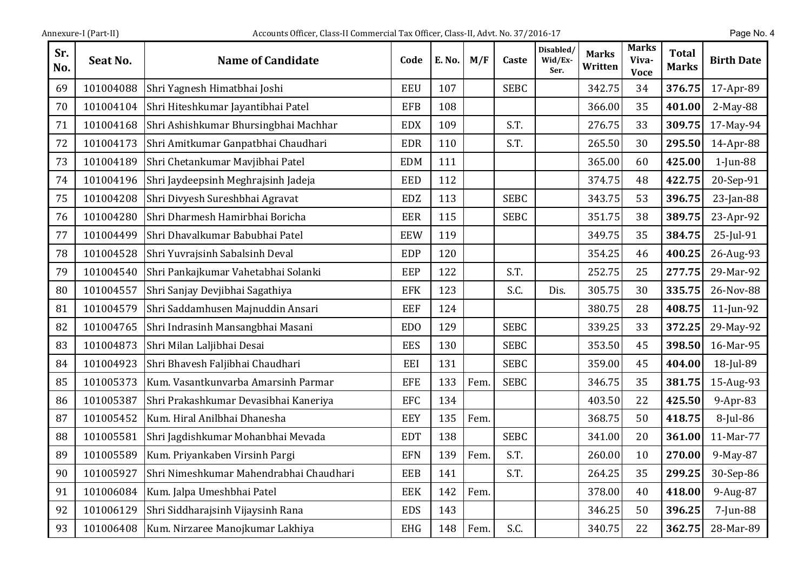| Sr.<br>No. | Seat No.  | <b>Name of Candidate</b>                | Code       | E. No. | M/F  | Caste       | Disabled/<br>Wid/Ex-<br>Ser. | <b>Marks</b><br>Written | <b>Marks</b><br>Viva-<br><b>Voce</b> | <b>Total</b><br><b>Marks</b> | <b>Birth Date</b> |
|------------|-----------|-----------------------------------------|------------|--------|------|-------------|------------------------------|-------------------------|--------------------------------------|------------------------------|-------------------|
| 69         | 101004088 | Shri Yagnesh Himatbhai Joshi            | <b>EEU</b> | 107    |      | <b>SEBC</b> |                              | 342.75                  | 34                                   | 376.75                       | 17-Apr-89         |
| 70         | 101004104 | Shri Hiteshkumar Jayantibhai Patel      | <b>EFB</b> | 108    |      |             |                              | 366.00                  | 35                                   | 401.00                       | 2-May-88          |
| 71         | 101004168 | Shri Ashishkumar Bhursingbhai Machhar   | <b>EDX</b> | 109    |      | S.T.        |                              | 276.75                  | 33                                   | 309.75                       | 17-May-94         |
| 72         | 101004173 | Shri Amitkumar Ganpatbhai Chaudhari     | <b>EDR</b> | 110    |      | S.T.        |                              | 265.50                  | 30                                   | 295.50                       | 14-Apr-88         |
| 73         | 101004189 | Shri Chetankumar Mavjibhai Patel        | <b>EDM</b> | 111    |      |             |                              | 365.00                  | 60                                   | 425.00                       | $1$ -Jun-88       |
| 74         | 101004196 | Shri Jaydeepsinh Meghrajsinh Jadeja     | EED        | 112    |      |             |                              | 374.75                  | 48                                   | 422.75                       | 20-Sep-91         |
| 75         | 101004208 | Shri Divyesh Sureshbhai Agravat         | <b>EDZ</b> | 113    |      | <b>SEBC</b> |                              | 343.75                  | 53                                   | 396.75                       | 23-Jan-88         |
| 76         | 101004280 | Shri Dharmesh Hamirbhai Boricha         | <b>EER</b> | 115    |      | <b>SEBC</b> |                              | 351.75                  | 38                                   | 389.75                       | 23-Apr-92         |
| 77         | 101004499 | Shri Dhavalkumar Babubhai Patel         | <b>EEW</b> | 119    |      |             |                              | 349.75                  | 35                                   | 384.75                       | 25-Jul-91         |
| 78         | 101004528 | Shri Yuvrajsinh Sabalsinh Deval         | <b>EDP</b> | 120    |      |             |                              | 354.25                  | 46                                   | 400.25                       | 26-Aug-93         |
| 79         | 101004540 | Shri Pankajkumar Vahetabhai Solanki     | EEP        | 122    |      | S.T.        |                              | 252.75                  | 25                                   | 277.75                       | 29-Mar-92         |
| 80         | 101004557 | Shri Sanjay Devjibhai Sagathiya         | <b>EFK</b> | 123    |      | S.C.        | Dis.                         | 305.75                  | 30                                   | 335.75                       | 26-Nov-88         |
| 81         | 101004579 | Shri Saddamhusen Majnuddin Ansari       | <b>EEF</b> | 124    |      |             |                              | 380.75                  | 28                                   | 408.75                       | 11-Jun-92         |
| 82         | 101004765 | Shri Indrasinh Mansangbhai Masani       | <b>EDO</b> | 129    |      | <b>SEBC</b> |                              | 339.25                  | 33                                   | 372.25                       | 29-May-92         |
| 83         | 101004873 | Shri Milan Laljibhai Desai              | <b>EES</b> | 130    |      | <b>SEBC</b> |                              | 353.50                  | 45                                   | 398.50                       | 16-Mar-95         |
| 84         | 101004923 | Shri Bhavesh Faljibhai Chaudhari        | EEI        | 131    |      | <b>SEBC</b> |                              | 359.00                  | 45                                   | 404.00                       | 18-Jul-89         |
| 85         | 101005373 | Kum. Vasantkunvarba Amarsinh Parmar     | <b>EFE</b> | 133    | Fem  | <b>SEBC</b> |                              | 346.75                  | 35                                   | 381.75                       | 15-Aug-93         |
| 86         | 101005387 | Shri Prakashkumar Devasibhai Kaneriya   | <b>EFC</b> | 134    |      |             |                              | 403.50                  | 22                                   | 425.50                       | $9-Apr-83$        |
| 87         | 101005452 | Kum. Hiral Anilbhai Dhanesha            | <b>EEY</b> | 135    | Fem. |             |                              | 368.75                  | 50                                   | 418.75                       | 8-Jul-86          |
| 88         | 101005581 | Shri Jagdishkumar Mohanbhai Mevada      | <b>EDT</b> | 138    |      | <b>SEBC</b> |                              | 341.00                  | 20                                   | 361.00                       | 11-Mar-77         |
| 89         | 101005589 | Kum. Priyankaben Virsinh Pargi          | <b>EFN</b> | 139    | Fem. | S.T.        |                              | 260.00                  | 10                                   | 270.00                       | 9-May-87          |
| 90         | 101005927 | Shri Nimeshkumar Mahendrabhai Chaudhari | <b>EEB</b> | 141    |      | S.T.        |                              | 264.25                  | 35                                   | 299.25                       | 30-Sep-86         |
| 91         | 101006084 | Kum. Jalpa Umeshbhai Patel              | <b>EEK</b> | 142    | Fem. |             |                              | 378.00                  | 40                                   | 418.00                       | 9-Aug-87          |
| 92         | 101006129 | Shri Siddharajsinh Vijaysinh Rana       | <b>EDS</b> | 143    |      |             |                              | 346.25                  | 50                                   | 396.25                       | 7-Jun-88          |
| 93         | 101006408 | Kum. Nirzaree Manojkumar Lakhiya        | <b>EHG</b> | 148    | Fem. | S.C.        |                              | 340.75                  | 22                                   | 362.75                       | 28-Mar-89         |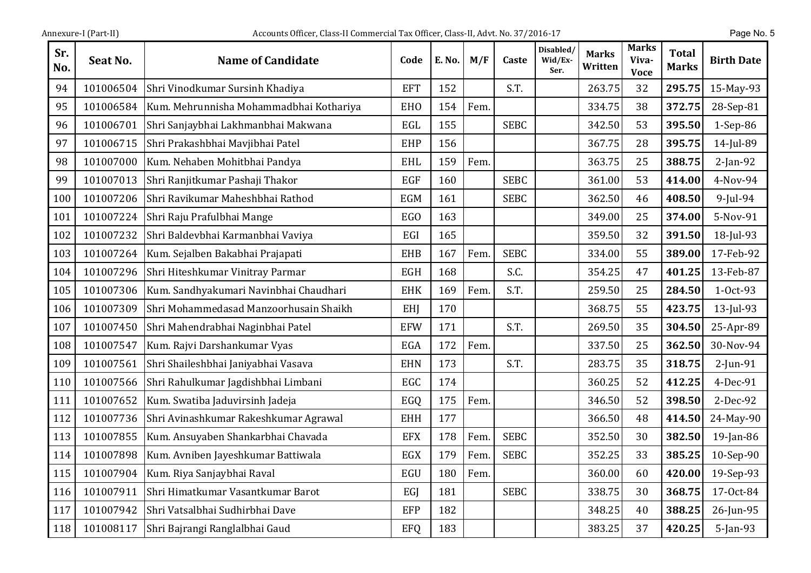| Sr.<br>No. | Seat No.  | <b>Name of Candidate</b>                | Code       | E. No. | M/F  | Caste       | Disabled/<br>Wid/Ex-<br>Ser. | Marks<br>Written | Marks<br>Viva-<br><b>Voce</b> | <b>Total</b><br><b>Marks</b> | <b>Birth Date</b> |
|------------|-----------|-----------------------------------------|------------|--------|------|-------------|------------------------------|------------------|-------------------------------|------------------------------|-------------------|
| 94         | 101006504 | Shri Vinodkumar Sursinh Khadiya         | <b>EFT</b> | 152    |      | S.T.        |                              | 263.75           | 32                            | 295.75                       | 15-May-93         |
| 95         | 101006584 | Kum. Mehrunnisha Mohammadbhai Kothariya | <b>EHO</b> | 154    | Fem. |             |                              | 334.75           | 38                            | 372.75                       | 28-Sep-81         |
| 96         | 101006701 | Shri Sanjaybhai Lakhmanbhai Makwana     | EGL        | 155    |      | <b>SEBC</b> |                              | 342.50           | 53                            | 395.50                       | 1-Sep-86          |
| 97         | 101006715 | Shri Prakashbhai Mavjibhai Patel        | <b>EHP</b> | 156    |      |             |                              | 367.75           | 28                            | 395.75                       | 14-Jul-89         |
| 98         | 101007000 | Kum. Nehaben Mohitbhai Pandya           | <b>EHL</b> | 159    | Fem. |             |                              | 363.75           | 25                            | 388.75                       | $2$ -Jan-92       |
| 99         | 101007013 | Shri Ranjitkumar Pashaji Thakor         | <b>EGF</b> | 160    |      | <b>SEBC</b> |                              | 361.00           | 53                            | 414.00                       | 4-Nov-94          |
| 100        | 101007206 | Shri Ravikumar Maheshbhai Rathod        | <b>EGM</b> | 161    |      | <b>SEBC</b> |                              | 362.50           | 46                            | 408.50                       | $9$ -Jul-94       |
| 101        | 101007224 | Shri Raju Prafulbhai Mange              | <b>EGO</b> | 163    |      |             |                              | 349.00           | 25                            | 374.00                       | 5-Nov-91          |
| 102        | 101007232 | Shri Baldevbhai Karmanbhai Vaviya       | EGI        | 165    |      |             |                              | 359.50           | 32                            | 391.50                       | 18-Jul-93         |
| 103        | 101007264 | Kum. Sejalben Bakabhai Prajapati        | <b>EHB</b> | 167    | Fem. | <b>SEBC</b> |                              | 334.00           | 55                            | 389.00                       | 17-Feb-92         |
| 104        | 101007296 | Shri Hiteshkumar Vinitray Parmar        | <b>EGH</b> | 168    |      | S.C.        |                              | 354.25           | 47                            | 401.25                       | 13-Feb-87         |
| 105        | 101007306 | Kum. Sandhyakumari Navinbhai Chaudhari  | <b>EHK</b> | 169    | Fem. | S.T.        |                              | 259.50           | 25                            | 284.50                       | 1-Oct-93          |
| 106        | 101007309 | Shri Mohammedasad Manzoorhusain Shaikh  | EHJ        | 170    |      |             |                              | 368.75           | 55                            | 423.75                       | 13-Jul-93         |
| 107        | 101007450 | Shri Mahendrabhai Naginbhai Patel       | <b>EFW</b> | 171    |      | S.T.        |                              | 269.50           | 35                            | 304.50                       | 25-Apr-89         |
| 108        | 101007547 | Kum. Rajvi Darshankumar Vyas            | EGA        | 172    | Fem. |             |                              | 337.50           | 25                            | 362.50                       | 30-Nov-94         |
| 109        | 101007561 | Shri Shaileshbhai Janiyabhai Vasava     | <b>EHN</b> | 173    |      | S.T.        |                              | 283.75           | 35                            | 318.75                       | $2$ -Jun-91       |
| 110        | 101007566 | Shri Rahulkumar Jagdishbhai Limbani     | EGC        | 174    |      |             |                              | 360.25           | 52                            | 412.25                       | 4-Dec-91          |
| 111        | 101007652 | Kum. Swatiba Jaduvirsinh Jadeja         | EGQ        | 175    | Fem. |             |                              | 346.50           | 52                            | 398.50                       | 2-Dec-92          |
| 112        | 101007736 | Shri Avinashkumar Rakeshkumar Agrawal   | <b>EHH</b> | 177    |      |             |                              | 366.50           | 48                            | 414.50                       | 24-May-90         |
| 113        | 101007855 | Kum. Ansuyaben Shankarbhai Chavada      | <b>EFX</b> | 178    | Fem. | <b>SEBC</b> |                              | 352.50           | 30                            | 382.50                       | 19-Jan-86         |
| 114        | 101007898 | Kum. Avniben Jayeshkumar Battiwala      | EGX        | 179    | Fem. | <b>SEBC</b> |                              | 352.25           | 33                            | 385.25                       | 10-Sep-90         |
| 115        | 101007904 | Kum. Riya Sanjaybhai Raval              | EGU        | 180    | Fem. |             |                              | 360.00           | 60                            | 420.00                       | 19-Sep-93         |
| 116        | 101007911 | Shri Himatkumar Vasantkumar Barot       | EGJ        | 181    |      | <b>SEBC</b> |                              | 338.75           | 30                            | 368.75                       | 17-Oct-84         |
| 117        | 101007942 | Shri Vatsalbhai Sudhirbhai Dave         | EFP        | 182    |      |             |                              | 348.25           | 40                            | 388.25                       | 26-Jun-95         |
| 118        | 101008117 | Shri Bajrangi Ranglalbhai Gaud          | <b>EFQ</b> | 183    |      |             |                              | 383.25           | 37                            | 420.25                       | $5$ -Jan-93       |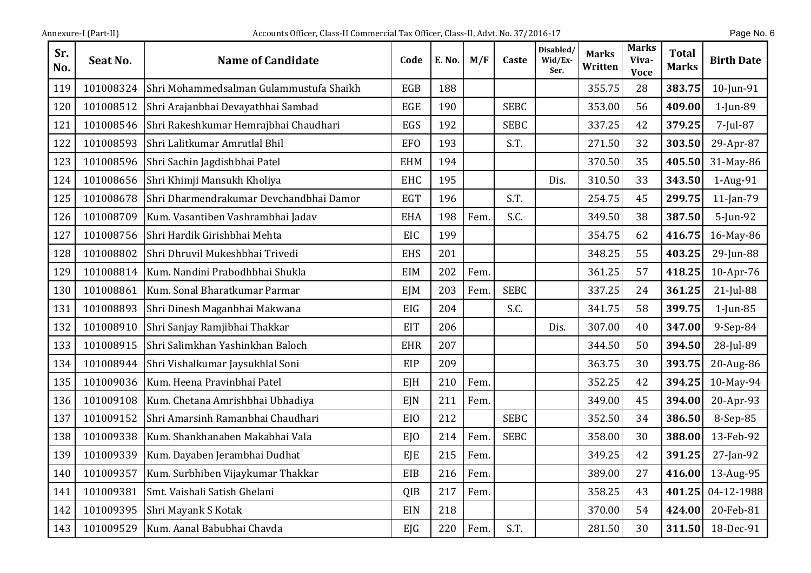| Sr.<br>No. | Seat No.  | <b>Name of Candidate</b>                | Code            | E. No. | M/F  | Caste       | Disabled/<br>Wid/Ex-<br>Ser. | <b>Marks</b><br>Written | <b>Marks</b><br>Viva-<br><b>Voce</b> | <b>Total</b><br><b>Marks</b> | <b>Birth Date</b> |
|------------|-----------|-----------------------------------------|-----------------|--------|------|-------------|------------------------------|-------------------------|--------------------------------------|------------------------------|-------------------|
| 119        | 101008324 | Shri Mohammedsalman Gulammustufa Shaikh | <b>EGB</b>      | 188    |      |             |                              | 355.75                  | 28                                   | 383.75                       | 10-Jun-91         |
| 120        | 101008512 | Shri Arajanbhai Devayatbhai Sambad      | EGE             | 190    |      | <b>SEBC</b> |                              | 353.00                  | 56                                   | 409.00                       | 1-Jun-89          |
| 121        | 101008546 | Shri Rakeshkumar Hemrajbhai Chaudhari   | EGS             | 192    |      | <b>SEBC</b> |                              | 337.25                  | 42                                   | 379.25                       | 7-Jul-87          |
| 122        | 101008593 | Shri Lalitkumar Amrutlal Bhil           | <b>EFO</b>      | 193    |      | S.T.        |                              | 271.50                  | 32                                   | 303.50                       | 29-Apr-87         |
| 123        | 101008596 | Shri Sachin Jagdishbhai Patel           | <b>EHM</b>      | 194    |      |             |                              | 370.50                  | 35                                   | 405.50                       | 31-May-86         |
| 124        | 101008656 | Shri Khimji Mansukh Kholiya             | <b>EHC</b>      | 195    |      |             | Dis.                         | 310.50                  | 33                                   | 343.50                       | 1-Aug-91          |
| 125        | 101008678 | Shri Dharmendrakumar Devchandbhai Damor | <b>EGT</b>      | 196    |      | S.T.        |                              | 254.75                  | 45                                   | 299.75                       | 11-Jan-79         |
| 126        | 101008709 | Kum. Vasantiben Vashrambhai Jadav       | <b>EHA</b>      | 198    | Fem. | S.C.        |                              | 349.50                  | 38                                   | 387.50                       | $5$ -Jun-92       |
| 127        | 101008756 | Shri Hardik Girishbhai Mehta            | EIC             | 199    |      |             |                              | 354.75                  | 62                                   | 416.75                       | 16-May-86         |
| 128        | 101008802 | Shri Dhruvil Mukeshbhai Trivedi         | <b>EHS</b>      | 201    |      |             |                              | 348.25                  | 55                                   | 403.25                       | 29-Jun-88         |
| 129        | 101008814 | Kum. Nandini Prabodhbhai Shukla         | <b>EIM</b>      | 202    | Fem. |             |                              | 361.25                  | 57                                   | 418.25                       | 10-Apr-76         |
| 130        | 101008861 | Kum. Sonal Bharatkumar Parmar           | <b>EJM</b>      | 203    | Fem  | <b>SEBC</b> |                              | 337.25                  | 24                                   | 361.25                       | 21-Jul-88         |
| 131        | 101008893 | Shri Dinesh Maganbhai Makwana           | <b>EIG</b>      | 204    |      | S.C.        |                              | 341.75                  | 58                                   | 399.75                       | $1$ -Jun-85       |
| 132        | 101008910 | Shri Sanjay Ramjibhai Thakkar           | <b>EIT</b>      | 206    |      |             | Dis.                         | 307.00                  | 40                                   | 347.00                       | 9-Sep-84          |
| 133        | 101008915 | Shri Salimkhan Yashinkhan Baloch        | <b>EHR</b>      | 207    |      |             |                              | 344.50                  | 50                                   | 394.50                       | 28-Jul-89         |
| 134        | 101008944 | Shri Vishalkumar Jaysukhlal Soni        | EIP             | 209    |      |             |                              | 363.75                  | 30                                   | 393.75                       | 20-Aug-86         |
| 135        | 101009036 | Kum. Heena Pravinbhai Patel             | EJH             | 210    | Fem. |             |                              | 352.25                  | 42                                   | 394.25                       | 10-May-94         |
| 136        | 101009108 | Kum. Chetana Amrishbhai Ubhadiya        | EJN             | 211    | Fem. |             |                              | 349.00                  | 45                                   | 394.00                       | 20-Apr-93         |
| 137        | 101009152 | Shri Amarsinh Ramanbhai Chaudhari       | EIO             | 212    |      | <b>SEBC</b> |                              | 352.50                  | 34                                   | 386.50                       | 8-Sep-85          |
| 138        | 101009338 | Kum. Shankhanaben Makabhai Vala         | E <sub>IO</sub> | 214    | Fem. | <b>SEBC</b> |                              | 358.00                  | 30                                   | 388.00                       | 13-Feb-92         |
| 139        | 101009339 | Kum. Dayaben Jerambhai Dudhat           | EJE             | 215    | Fem  |             |                              | 349.25                  | 42                                   | 391.25                       | $27$ -Jan-92      |
| 140        | 101009357 | Kum. Surbhiben Vijaykumar Thakkar       | EIB             | 216    | Fem. |             |                              | 389.00                  | 27                                   | 416.00                       | 13-Aug-95         |
| 141        | 101009381 | Smt. Vaishali Satish Ghelani            | QIB             | 217    | Fem  |             |                              | 358.25                  | 43                                   | 401.25                       | 04-12-1988        |
| 142        | 101009395 | Shri Mayank S Kotak                     | EIN             | 218    |      |             |                              | 370.00                  | 54                                   | 424.00                       | 20-Feb-81         |
| 143        | 101009529 | Kum. Aanal Babubhai Chavda              | EJG             | 220    | Fem. | S.T.        |                              | 281.50                  | 30                                   | 311.50                       | 18-Dec-91         |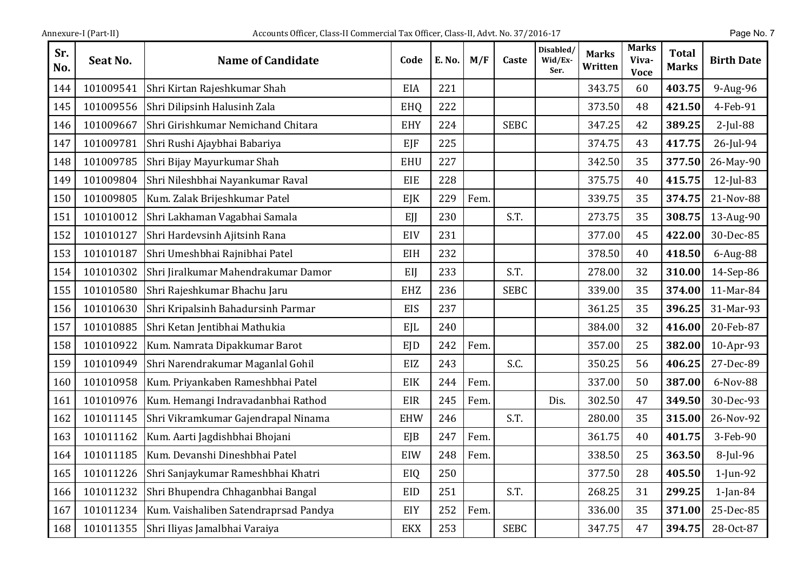| Sr.<br>No. | Seat No.  | <b>Name of Candidate</b>                | Code       | E. No. | M/F  | Caste       | Disabled/<br>Wid/Ex-<br>Ser. | <b>Marks</b><br>Written | <b>Marks</b><br>Viva-<br><b>Voce</b> | <b>Total</b><br><b>Marks</b> | <b>Birth Date</b> |
|------------|-----------|-----------------------------------------|------------|--------|------|-------------|------------------------------|-------------------------|--------------------------------------|------------------------------|-------------------|
| 144        | 101009541 | Shri Kirtan Rajeshkumar Shah            | EIA        | 221    |      |             |                              | 343.75                  | 60                                   | 403.75                       | 9-Aug-96          |
| 145        | 101009556 | Shri Dilipsinh Halusinh Zala            | EHQ        | 222    |      |             |                              | 373.50                  | 48                                   | 421.50                       | 4-Feb-91          |
| 146        | 101009667 | Shri Girishkumar Nemichand Chitara      | <b>EHY</b> | 224    |      | <b>SEBC</b> |                              | 347.25                  | 42                                   | 389.25                       | $2$ -Jul-88       |
| 147        | 101009781 | Shri Rushi Ajaybhai Babariya            | EJF        | 225    |      |             |                              | 374.75                  | 43                                   | 417.75                       | 26-Jul-94         |
| 148        | 101009785 | Shri Bijay Mayurkumar Shah              | <b>EHU</b> | 227    |      |             |                              | 342.50                  | 35                                   | 377.50                       | 26-May-90         |
| 149        | 101009804 | Shri Nileshbhai Nayankumar Raval        | EIE        | 228    |      |             |                              | 375.75                  | 40                                   | 415.75                       | 12-Jul-83         |
| 150        | 101009805 | Kum. Zalak Brijeshkumar Patel           | EJK        | 229    | Fem. |             |                              | 339.75                  | 35                                   | 374.75                       | 21-Nov-88         |
| 151        | 101010012 | Shri Lakhaman Vagabhai Samala           | EJJ        | 230    |      | S.T.        |                              | 273.75                  | 35                                   | 308.75                       | 13-Aug-90         |
| 152        | 101010127 | Shri Hardevsinh Ajitsinh Rana           | EIV        | 231    |      |             |                              | 377.00                  | 45                                   | 422.00                       | 30-Dec-85         |
| 153        | 101010187 | Shri Umeshbhai Rajnibhai Patel          | EIH        | 232    |      |             |                              | 378.50                  | 40                                   | 418.50                       | 6-Aug-88          |
| 154        | 101010302 | Shri Jiralkumar Mahendrakumar Damor     | EIJ        | 233    |      | S.T.        |                              | 278.00                  | 32                                   | 310.00                       | 14-Sep-86         |
| 155        | 101010580 | Shri Rajeshkumar Bhachu Jaru            | <b>EHZ</b> | 236    |      | <b>SEBC</b> |                              | 339.00                  | 35                                   | 374.00                       | 11-Mar-84         |
| 156        | 101010630 | Shri Kripalsinh Bahadursinh Parmar      | <b>EIS</b> | 237    |      |             |                              | 361.25                  | 35                                   | 396.25                       | 31-Mar-93         |
| 157        | 101010885 | Shri Ketan Jentibhai Mathukia           | <b>EJL</b> | 240    |      |             |                              | 384.00                  | 32                                   | 416.00                       | 20-Feb-87         |
| 158        | 101010922 | Kum. Namrata Dipakkumar Barot           | EID        | 242    | Fem. |             |                              | 357.00                  | 25                                   | 382.00                       | 10-Apr-93         |
| 159        | 101010949 | Shri Narendrakumar Maganlal Gohil       | EIZ        | 243    |      | S.C.        |                              | 350.25                  | 56                                   | 406.25                       | 27-Dec-89         |
| 160        | 101010958 | Kum. Priyankaben Rameshbhai Patel       | EIK        | 244    | Fem. |             |                              | 337.00                  | 50                                   | 387.00                       | 6-Nov-88          |
| 161        | 101010976 | Kum. Hemangi Indravadanbhai Rathod      | EIR        | 245    | Fem. |             | Dis.                         | 302.50                  | 47                                   | 349.50                       | 30-Dec-93         |
| 162        | 101011145 | Shri Vikramkumar Gajendrapal Ninama     | <b>EHW</b> | 246    |      | S.T.        |                              | 280.00                  | 35                                   | 315.00                       | 26-Nov-92         |
| 163        | 101011162 | Kum. Aarti Jagdishbhai Bhojani          | EJB        | 247    | Fem. |             |                              | 361.75                  | 40                                   | 401.75                       | 3-Feb-90          |
| 164        | 101011185 | Kum. Devanshi Dineshbhai Patel          | EIW        | 248    | Fem. |             |                              | 338.50                  | 25                                   | 363.50                       | $8$ -Jul-96       |
| 165        | 101011226 | Shri Sanjaykumar Rameshbhai Khatri      | EIQ        | 250    |      |             |                              | 377.50                  | 28                                   | 405.50                       | $1$ -Jun-92       |
| 166        | 101011232 | Shri Bhupendra Chhaganbhai Bangal       | EID        | 251    |      | S.T.        |                              | 268.25                  | 31                                   | 299.25                       | $1$ -Jan-84       |
| 167        | 101011234 | Kum. Vaishaliben Satendraprsad Pandya   | EIY        | 252    | Fem. |             |                              | 336.00                  | 35                                   | 371.00                       | 25-Dec-85         |
| 168        |           | 101011355 Shri Iliyas Jamalbhai Varaiya | <b>EKX</b> | 253    |      | <b>SEBC</b> |                              | 347.75                  | 47                                   | 394.75                       | 28-Oct-87         |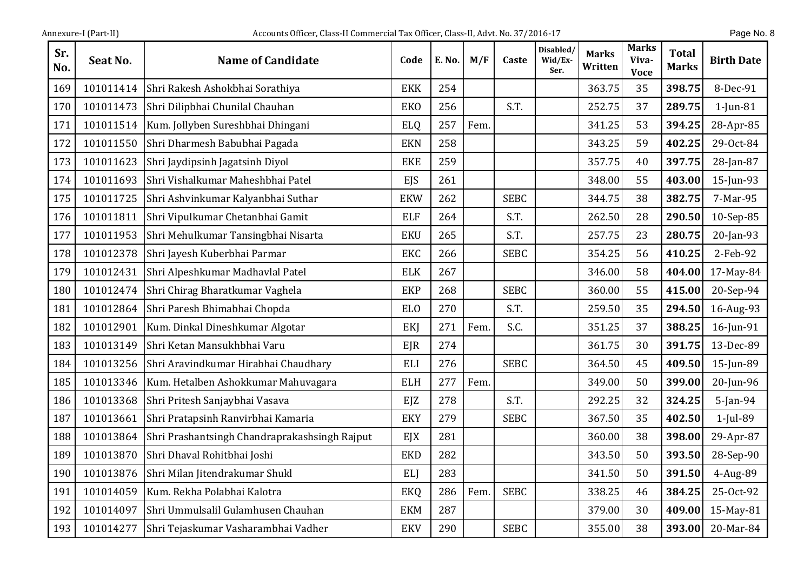| Sr.<br>No. | Seat No.  | <b>Name of Candidate</b>                      | Code            | E. No. | M/F  | Caste       | Disabled/<br>Wid/Ex-<br>Ser. | <b>Marks</b><br>Written | <b>Marks</b><br>Viva-<br><b>Voce</b> | <b>Total</b><br><b>Marks</b> | <b>Birth Date</b> |
|------------|-----------|-----------------------------------------------|-----------------|--------|------|-------------|------------------------------|-------------------------|--------------------------------------|------------------------------|-------------------|
| 169        | 101011414 | Shri Rakesh Ashokbhai Sorathiya               | <b>EKK</b>      | 254    |      |             |                              | 363.75                  | 35                                   | 398.75                       | 8-Dec-91          |
| 170        | 101011473 | Shri Dilipbhai Chunilal Chauhan               | <b>EKO</b>      | 256    |      | S.T.        |                              | 252.75                  | 37                                   | 289.75                       | $1$ -Jun-81       |
| 171        | 101011514 | Kum. Jollyben Sureshbhai Dhingani             | <b>ELQ</b>      | 257    | Fem. |             |                              | 341.25                  | 53                                   | 394.25                       | 28-Apr-85         |
| 172        | 101011550 | Shri Dharmesh Babubhai Pagada                 | <b>EKN</b>      | 258    |      |             |                              | 343.25                  | 59                                   | 402.25                       | 29-Oct-84         |
| 173        | 101011623 | Shri Jaydipsinh Jagatsinh Diyol               | <b>EKE</b>      | 259    |      |             |                              | 357.75                  | 40                                   | 397.75                       | 28-Jan-87         |
| 174        | 101011693 | Shri Vishalkumar Maheshbhai Patel             | EJS             | 261    |      |             |                              | 348.00                  | 55                                   | 403.00                       | 15-Jun-93         |
| 175        | 101011725 | Shri Ashvinkumar Kalyanbhai Suthar            | <b>EKW</b>      | 262    |      | <b>SEBC</b> |                              | 344.75                  | 38                                   | 382.75                       | 7-Mar-95          |
| 176        | 101011811 | Shri Vipulkumar Chetanbhai Gamit              | <b>ELF</b>      | 264    |      | S.T.        |                              | 262.50                  | 28                                   | 290.50                       | 10-Sep-85         |
| 177        | 101011953 | Shri Mehulkumar Tansingbhai Nisarta           | <b>EKU</b>      | 265    |      | S.T.        |                              | 257.75                  | 23                                   | 280.75                       | 20-Jan-93         |
| 178        | 101012378 | Shri Jayesh Kuberbhai Parmar                  | <b>EKC</b>      | 266    |      | <b>SEBC</b> |                              | 354.25                  | 56                                   | 410.25                       | 2-Feb-92          |
| 179        | 101012431 | Shri Alpeshkumar Madhavlal Patel              | <b>ELK</b>      | 267    |      |             |                              | 346.00                  | 58                                   | 404.00                       | 17-May-84         |
| 180        | 101012474 | Shri Chirag Bharatkumar Vaghela               | <b>EKP</b>      | 268    |      | <b>SEBC</b> |                              | 360.00                  | 55                                   | 415.00                       | 20-Sep-94         |
| 181        | 101012864 | Shri Paresh Bhimabhai Chopda                  | EL <sub>0</sub> | 270    |      | S.T.        |                              | 259.50                  | 35                                   | 294.50                       | 16-Aug-93         |
| 182        | 101012901 | Kum. Dinkal Dineshkumar Algotar               | EKJ             | 271    | Fem. | S.C.        |                              | 351.25                  | 37                                   | 388.25                       | 16-Jun-91         |
| 183        | 101013149 | Shri Ketan Mansukhbhai Varu                   | EJR             | 274    |      |             |                              | 361.75                  | 30                                   | 391.75                       | 13-Dec-89         |
| 184        | 101013256 | Shri Aravindkumar Hirabhai Chaudhary          | <b>ELI</b>      | 276    |      | <b>SEBC</b> |                              | 364.50                  | 45                                   | 409.50                       | 15-Jun-89         |
| 185        | 101013346 | Kum. Hetalben Ashokkumar Mahuvagara           | <b>ELH</b>      | 277    | Fem. |             |                              | 349.00                  | 50                                   | 399.00                       | 20-Jun-96         |
| 186        | 101013368 | Shri Pritesh Sanjaybhai Vasava                | EJZ             | 278    |      | S.T.        |                              | 292.25                  | 32                                   | 324.25                       | $5$ -Jan-94       |
| 187        | 101013661 | Shri Pratapsinh Ranvirbhai Kamaria            | <b>EKY</b>      | 279    |      | <b>SEBC</b> |                              | 367.50                  | 35                                   | 402.50                       | 1-Jul-89          |
| 188        | 101013864 | Shri Prashantsingh Chandraprakashsingh Rajput | EJX             | 281    |      |             |                              | 360.00                  | 38                                   | 398.00                       | 29-Apr-87         |
| 189        | 101013870 | Shri Dhaval Rohitbhai Joshi                   | <b>EKD</b>      | 282    |      |             |                              | 343.50                  | 50                                   | 393.50                       | 28-Sep-90         |
| 190        | 101013876 | Shri Milan Jitendrakumar Shukl                | <b>ELI</b>      | 283    |      |             |                              | 341.50                  | 50                                   | 391.50                       | 4-Aug-89          |
| 191        | 101014059 | Kum. Rekha Polabhai Kalotra                   | <b>EKQ</b>      | 286    | Fem. | <b>SEBC</b> |                              | 338.25                  | 46                                   | 384.25                       | 25-Oct-92         |
| 192        | 101014097 | Shri Ummulsalil Gulamhusen Chauhan            | <b>EKM</b>      | 287    |      |             |                              | 379.00                  | 30                                   | 409.00                       | 15-May-81         |
| 193        | 101014277 | Shri Tejaskumar Vasharambhai Vadher           | <b>EKV</b>      | 290    |      | <b>SEBC</b> |                              | 355.00                  | 38                                   | 393.00                       | 20-Mar-84         |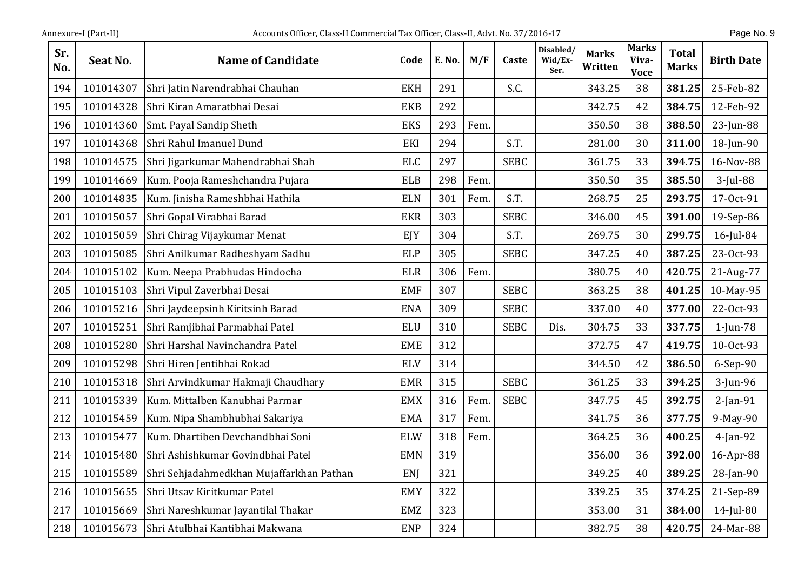| Sr.<br>No. | <b>Seat No.</b> | <b>Name of Candidate</b>                 | Code       | E. No. | M/F  | Caste       | Disabled/<br>Wid/Ex-<br>Ser. | <b>Marks</b><br>Written | <b>Marks</b><br>Viva-<br><b>Voce</b> | <b>Total</b><br><b>Marks</b> | <b>Birth Date</b> |
|------------|-----------------|------------------------------------------|------------|--------|------|-------------|------------------------------|-------------------------|--------------------------------------|------------------------------|-------------------|
| 194        | 101014307       | Shri Jatin Narendrabhai Chauhan          | <b>EKH</b> | 291    |      | S.C.        |                              | 343.25                  | 38                                   | 381.25                       | 25-Feb-82         |
| 195        | 101014328       | Shri Kiran Amaratbhai Desai              | <b>EKB</b> | 292    |      |             |                              | 342.75                  | 42                                   | 384.75                       | 12-Feb-92         |
| 196        | 101014360       | Smt. Payal Sandip Sheth                  | <b>EKS</b> | 293    | Fem. |             |                              | 350.50                  | 38                                   | 388.50                       | 23-Jun-88         |
| 197        | 101014368       | Shri Rahul Imanuel Dund                  | EKI        | 294    |      | S.T.        |                              | 281.00                  | 30                                   | 311.00                       | 18-Jun-90         |
| 198        | 101014575       | Shri Jigarkumar Mahendrabhai Shah        | <b>ELC</b> | 297    |      | <b>SEBC</b> |                              | 361.75                  | 33                                   | 394.75                       | 16-Nov-88         |
| 199        | 101014669       | Kum. Pooja Rameshchandra Pujara          | <b>ELB</b> | 298    | Fem. |             |                              | 350.50                  | 35                                   | 385.50                       | 3-Jul-88          |
| 200        | 101014835       | Kum. Jinisha Rameshbhai Hathila          | <b>ELN</b> | 301    | Fem. | S.T.        |                              | 268.75                  | 25                                   | 293.75                       | 17-Oct-91         |
| 201        | 101015057       | Shri Gopal Virabhai Barad                | <b>EKR</b> | 303    |      | <b>SEBC</b> |                              | 346.00                  | 45                                   | 391.00                       | 19-Sep-86         |
| 202        | 101015059       | Shri Chirag Vijaykumar Menat             | EJY        | 304    |      | S.T.        |                              | 269.75                  | 30                                   | 299.75                       | $16$ -Jul-84      |
| 203        | 101015085       | Shri Anilkumar Radheshyam Sadhu          | <b>ELP</b> | 305    |      | <b>SEBC</b> |                              | 347.25                  | 40                                   | 387.25                       | 23-Oct-93         |
| 204        | 101015102       | Kum. Neepa Prabhudas Hindocha            | <b>ELR</b> | 306    | Fem. |             |                              | 380.75                  | 40                                   | 420.75                       | 21-Aug-77         |
| 205        | 101015103       | Shri Vipul Zaverbhai Desai               | <b>EMF</b> | 307    |      | <b>SEBC</b> |                              | 363.25                  | 38                                   | 401.25                       | 10-May-95         |
| 206        | 101015216       | Shri Jaydeepsinh Kiritsinh Barad         | <b>ENA</b> | 309    |      | <b>SEBC</b> |                              | 337.00                  | 40                                   | 377.00                       | 22-Oct-93         |
| 207        | 101015251       | Shri Ramjibhai Parmabhai Patel           | <b>ELU</b> | 310    |      | <b>SEBC</b> | Dis.                         | 304.75                  | 33                                   | 337.75                       | $1$ -Jun-78       |
| 208        | 101015280       | Shri Harshal Navinchandra Patel          | <b>EME</b> | 312    |      |             |                              | 372.75                  | 47                                   | 419.75                       | 10-Oct-93         |
| 209        | 101015298       | Shri Hiren Jentibhai Rokad               | <b>ELV</b> | 314    |      |             |                              | 344.50                  | 42                                   | 386.50                       | 6-Sep-90          |
| 210        | 101015318       | Shri Arvindkumar Hakmaji Chaudhary       | <b>EMR</b> | 315    |      | <b>SEBC</b> |                              | 361.25                  | 33                                   | 394.25                       | $3$ -Jun-96       |
| 211        | 101015339       | Kum. Mittalben Kanubhai Parmar           | <b>EMX</b> | 316    | Fem. | <b>SEBC</b> |                              | 347.75                  | 45                                   | 392.75                       | $2$ -Jan-91       |
| 212        | 101015459       | Kum. Nipa Shambhubhai Sakariya           | <b>EMA</b> | 317    | Fem. |             |                              | 341.75                  | 36                                   | 377.75                       | 9-May-90          |
| 213        | 101015477       | Kum. Dhartiben Devchandbhai Soni         | <b>ELW</b> | 318    | Fem. |             |                              | 364.25                  | 36                                   | 400.25                       | $4$ -Jan-92       |
| 214        | 101015480       | Shri Ashishkumar Govindbhai Patel        | <b>EMN</b> | 319    |      |             |                              | 356.00                  | 36                                   | 392.00                       | 16-Apr-88         |
| 215        | 101015589       | Shri Sehjadahmedkhan Mujaffarkhan Pathan | ENJ        | 321    |      |             |                              | 349.25                  | 40                                   | 389.25                       | 28-Jan-90         |
| 216        | 101015655       | Shri Utsav Kiritkumar Patel              | <b>EMY</b> | 322    |      |             |                              | 339.25                  | 35                                   | 374.25                       | 21-Sep-89         |
| 217        | 101015669       | Shri Nareshkumar Jayantilal Thakar       | <b>EMZ</b> | 323    |      |             |                              | 353.00                  | 31                                   | 384.00                       | $14$ -Jul-80      |
| 218        | 101015673       | Shri Atulbhai Kantibhai Makwana          | <b>ENP</b> | 324    |      |             |                              | 382.75                  | 38                                   | 420.75                       | 24-Mar-88         |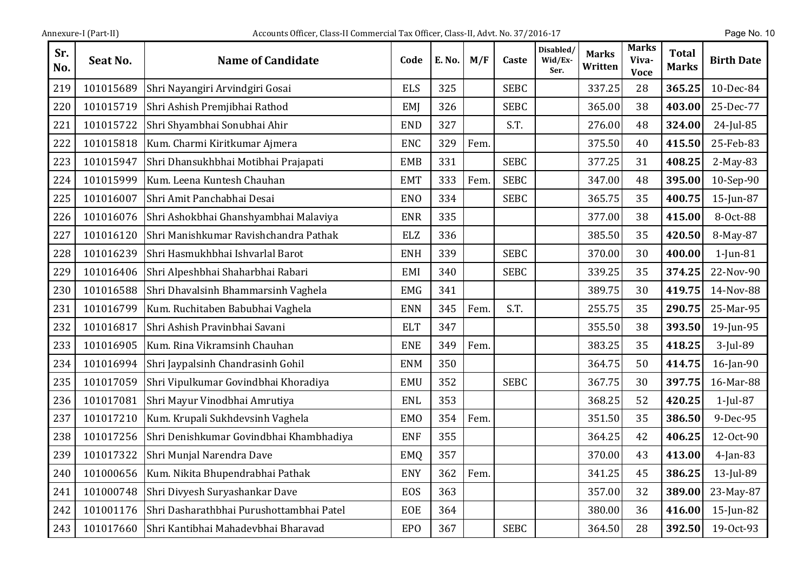| Sr.<br>No. | Seat No.  | <b>Name of Candidate</b>                 | Code       | E. No. | M/F  | Caste       | Disabled/<br>Wid/Ex-<br>Ser. | <b>Marks</b><br>Written | <b>Marks</b><br>Viva-<br><b>Voce</b> | <b>Total</b><br><b>Marks</b> | <b>Birth Date</b> |
|------------|-----------|------------------------------------------|------------|--------|------|-------------|------------------------------|-------------------------|--------------------------------------|------------------------------|-------------------|
| 219        | 101015689 | Shri Nayangiri Arvindgiri Gosai          | <b>ELS</b> | 325    |      | <b>SEBC</b> |                              | 337.25                  | 28                                   | 365.25                       | 10-Dec-84         |
| 220        | 101015719 | Shri Ashish Premjibhai Rathod            | EMI        | 326    |      | <b>SEBC</b> |                              | 365.00                  | 38                                   | 403.00                       | 25-Dec-77         |
| 221        | 101015722 | Shri Shyambhai Sonubhai Ahir             | <b>END</b> | 327    |      | S.T.        |                              | 276.00                  | 48                                   | 324.00                       | 24-Jul-85         |
| 222        | 101015818 | Kum. Charmi Kiritkumar Ajmera            | <b>ENC</b> | 329    | Fem. |             |                              | 375.50                  | 40                                   | 415.50                       | 25-Feb-83         |
| 223        | 101015947 | Shri Dhansukhbhai Motibhai Prajapati     | <b>EMB</b> | 331    |      | <b>SEBC</b> |                              | 377.25                  | 31                                   | 408.25                       | 2-May-83          |
| 224        | 101015999 | Kum. Leena Kuntesh Chauhan               | <b>EMT</b> | 333    | Fem. | <b>SEBC</b> |                              | 347.00                  | 48                                   | 395.00                       | 10-Sep-90         |
| 225        | 101016007 | Shri Amit Panchabhai Desai               | <b>ENO</b> | 334    |      | <b>SEBC</b> |                              | 365.75                  | 35                                   | 400.75                       | 15-Jun-87         |
| 226        | 101016076 | Shri Ashokbhai Ghanshyambhai Malaviya    | <b>ENR</b> | 335    |      |             |                              | 377.00                  | 38                                   | 415.00                       | 8-Oct-88          |
| 227        | 101016120 | Shri Manishkumar Ravishchandra Pathak    | <b>ELZ</b> | 336    |      |             |                              | 385.50                  | 35                                   | 420.50                       | 8-May-87          |
| 228        | 101016239 | Shri Hasmukhbhai Ishvarlal Barot         | <b>ENH</b> | 339    |      | <b>SEBC</b> |                              | 370.00                  | 30                                   | 400.00                       | $1$ -Jun-81       |
| 229        | 101016406 | Shri Alpeshbhai Shaharbhai Rabari        | EMI        | 340    |      | <b>SEBC</b> |                              | 339.25                  | 35                                   | 374.25                       | 22-Nov-90         |
| 230        | 101016588 | Shri Dhavalsinh Bhammarsinh Vaghela      | <b>EMG</b> | 341    |      |             |                              | 389.75                  | 30                                   | 419.75                       | 14-Nov-88         |
| 231        | 101016799 | Kum. Ruchitaben Babubhai Vaghela         | <b>ENN</b> | 345    | Fem. | S.T.        |                              | 255.75                  | 35                                   | 290.75                       | 25-Mar-95         |
| 232        | 101016817 | Shri Ashish Pravinbhai Savani            | <b>ELT</b> | 347    |      |             |                              | 355.50                  | 38                                   | 393.50                       | 19-Jun-95         |
| 233        | 101016905 | Kum. Rina Vikramsinh Chauhan             | <b>ENE</b> | 349    | Fem. |             |                              | 383.25                  | 35                                   | 418.25                       | 3-Jul-89          |
| 234        | 101016994 | Shri Jaypalsinh Chandrasinh Gohil        | <b>ENM</b> | 350    |      |             |                              | 364.75                  | 50                                   | 414.75                       | 16-Jan-90         |
| 235        | 101017059 | Shri Vipulkumar Govindbhai Khoradiya     | <b>EMU</b> | 352    |      | <b>SEBC</b> |                              | 367.75                  | 30                                   | 397.75                       | 16-Mar-88         |
| 236        | 101017081 | Shri Mayur Vinodbhai Amrutiya            | <b>ENL</b> | 353    |      |             |                              | 368.25                  | 52                                   | 420.25                       | $1$ -Jul-87       |
| 237        | 101017210 | Kum. Krupali Sukhdevsinh Vaghela         | <b>EMO</b> | 354    | Fem. |             |                              | 351.50                  | 35                                   | 386.50                       | 9-Dec-95          |
| 238        | 101017256 | Shri Denishkumar Govindbhai Khambhadiya  | <b>ENF</b> | 355    |      |             |                              | 364.25                  | 42                                   | 406.25                       | 12-Oct-90         |
| 239        | 101017322 | Shri Munjal Narendra Dave                | <b>EMQ</b> | 357    |      |             |                              | 370.00                  | 43                                   | 413.00                       | $4$ -Jan-83       |
| 240        | 101000656 | Kum. Nikita Bhupendrabhai Pathak         | <b>ENY</b> | 362    | Fem. |             |                              | 341.25                  | 45                                   | 386.25                       | 13-Jul-89         |
| 241        | 101000748 | Shri Divyesh Suryashankar Dave           | EOS        | 363    |      |             |                              | 357.00                  | 32                                   | 389.00                       | 23-May-87         |
| 242        | 101001176 | Shri Dasharathbhai Purushottambhai Patel | <b>EOE</b> | 364    |      |             |                              | 380.00                  | 36                                   | 416.00                       | 15-Jun-82         |
| 243        | 101017660 | Shri Kantibhai Mahadevbhai Bharavad      | <b>EPO</b> | 367    |      | <b>SEBC</b> |                              | 364.50                  | 28                                   | 392.50                       | 19-0ct-93         |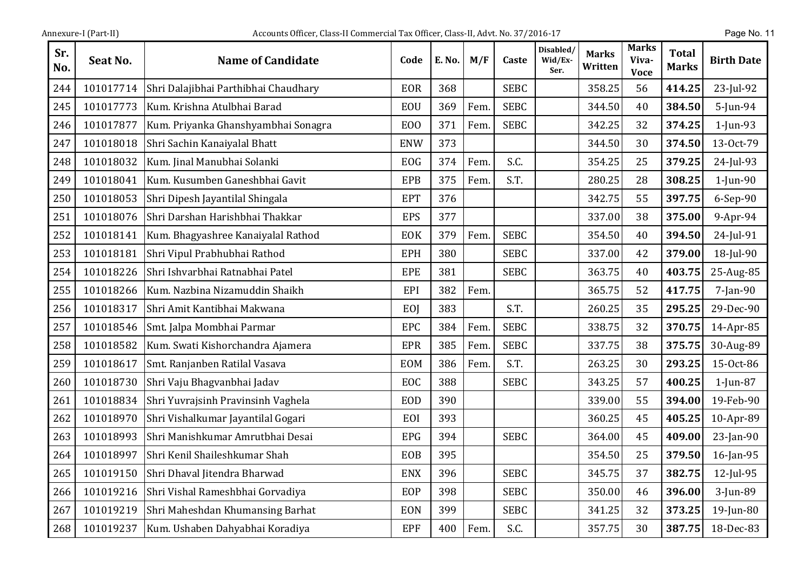| Annexure-I (Part-II |  |
|---------------------|--|
|                     |  |

| Sr.<br>No. | Seat No.  | <b>Name of Candidate</b>             | Code           | E. No. | M/F  | Caste       | Disabled/<br>Wid/Ex-<br>Ser. | <b>Marks</b><br>Written | <b>Marks</b><br>Viva-<br><b>Voce</b> | <b>Total</b><br><b>Marks</b> | <b>Birth Date</b> |
|------------|-----------|--------------------------------------|----------------|--------|------|-------------|------------------------------|-------------------------|--------------------------------------|------------------------------|-------------------|
| 244        | 101017714 | Shri Dalajibhai Parthibhai Chaudhary | <b>EOR</b>     | 368    |      | <b>SEBC</b> |                              | 358.25                  | 56                                   | 414.25                       | 23-Jul-92         |
| 245        | 101017773 | Kum. Krishna Atulbhai Barad          | EOU            | 369    | Fem. | <b>SEBC</b> |                              | 344.50                  | 40                                   | 384.50                       | 5-Jun-94          |
| 246        | 101017877 | Kum. Priyanka Ghanshyambhai Sonagra  | E <sub>0</sub> | 371    | Fem. | <b>SEBC</b> |                              | 342.25                  | 32                                   | 374.25                       | $1$ -Jun-93       |
| 247        | 101018018 | Shri Sachin Kanaiyalal Bhatt         | <b>ENW</b>     | 373    |      |             |                              | 344.50                  | 30                                   | 374.50                       | 13-Oct-79         |
| 248        | 101018032 | Kum. Jinal Manubhai Solanki          | <b>EOG</b>     | 374    | Fem. | S.C.        |                              | 354.25                  | 25                                   | 379.25                       | 24-Jul-93         |
| 249        | 101018041 | Kum. Kusumben Ganeshbhai Gavit       | <b>EPB</b>     | 375    | Fem. | S.T.        |                              | 280.25                  | 28                                   | 308.25                       | $1$ -Jun-90       |
| 250        | 101018053 | Shri Dipesh Jayantilal Shingala      | <b>EPT</b>     | 376    |      |             |                              | 342.75                  | 55                                   | 397.75                       | 6-Sep-90          |
| 251        | 101018076 | Shri Darshan Harishbhai Thakkar      | <b>EPS</b>     | 377    |      |             |                              | 337.00                  | 38                                   | 375.00                       | 9-Apr-94          |
| 252        | 101018141 | Kum. Bhagyashree Kanaiyalal Rathod   | EOK            | 379    | Fem. | <b>SEBC</b> |                              | 354.50                  | 40                                   | 394.50                       | 24-Jul-91         |
| 253        | 101018181 | Shri Vipul Prabhubhai Rathod         | <b>EPH</b>     | 380    |      | <b>SEBC</b> |                              | 337.00                  | 42                                   | 379.00                       | 18-Jul-90         |
| 254        | 101018226 | Shri Ishvarbhai Ratnabhai Patel      | <b>EPE</b>     | 381    |      | <b>SEBC</b> |                              | 363.75                  | 40                                   | 403.75                       | 25-Aug-85         |
| 255        | 101018266 | Kum. Nazbina Nizamuddin Shaikh       | EPI            | 382    | Fem. |             |                              | 365.75                  | 52                                   | 417.75                       | $7$ -Jan-90       |
| 256        | 101018317 | Shri Amit Kantibhai Makwana          | EOJ            | 383    |      | S.T.        |                              | 260.25                  | 35                                   | 295.25                       | 29-Dec-90         |
| 257        | 101018546 | Smt. Jalpa Mombhai Parmar            | <b>EPC</b>     | 384    | Fem. | <b>SEBC</b> |                              | 338.75                  | 32                                   | 370.75                       | 14-Apr-85         |
| 258        | 101018582 | Kum. Swati Kishorchandra Ajamera     | <b>EPR</b>     | 385    | Fem. | <b>SEBC</b> |                              | 337.75                  | 38                                   | 375.75                       | 30-Aug-89         |
| 259        | 101018617 | Smt. Ranjanben Ratilal Vasava        | <b>EOM</b>     | 386    | Fem. | S.T.        |                              | 263.25                  | 30                                   | 293.25                       | 15-Oct-86         |
| 260        | 101018730 | Shri Vaju Bhagvanbhai Jadav          | EOC            | 388    |      | <b>SEBC</b> |                              | 343.25                  | 57                                   | 400.25                       | $1$ -Jun-87       |
| 261        | 101018834 | Shri Yuvrajsinh Pravinsinh Vaghela   | <b>EOD</b>     | 390    |      |             |                              | 339.00                  | 55                                   | 394.00                       | 19-Feb-90         |
| 262        | 101018970 | Shri Vishalkumar Jayantilal Gogari   | EOI            | 393    |      |             |                              | 360.25                  | 45                                   | 405.25                       | 10-Apr-89         |
| 263        | 101018993 | Shri Manishkumar Amrutbhai Desai     | <b>EPG</b>     | 394    |      | <b>SEBC</b> |                              | 364.00                  | 45                                   | 409.00                       | 23-Jan-90         |
| 264        | 101018997 | Shri Kenil Shaileshkumar Shah        | <b>EOB</b>     | 395    |      |             |                              | 354.50                  | 25                                   | 379.50                       | 16-Jan-95         |
| 265        | 101019150 | Shri Dhaval Jitendra Bharwad         | <b>ENX</b>     | 396    |      | <b>SEBC</b> |                              | 345.75                  | 37                                   | 382.75                       | 12-Jul-95         |
| 266        | 101019216 | Shri Vishal Rameshbhai Gorvadiya     | EOP            | 398    |      | <b>SEBC</b> |                              | 350.00                  | 46                                   | 396.00                       | 3-Jun-89          |
| 267        | 101019219 | Shri Maheshdan Khumansing Barhat     | EON            | 399    |      | <b>SEBC</b> |                              | 341.25                  | 32                                   | 373.25                       | 19-Jun-80         |
| 268        | 101019237 | Kum. Ushaben Dahyabhai Koradiya      | <b>EPF</b>     | 400    | Fem. | S.C.        |                              | 357.75                  | 30                                   | 387.75                       | 18-Dec-83         |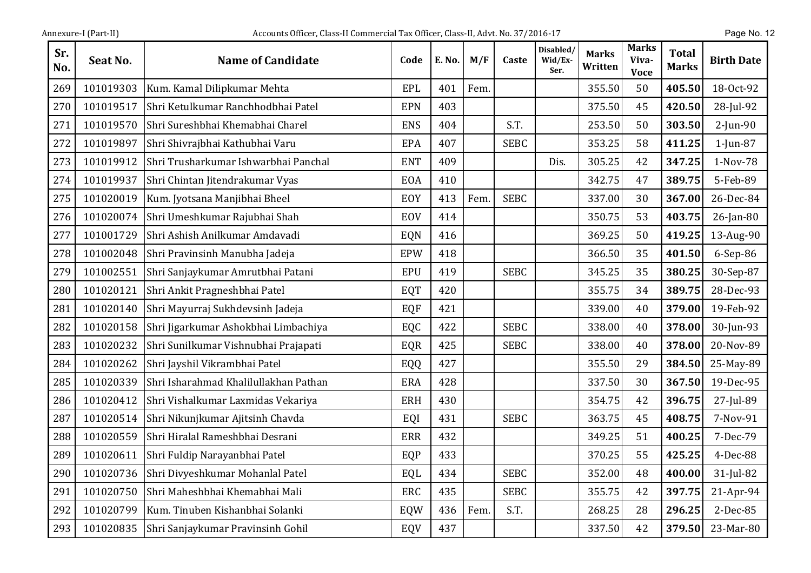| Annexure-I (Part-II) |  |
|----------------------|--|
|                      |  |

| Sr.<br>No. | Seat No.  | <b>Name of Candidate</b>              | Code       | E. No. | M/F  | Caste       | Disabled/<br>Wid/Ex-<br>Ser. | Marks<br>Written | Marks<br>Viva-<br><b>Voce</b> | <b>Total</b><br><b>Marks</b> | <b>Birth Date</b> |
|------------|-----------|---------------------------------------|------------|--------|------|-------------|------------------------------|------------------|-------------------------------|------------------------------|-------------------|
| 269        | 101019303 | Kum. Kamal Dilipkumar Mehta           | <b>EPL</b> | 401    | Fem. |             |                              | 355.50           | 50                            | 405.50                       | 18-Oct-92         |
| 270        | 101019517 | Shri Ketulkumar Ranchhodbhai Patel    | <b>EPN</b> | 403    |      |             |                              | 375.50           | 45                            | 420.50                       | 28-Jul-92         |
| 271        | 101019570 | Shri Sureshbhai Khemabhai Charel      | <b>ENS</b> | 404    |      | S.T.        |                              | 253.50           | 50                            | 303.50                       | $2$ -Jun-90       |
| 272        | 101019897 | Shri Shivrajbhai Kathubhai Varu       | EPA        | 407    |      | <b>SEBC</b> |                              | 353.25           | 58                            | 411.25                       | $1$ -Jun-87       |
| 273        | 101019912 | Shri Trusharkumar Ishwarbhai Panchal  | <b>ENT</b> | 409    |      |             | Dis.                         | 305.25           | 42                            | 347.25                       | 1-Nov-78          |
| 274        | 101019937 | Shri Chintan Jitendrakumar Vyas       | EOA        | 410    |      |             |                              | 342.75           | 47                            | 389.75                       | 5-Feb-89          |
| 275        | 101020019 | Kum. Jyotsana Manjibhai Bheel         | EOY        | 413    | Fem. | <b>SEBC</b> |                              | 337.00           | 30                            | 367.00                       | 26-Dec-84         |
| 276        | 101020074 | Shri Umeshkumar Rajubhai Shah         | EOV        | 414    |      |             |                              | 350.75           | 53                            | 403.75                       | $26$ -Jan-80      |
| 277        | 101001729 | Shri Ashish Anilkumar Amdavadi        | <b>EQN</b> | 416    |      |             |                              | 369.25           | 50                            | 419.25                       | 13-Aug-90         |
| 278        | 101002048 | Shri Pravinsinh Manubha Jadeja        | <b>EPW</b> | 418    |      |             |                              | 366.50           | 35                            | 401.50                       | 6-Sep-86          |
| 279        | 101002551 | Shri Sanjaykumar Amrutbhai Patani     | <b>EPU</b> | 419    |      | <b>SEBC</b> |                              | 345.25           | 35                            | 380.25                       | 30-Sep-87         |
| 280        | 101020121 | Shri Ankit Pragneshbhai Patel         | EQT        | 420    |      |             |                              | 355.75           | 34                            | 389.75                       | 28-Dec-93         |
| 281        | 101020140 | Shri Mayurraj Sukhdevsinh Jadeja      | EQF        | 421    |      |             |                              | 339.00           | 40                            | 379.00                       | 19-Feb-92         |
| 282        | 101020158 | Shri Jigarkumar Ashokbhai Limbachiya  | EQC        | 422    |      | <b>SEBC</b> |                              | 338.00           | 40                            | 378.00                       | 30-Jun-93         |
| 283        | 101020232 | Shri Sunilkumar Vishnubhai Prajapati  | EQR        | 425    |      | <b>SEBC</b> |                              | 338.00           | 40                            | 378.00                       | 20-Nov-89         |
| 284        | 101020262 | Shri Jayshil Vikrambhai Patel         | EQQ        | 427    |      |             |                              | 355.50           | 29                            | 384.50                       | 25-May-89         |
| 285        | 101020339 | Shri Isharahmad Khalilullakhan Pathan | <b>ERA</b> | 428    |      |             |                              | 337.50           | 30                            | 367.50                       | 19-Dec-95         |
| 286        | 101020412 | Shri Vishalkumar Laxmidas Vekariya    | <b>ERH</b> | 430    |      |             |                              | 354.75           | 42                            | 396.75                       | 27-Jul-89         |
| 287        | 101020514 | Shri Nikunjkumar Ajitsinh Chavda      | EQI        | 431    |      | <b>SEBC</b> |                              | 363.75           | 45                            | 408.75                       | 7-Nov-91          |
| 288        | 101020559 | Shri Hiralal Rameshbhai Desrani       | <b>ERR</b> | 432    |      |             |                              | 349.25           | 51                            | 400.25                       | 7-Dec-79          |
| 289        | 101020611 | Shri Fuldip Narayanbhai Patel         | EQP        | 433    |      |             |                              | 370.25           | 55                            | 425.25                       | 4-Dec-88          |
| 290        | 101020736 | Shri Divyeshkumar Mohanlal Patel      | EQL        | 434    |      | <b>SEBC</b> |                              | 352.00           | 48                            | 400.00                       | $31$ -Jul-82      |
| 291        | 101020750 | Shri Maheshbhai Khemabhai Mali        | ERC        | 435    |      | <b>SEBC</b> |                              | 355.75           | 42                            | 397.75                       | 21-Apr-94         |
| 292        | 101020799 | Kum. Tinuben Kishanbhai Solanki       | EQW        | 436    | Fem. | S.T.        |                              | 268.25           | 28                            | 296.25                       | 2-Dec-85          |
| 293        | 101020835 | Shri Sanjaykumar Pravinsinh Gohil     | EQV        | 437    |      |             |                              | 337.50           | 42                            | 379.50                       | 23-Mar-80         |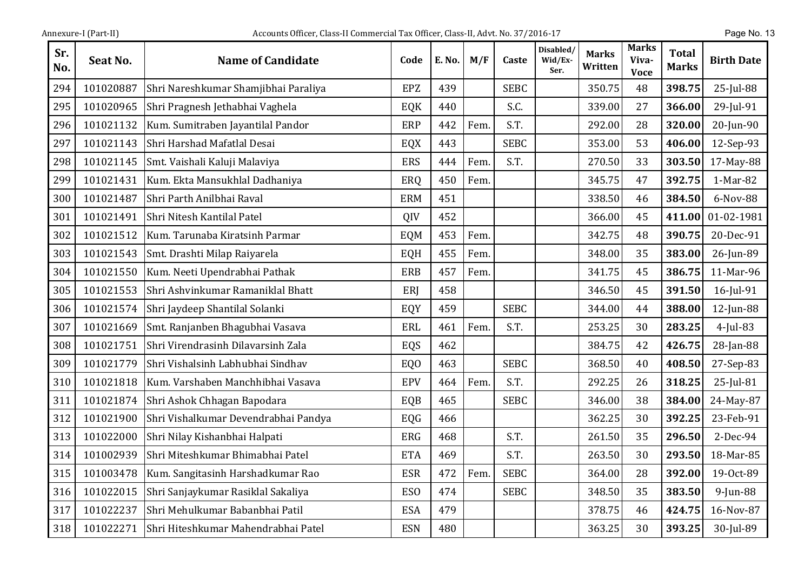| Sr.<br>No. | Seat No.  | <b>Name of Candidate</b>             | Code            | E. No. | M/F  | Caste       | Disabled/<br>Wid/Ex-<br>Ser. | <b>Marks</b><br>Written | <b>Marks</b><br>Viva-<br><b>Voce</b> | <b>Total</b><br><b>Marks</b> | <b>Birth Date</b> |
|------------|-----------|--------------------------------------|-----------------|--------|------|-------------|------------------------------|-------------------------|--------------------------------------|------------------------------|-------------------|
| 294        | 101020887 | Shri Nareshkumar Shamjibhai Paraliya | <b>EPZ</b>      | 439    |      | <b>SEBC</b> |                              | 350.75                  | 48                                   | 398.75                       | 25-Jul-88         |
| 295        | 101020965 | Shri Pragnesh Jethabhai Vaghela      | EQK             | 440    |      | S.C.        |                              | 339.00                  | 27                                   | 366.00                       | 29-Jul-91         |
| 296        | 101021132 | Kum. Sumitraben Jayantilal Pandor    | <b>ERP</b>      | 442    | Fem. | S.T.        |                              | 292.00                  | 28                                   | 320.00                       | 20-Jun-90         |
| 297        | 101021143 | Shri Harshad Mafatlal Desai          | EQX             | 443    |      | <b>SEBC</b> |                              | 353.00                  | 53                                   | 406.00                       | 12-Sep-93         |
| 298        | 101021145 | Smt. Vaishali Kaluji Malaviya        | <b>ERS</b>      | 444    | Fem. | S.T.        |                              | 270.50                  | 33                                   | 303.50                       | 17-May-88         |
| 299        | 101021431 | Kum. Ekta Mansukhlal Dadhaniya       | ERQ             | 450    | Fem. |             |                              | 345.75                  | 47                                   | 392.75                       | 1-Mar-82          |
| 300        | 101021487 | Shri Parth Anilbhai Raval            | <b>ERM</b>      | 451    |      |             |                              | 338.50                  | 46                                   | 384.50                       | 6-Nov-88          |
| 301        | 101021491 | Shri Nitesh Kantilal Patel           | QIV             | 452    |      |             |                              | 366.00                  | 45                                   | 411.00                       | 01-02-1981        |
| 302        | 101021512 | Kum. Tarunaba Kiratsinh Parmar       | EQM             | 453    | Fem. |             |                              | 342.75                  | 48                                   | 390.75                       | 20-Dec-91         |
| 303        | 101021543 | Smt. Drashti Milap Raiyarela         | EQH             | 455    | Fem. |             |                              | 348.00                  | 35                                   | 383.00                       | 26-Jun-89         |
| 304        | 101021550 | Kum. Neeti Upendrabhai Pathak        | <b>ERB</b>      | 457    | Fem. |             |                              | 341.75                  | 45                                   | 386.75                       | 11-Mar-96         |
| 305        | 101021553 | Shri Ashvinkumar Ramaniklal Bhatt    | ERI             | 458    |      |             |                              | 346.50                  | 45                                   | 391.50                       | 16-Jul-91         |
| 306        | 101021574 | Shri Jaydeep Shantilal Solanki       | EQY             | 459    |      | <b>SEBC</b> |                              | 344.00                  | 44                                   | 388.00                       | 12-Jun-88         |
| 307        | 101021669 | Smt. Ranjanben Bhagubhai Vasava      | ERL             | 461    | Fem. | S.T.        |                              | 253.25                  | 30                                   | 283.25                       | $4$ -Jul-83       |
| 308        | 101021751 | Shri Virendrasinh Dilavarsinh Zala   | EQS             | 462    |      |             |                              | 384.75                  | 42                                   | 426.75                       | 28-Jan-88         |
| 309        | 101021779 | Shri Vishalsinh Labhubhai Sindhav    | EQ <sub>0</sub> | 463    |      | <b>SEBC</b> |                              | 368.50                  | 40                                   | 408.50                       | 27-Sep-83         |
| 310        | 101021818 | Kum. Varshaben Manchhibhai Vasava    | <b>EPV</b>      | 464    | Fem. | S.T.        |                              | 292.25                  | 26                                   | 318.25                       | 25-Jul-81         |
| 311        | 101021874 | Shri Ashok Chhagan Bapodara          | EQB             | 465    |      | <b>SEBC</b> |                              | 346.00                  | 38                                   | 384.00                       | 24-May-87         |
| 312        | 101021900 | Shri Vishalkumar Devendrabhai Pandya | EQG             | 466    |      |             |                              | 362.25                  | 30                                   | 392.25                       | 23-Feb-91         |
| 313        | 101022000 | Shri Nilay Kishanbhai Halpati        | <b>ERG</b>      | 468    |      | S.T.        |                              | 261.50                  | 35                                   | 296.50                       | 2-Dec-94          |
| 314        | 101002939 | Shri Miteshkumar Bhimabhai Patel     | <b>ETA</b>      | 469    |      | S.T.        |                              | 263.50                  | 30                                   | 293.50                       | 18-Mar-85         |
| 315        | 101003478 | Kum. Sangitasinh Harshadkumar Rao    | <b>ESR</b>      | 472    | Fem. | <b>SEBC</b> |                              | 364.00                  | 28                                   | 392.00                       | 19-Oct-89         |
| 316        | 101022015 | Shri Sanjaykumar Rasiklal Sakaliya   | ESO             | 474    |      | <b>SEBC</b> |                              | 348.50                  | 35                                   | 383.50                       | $9$ -Jun-88       |
| 317        | 101022237 | Shri Mehulkumar Babanbhai Patil      | <b>ESA</b>      | 479    |      |             |                              | 378.75                  | 46                                   | 424.75                       | 16-Nov-87         |
| 318        | 101022271 | Shri Hiteshkumar Mahendrabhai Patel  | <b>ESN</b>      | 480    |      |             |                              | 363.25                  | 30                                   | 393.25                       | 30-Jul-89         |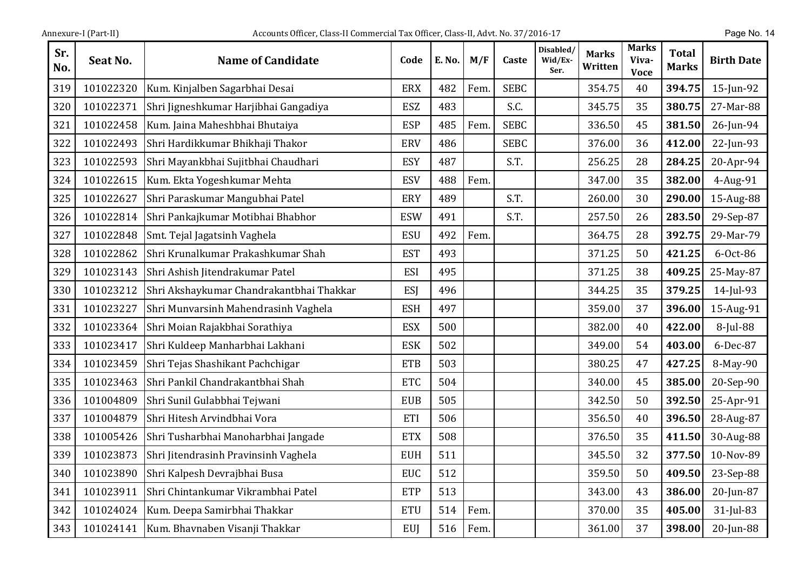| Annexure-I (Part-II) |  |
|----------------------|--|
|                      |  |

| Sr.<br>No. | Seat No.  | <b>Name of Candidate</b>                 | Code       | E. No. | M/F  | Caste       | Disabled/<br>Wid/Ex-<br>Ser. | <b>Marks</b><br>Written | <b>Marks</b><br>Viva-<br><b>Voce</b> | <b>Total</b><br><b>Marks</b> | <b>Birth Date</b> |
|------------|-----------|------------------------------------------|------------|--------|------|-------------|------------------------------|-------------------------|--------------------------------------|------------------------------|-------------------|
| 319        | 101022320 | Kum. Kinjalben Sagarbhai Desai           | <b>ERX</b> | 482    | Fem. | <b>SEBC</b> |                              | 354.75                  | 40                                   | 394.75                       | $15$ -Jun-92      |
| 320        | 101022371 | Shri Jigneshkumar Harjibhai Gangadiya    | ESZ        | 483    |      | S.C.        |                              | 345.75                  | 35                                   | 380.75                       | 27-Mar-88         |
| 321        | 101022458 | Kum. Jaina Maheshbhai Bhutaiya           | <b>ESP</b> | 485    | Fem. | <b>SEBC</b> |                              | 336.50                  | 45                                   | 381.50                       | 26-Jun-94         |
| 322        | 101022493 | Shri Hardikkumar Bhikhaji Thakor         | <b>ERV</b> | 486    |      | <b>SEBC</b> |                              | 376.00                  | 36                                   | 412.00                       | 22-Jun-93         |
| 323        | 101022593 | Shri Mayankbhai Sujitbhai Chaudhari      | <b>ESY</b> | 487    |      | S.T.        |                              | 256.25                  | 28                                   | 284.25                       | 20-Apr-94         |
| 324        | 101022615 | Kum. Ekta Yogeshkumar Mehta              | <b>ESV</b> | 488    | Fem. |             |                              | 347.00                  | 35                                   | 382.00                       | 4-Aug-91          |
| 325        | 101022627 | Shri Paraskumar Mangubhai Patel          | ERY        | 489    |      | S.T.        |                              | 260.00                  | 30                                   | 290.00                       | 15-Aug-88         |
| 326        | 101022814 | Shri Pankajkumar Motibhai Bhabhor        | <b>ESW</b> | 491    |      | S.T.        |                              | 257.50                  | 26                                   | 283.50                       | 29-Sep-87         |
| 327        | 101022848 | Smt. Tejal Jagatsinh Vaghela             | <b>ESU</b> | 492    | Fem. |             |                              | 364.75                  | 28                                   | 392.75                       | 29-Mar-79         |
| 328        | 101022862 | Shri Krunalkumar Prakashkumar Shah       | <b>EST</b> | 493    |      |             |                              | 371.25                  | 50                                   | 421.25                       | $6-0ct-86$        |
| 329        | 101023143 | Shri Ashish Jitendrakumar Patel          | <b>ESI</b> | 495    |      |             |                              | 371.25                  | 38                                   | 409.25                       | 25-May-87         |
| 330        | 101023212 | Shri Akshaykumar Chandrakantbhai Thakkar | ESJ        | 496    |      |             |                              | 344.25                  | 35                                   | 379.25                       | 14-Jul-93         |
| 331        | 101023227 | Shri Munvarsinh Mahendrasinh Vaghela     | <b>ESH</b> | 497    |      |             |                              | 359.00                  | 37                                   | 396.00                       | 15-Aug-91         |
| 332        | 101023364 | Shri Moian Rajakbhai Sorathiya           | <b>ESX</b> | 500    |      |             |                              | 382.00                  | 40                                   | 422.00                       | 8-Jul-88          |
| 333        | 101023417 | Shri Kuldeep Manharbhai Lakhani          | <b>ESK</b> | 502    |      |             |                              | 349.00                  | 54                                   | 403.00                       | 6-Dec-87          |
| 334        | 101023459 | Shri Tejas Shashikant Pachchigar         | <b>ETB</b> | 503    |      |             |                              | 380.25                  | 47                                   | 427.25                       | 8-May-90          |
| 335        | 101023463 | Shri Pankil Chandrakantbhai Shah         | <b>ETC</b> | 504    |      |             |                              | 340.00                  | 45                                   | 385.00                       | 20-Sep-90         |
| 336        | 101004809 | Shri Sunil Gulabbhai Tejwani             | <b>EUB</b> | 505    |      |             |                              | 342.50                  | 50                                   | 392.50                       | 25-Apr-91         |
| 337        | 101004879 | Shri Hitesh Arvindbhai Vora              | ETI        | 506    |      |             |                              | 356.50                  | 40                                   | 396.50                       | 28-Aug-87         |
| 338        | 101005426 | Shri Tusharbhai Manoharbhai Jangade      | <b>ETX</b> | 508    |      |             |                              | 376.50                  | 35                                   | 411.50                       | 30-Aug-88         |
| 339        | 101023873 | Shri Jitendrasinh Pravinsinh Vaghela     | <b>EUH</b> | 511    |      |             |                              | 345.50                  | 32                                   | 377.50                       | 10-Nov-89         |
| 340        | 101023890 | Shri Kalpesh Devrajbhai Busa             | <b>EUC</b> | 512    |      |             |                              | 359.50                  | 50                                   | 409.50                       | 23-Sep-88         |
| 341        | 101023911 | Shri Chintankumar Vikrambhai Patel       | <b>ETP</b> | 513    |      |             |                              | 343.00                  | 43                                   | 386.00                       | 20-Jun-87         |
| 342        | 101024024 | Kum. Deepa Samirbhai Thakkar             | <b>ETU</b> | 514    | Fem. |             |                              | 370.00                  | 35                                   | 405.00                       | 31-Jul-83         |
| 343        | 101024141 | Kum. Bhavnaben Visanji Thakkar           | EUJ        | 516    | Fem. |             |                              | 361.00                  | 37                                   | 398.00                       | 20-Jun-88         |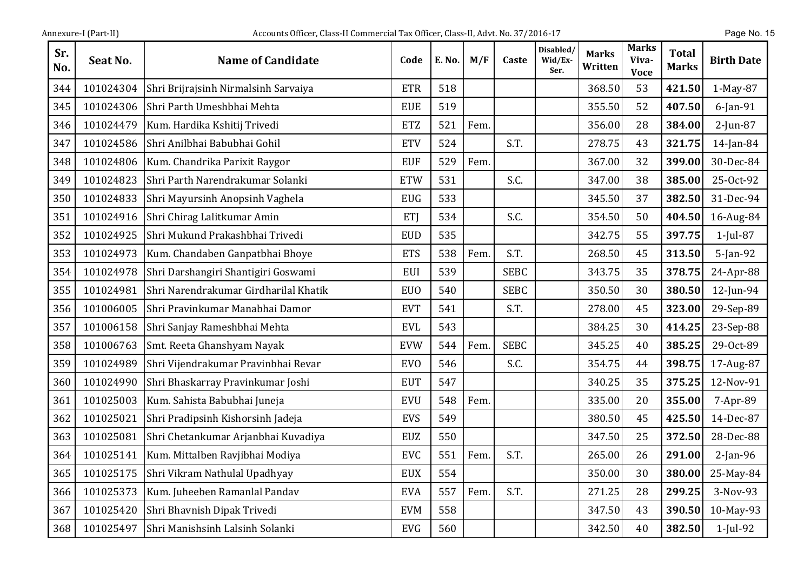| Sr.<br>No. | Seat No.  | <b>Name of Candidate</b>              | Code       | E. No. | M/F  | Caste       | Disabled/<br>Wid/Ex-<br>Ser. | <b>Marks</b><br>Written | <b>Marks</b><br>Viva-<br><b>Voce</b> | <b>Total</b><br><b>Marks</b> | <b>Birth Date</b> |
|------------|-----------|---------------------------------------|------------|--------|------|-------------|------------------------------|-------------------------|--------------------------------------|------------------------------|-------------------|
| 344        | 101024304 | Shri Brijrajsinh Nirmalsinh Sarvaiya  | <b>ETR</b> | 518    |      |             |                              | 368.50                  | 53                                   | 421.50                       | 1-May-87          |
| 345        | 101024306 | Shri Parth Umeshbhai Mehta            | <b>EUE</b> | 519    |      |             |                              | 355.50                  | 52                                   | 407.50                       | $6$ -Jan-91       |
| 346        | 101024479 | Kum. Hardika Kshitij Trivedi          | <b>ETZ</b> | 521    | Fem. |             |                              | 356.00                  | 28                                   | 384.00                       | $2$ -Jun-87       |
| 347        | 101024586 | Shri Anilbhai Babubhai Gohil          | <b>ETV</b> | 524    |      | S.T.        |                              | 278.75                  | 43                                   | 321.75                       | $14$ -Jan-84      |
| 348        | 101024806 | Kum. Chandrika Parixit Raygor         | <b>EUF</b> | 529    | Fem. |             |                              | 367.00                  | 32                                   | 399.00                       | 30-Dec-84         |
| 349        | 101024823 | Shri Parth Narendrakumar Solanki      | <b>ETW</b> | 531    |      | S.C.        |                              | 347.00                  | 38                                   | 385.00                       | 25-Oct-92         |
| 350        | 101024833 | Shri Mayursinh Anopsinh Vaghela       | <b>EUG</b> | 533    |      |             |                              | 345.50                  | 37                                   | 382.50                       | 31-Dec-94         |
| 351        | 101024916 | Shri Chirag Lalitkumar Amin           | ETJ        | 534    |      | S.C.        |                              | 354.50                  | 50                                   | 404.50                       | 16-Aug-84         |
| 352        | 101024925 | Shri Mukund Prakashbhai Trivedi       | <b>EUD</b> | 535    |      |             |                              | 342.75                  | 55                                   | 397.75                       | $1$ -Jul-87       |
| 353        | 101024973 | Kum. Chandaben Ganpatbhai Bhoye       | <b>ETS</b> | 538    | Fem. | S.T.        |                              | 268.50                  | 45                                   | 313.50                       | $5$ -Jan-92       |
| 354        | 101024978 | Shri Darshangiri Shantigiri Goswami   | <b>EUI</b> | 539    |      | <b>SEBC</b> |                              | 343.75                  | 35                                   | 378.75                       | 24-Apr-88         |
| 355        | 101024981 | Shri Narendrakumar Girdharilal Khatik | <b>EUO</b> | 540    |      | <b>SEBC</b> |                              | 350.50                  | 30                                   | 380.50                       | 12-Jun-94         |
| 356        | 101006005 | Shri Pravinkumar Manabhai Damor       | <b>EVT</b> | 541    |      | S.T.        |                              | 278.00                  | 45                                   | 323.00                       | 29-Sep-89         |
| 357        | 101006158 | Shri Sanjay Rameshbhai Mehta          | <b>EVL</b> | 543    |      |             |                              | 384.25                  | 30                                   | 414.25                       | 23-Sep-88         |
| 358        | 101006763 | Smt. Reeta Ghanshyam Nayak            | <b>EVW</b> | 544    | Fem. | <b>SEBC</b> |                              | 345.25                  | 40                                   | 385.25                       | 29-Oct-89         |
| 359        | 101024989 | Shri Vijendrakumar Pravinbhai Revar   | <b>EVO</b> | 546    |      | S.C.        |                              | 354.75                  | 44                                   | 398.75                       | 17-Aug-87         |
| 360        | 101024990 | Shri Bhaskarray Pravinkumar Joshi     | <b>EUT</b> | 547    |      |             |                              | 340.25                  | 35                                   | 375.25                       | 12-Nov-91         |
| 361        | 101025003 | Kum. Sahista Babubhai Juneja          | <b>EVU</b> | 548    | Fem. |             |                              | 335.00                  | 20                                   | 355.00                       | 7-Apr-89          |
| 362        | 101025021 | Shri Pradipsinh Kishorsinh Jadeja     | <b>EVS</b> | 549    |      |             |                              | 380.50                  | 45                                   | 425.50                       | 14-Dec-87         |
| 363        | 101025081 | Shri Chetankumar Arjanbhai Kuvadiya   | <b>EUZ</b> | 550    |      |             |                              | 347.50                  | 25                                   | 372.50                       | 28-Dec-88         |
| 364        | 101025141 | Kum. Mittalben Ravjibhai Modiya       | <b>EVC</b> | 551    | Fem. | S.T.        |                              | 265.00                  | 26                                   | 291.00                       | $2$ -Jan-96       |
| 365        | 101025175 | Shri Vikram Nathulal Upadhyay         | <b>EUX</b> | 554    |      |             |                              | 350.00                  | 30                                   | 380.00                       | 25-May-84         |
| 366        | 101025373 | Kum. Juheeben Ramanlal Pandav         | <b>EVA</b> | 557    | Fem. | S.T.        |                              | 271.25                  | 28                                   | 299.25                       | 3-Nov-93          |
| 367        | 101025420 | Shri Bhavnish Dipak Trivedi           | <b>EVM</b> | 558    |      |             |                              | 347.50                  | 43                                   | 390.50                       | 10-May-93         |
| 368        | 101025497 | Shri Manishsinh Lalsinh Solanki       | <b>EVG</b> | 560    |      |             |                              | 342.50                  | 40                                   | 382.50                       | $1$ -Jul-92       |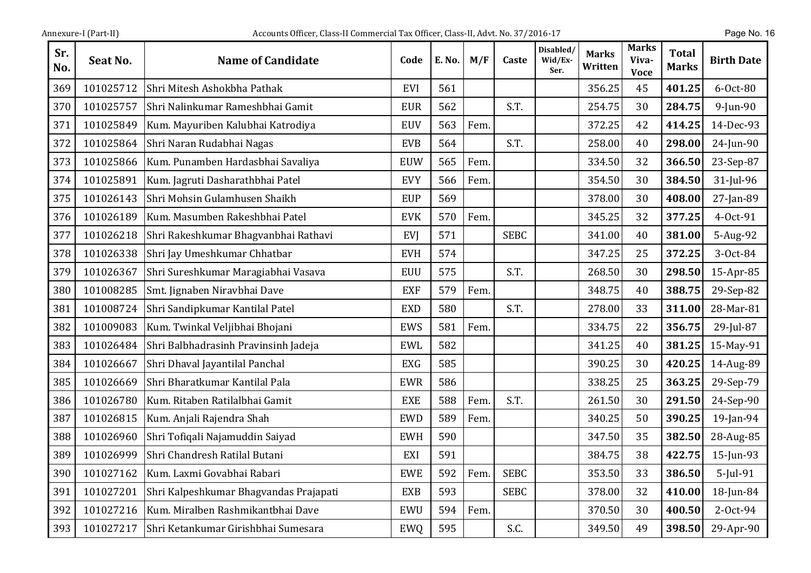| Annexure-I (Part-II |  |
|---------------------|--|
|                     |  |

| Sr.<br>No. | Seat No.  | <b>Name of Candidate</b>               | Code       | E. No. | M/F  | Caste       | Disabled/<br>Wid/Ex-<br>Ser. | Marks<br>Written | Marks<br>Viva-<br><b>Voce</b> | <b>Total</b><br><b>Marks</b> | <b>Birth Date</b> |
|------------|-----------|----------------------------------------|------------|--------|------|-------------|------------------------------|------------------|-------------------------------|------------------------------|-------------------|
| 369        | 101025712 | Shri Mitesh Ashokbha Pathak            | EVI        | 561    |      |             |                              | 356.25           | 45                            | 401.25                       | 6-Oct-80          |
| 370        | 101025757 | Shri Nalinkumar Rameshbhai Gamit       | <b>EUR</b> | 562    |      | S.T.        |                              | 254.75           | 30                            | 284.75                       | $9$ -Jun-90       |
| 371        | 101025849 | Kum. Mayuriben Kalubhai Katrodiya      | <b>EUV</b> | 563    | Fem. |             |                              | 372.25           | 42                            | 414.25                       | 14-Dec-93         |
| 372        | 101025864 | Shri Naran Rudabhai Nagas              | <b>EVB</b> | 564    |      | S.T.        |                              | 258.00           | 40                            | 298.00                       | 24-Jun-90         |
| 373        | 101025866 | Kum. Punamben Hardasbhai Savaliya      | EUW        | 565    | Fem. |             |                              | 334.50           | 32                            | 366.50                       | 23-Sep-87         |
| 374        | 101025891 | Kum. Jagruti Dasharathbhai Patel       | <b>EVY</b> | 566    | Fem. |             |                              | 354.50           | 30                            | 384.50                       | 31-Jul-96         |
| 375        | 101026143 | Shri Mohsin Gulamhusen Shaikh          | <b>EUP</b> | 569    |      |             |                              | 378.00           | 30                            | 408.00                       | 27-Jan-89         |
| 376        | 101026189 | Kum. Masumben Rakeshbhai Patel         | <b>EVK</b> | 570    | Fem. |             |                              | 345.25           | 32                            | 377.25                       | 4-Oct-91          |
| 377        | 101026218 | Shri Rakeshkumar Bhagvanbhai Rathavi   | EVJ        | 571    |      | <b>SEBC</b> |                              | 341.00           | 40                            | 381.00                       | 5-Aug-92          |
| 378        | 101026338 | Shri Jay Umeshkumar Chhatbar           | <b>EVH</b> | 574    |      |             |                              | 347.25           | 25                            | 372.25                       | 3-Oct-84          |
| 379        | 101026367 | Shri Sureshkumar Maragiabhai Vasava    | <b>EUU</b> | 575    |      | S.T.        |                              | 268.50           | 30                            | 298.50                       | 15-Apr-85         |
| 380        | 101008285 | Smt. Jignaben Niravbhai Dave           | <b>EXF</b> | 579    | Fem. |             |                              | 348.75           | 40                            | 388.75                       | 29-Sep-82         |
| 381        | 101008724 | Shri Sandipkumar Kantilal Patel        | <b>EXD</b> | 580    |      | S.T.        |                              | 278.00           | 33                            | 311.00                       | 28-Mar-81         |
| 382        | 101009083 | Kum. Twinkal Veljibhai Bhojani         | EWS        | 581    | Fem. |             |                              | 334.75           | 22                            | 356.75                       | 29-Jul-87         |
| 383        | 101026484 | Shri Balbhadrasinh Pravinsinh Jadeja   | <b>EWL</b> | 582    |      |             |                              | 341.25           | 40                            | 381.25                       | 15-May-91         |
| 384        | 101026667 | Shri Dhaval Jayantilal Panchal         | <b>EXG</b> | 585    |      |             |                              | 390.25           | 30                            | 420.25                       | 14-Aug-89         |
| 385        | 101026669 | Shri Bharatkumar Kantilal Pala         | <b>EWR</b> | 586    |      |             |                              | 338.25           | 25                            | 363.25                       | 29-Sep-79         |
| 386        | 101026780 | Kum. Ritaben Ratilalbhai Gamit         | <b>EXE</b> | 588    | Fem. | S.T.        |                              | 261.50           | 30                            | 291.50                       | 24-Sep-90         |
| 387        | 101026815 | Kum. Anjali Rajendra Shah              | <b>EWD</b> | 589    | Fem. |             |                              | 340.25           | 50                            | 390.25                       | 19-Jan-94         |
| 388        | 101026960 | Shri Tofiqali Najamuddin Saiyad        | <b>EWH</b> | 590    |      |             |                              | 347.50           | 35                            | 382.50                       | 28-Aug-85         |
| 389        | 101026999 | Shri Chandresh Ratilal Butani          | EXI        | 591    |      |             |                              | 384.75           | 38                            | 422.75                       | 15-Jun-93         |
| 390        | 101027162 | Kum. Laxmi Govabhai Rabari             | <b>EWE</b> | 592    | Fem. | <b>SEBC</b> |                              | 353.50           | 33                            | 386.50                       | $5$ -Jul-91       |
| 391        | 101027201 | Shri Kalpeshkumar Bhagvandas Prajapati | <b>EXB</b> | 593    |      | <b>SEBC</b> |                              | 378.00           | 32                            | 410.00                       | 18-Jun-84         |
| 392        | 101027216 | Kum. Miralben Rashmikantbhai Dave      | EWU        | 594    | Fem. |             |                              | 370.50           | 30                            | 400.50                       | 2-Oct-94          |
| 393        | 101027217 | Shri Ketankumar Girishbhai Sumesara    | <b>EWQ</b> | 595    |      | S.C.        |                              | 349.50           | 49                            | 398.50                       | 29-Apr-90         |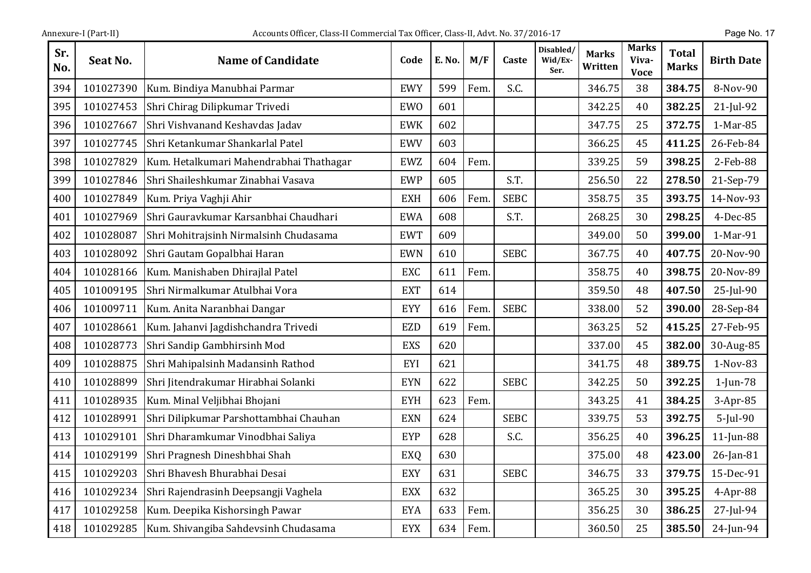| Sr.<br>No. | Seat No.  | <b>Name of Candidate</b>                | Code       | E. No. | M/F  | Caste       | Disabled/<br>Wid/Ex-<br>Ser. | <b>Marks</b><br>Written | <b>Marks</b><br>Viva-<br><b>Voce</b> | <b>Total</b><br><b>Marks</b> | <b>Birth Date</b> |
|------------|-----------|-----------------------------------------|------------|--------|------|-------------|------------------------------|-------------------------|--------------------------------------|------------------------------|-------------------|
| 394        | 101027390 | Kum. Bindiya Manubhai Parmar            | <b>EWY</b> | 599    | Fem. | S.C.        |                              | 346.75                  | 38                                   | 384.75                       | 8-Nov-90          |
| 395        | 101027453 | Shri Chirag Dilipkumar Trivedi          | EWO        | 601    |      |             |                              | 342.25                  | 40                                   | 382.25                       | $21$ -Jul-92      |
| 396        | 101027667 | Shri Vishvanand Keshavdas Jadav         | <b>EWK</b> | 602    |      |             |                              | 347.75                  | 25                                   | 372.75                       | 1-Mar-85          |
| 397        | 101027745 | Shri Ketankumar Shankarlal Patel        | <b>EWV</b> | 603    |      |             |                              | 366.25                  | 45                                   | 411.25                       | 26-Feb-84         |
| 398        | 101027829 | Kum. Hetalkumari Mahendrabhai Thathagar | <b>EWZ</b> | 604    | Fem. |             |                              | 339.25                  | 59                                   | 398.25                       | 2-Feb-88          |
| 399        | 101027846 | Shri Shaileshkumar Zinabhai Vasava      | <b>EWP</b> | 605    |      | S.T.        |                              | 256.50                  | 22                                   | 278.50                       | 21-Sep-79         |
| 400        | 101027849 | Kum. Priya Vaghji Ahir                  | <b>EXH</b> | 606    | Fem. | <b>SEBC</b> |                              | 358.75                  | 35                                   | 393.75                       | 14-Nov-93         |
| 401        | 101027969 | Shri Gauravkumar Karsanbhai Chaudhari   | <b>EWA</b> | 608    |      | S.T.        |                              | 268.25                  | 30                                   | 298.25                       | 4-Dec-85          |
| 402        | 101028087 | Shri Mohitrajsinh Nirmalsinh Chudasama  | <b>EWT</b> | 609    |      |             |                              | 349.00                  | 50                                   | 399.00                       | 1-Mar-91          |
| 403        | 101028092 | Shri Gautam Gopalbhai Haran             | <b>EWN</b> | 610    |      | <b>SEBC</b> |                              | 367.75                  | 40                                   | 407.75                       | 20-Nov-90         |
| 404        | 101028166 | Kum. Manishaben Dhirajlal Patel         | <b>EXC</b> | 611    | Fem. |             |                              | 358.75                  | 40                                   | 398.75                       | 20-Nov-89         |
| 405        | 101009195 | Shri Nirmalkumar Atulbhai Vora          | <b>EXT</b> | 614    |      |             |                              | 359.50                  | 48                                   | 407.50                       | 25-Jul-90         |
| 406        | 101009711 | Kum. Anita Naranbhai Dangar             | <b>EYY</b> | 616    | Fem. | <b>SEBC</b> |                              | 338.00                  | 52                                   | 390.00                       | 28-Sep-84         |
| 407        | 101028661 | Kum. Jahanvi Jagdishchandra Trivedi     | <b>EZD</b> | 619    | Fem. |             |                              | 363.25                  | 52                                   | 415.25                       | 27-Feb-95         |
| 408        | 101028773 | Shri Sandip Gambhirsinh Mod             | <b>EXS</b> | 620    |      |             |                              | 337.00                  | 45                                   | 382.00                       | 30-Aug-85         |
| 409        | 101028875 | Shri Mahipalsinh Madansinh Rathod       | EYI        | 621    |      |             |                              | 341.75                  | 48                                   | 389.75                       | 1-Nov-83          |
| 410        | 101028899 | Shri Jitendrakumar Hirabhai Solanki     | <b>EYN</b> | 622    |      | <b>SEBC</b> |                              | 342.25                  | 50                                   | 392.25                       | $1$ -Jun-78       |
| 411        | 101028935 | Kum. Minal Veljibhai Bhojani            | <b>EYH</b> | 623    | Fem. |             |                              | 343.25                  | 41                                   | 384.25                       | $3-Apr-85$        |
| 412        | 101028991 | Shri Dilipkumar Parshottambhai Chauhan  | <b>EXN</b> | 624    |      | <b>SEBC</b> |                              | 339.75                  | 53                                   | 392.75                       | $5$ -Jul-90       |
| 413        | 101029101 | Shri Dharamkumar Vinodbhai Saliya       | EYP        | 628    |      | S.C.        |                              | 356.25                  | 40                                   | 396.25                       | $11$ -Jun-88      |
| 414        | 101029199 | Shri Pragnesh Dineshbhai Shah           | EXQ        | 630    |      |             |                              | 375.00                  | 48                                   | 423.00                       | 26-Jan-81         |
| 415        | 101029203 | Shri Bhavesh Bhurabhai Desai            | <b>EXY</b> | 631    |      | <b>SEBC</b> |                              | 346.75                  | 33                                   | 379.75                       | 15-Dec-91         |
| 416        | 101029234 | Shri Rajendrasinh Deepsangji Vaghela    | <b>EXX</b> | 632    |      |             |                              | 365.25                  | 30                                   | 395.25                       | $4-Apr-88$        |
| 417        | 101029258 | Kum. Deepika Kishorsingh Pawar          | <b>EYA</b> | 633    | Fem. |             |                              | 356.25                  | 30                                   | 386.25                       | 27-Jul-94         |
| 418        | 101029285 | Kum. Shivangiba Sahdevsinh Chudasama    | <b>EYX</b> | 634    | Fem. |             |                              | 360.50                  | 25                                   | 385.50                       | 24-Jun-94         |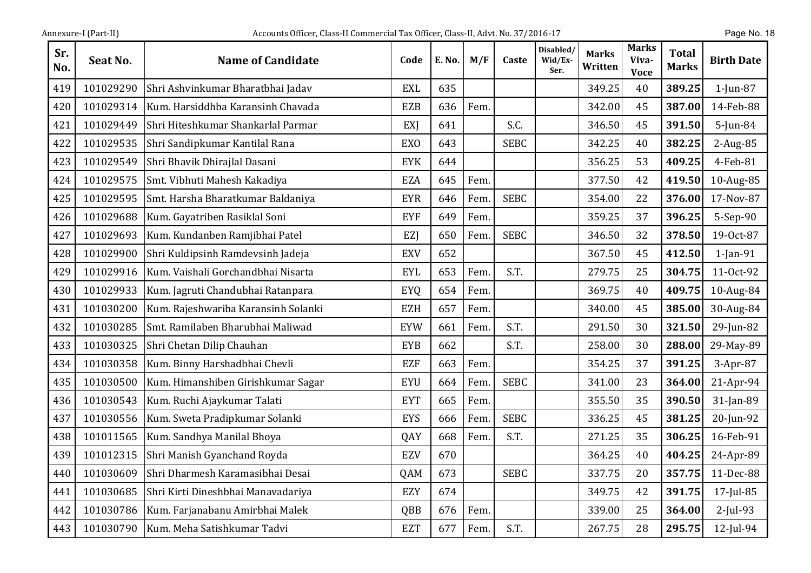| Annexure-I (Part-II) |  |
|----------------------|--|
|                      |  |

| Sr.<br>No. | Seat No.  | <b>Name of Candidate</b>            | Code       | E. No. | M/F  | Caste       | Disabled/<br>Wid/Ex-<br>Ser. | <b>Marks</b><br>Written | <b>Marks</b><br>Viva-<br><b>Voce</b> | <b>Total</b><br><b>Marks</b> | <b>Birth Date</b> |
|------------|-----------|-------------------------------------|------------|--------|------|-------------|------------------------------|-------------------------|--------------------------------------|------------------------------|-------------------|
| 419        | 101029290 | Shri Ashvinkumar Bharatbhai Jadav   | <b>EXL</b> | 635    |      |             |                              | 349.25                  | 40                                   | 389.25                       | $1$ -Jun-87       |
| 420        | 101029314 | Kum. Harsiddhba Karansinh Chavada   | <b>EZB</b> | 636    | Fem. |             |                              | 342.00                  | 45                                   | 387.00                       | 14-Feb-88         |
| 421        | 101029449 | Shri Hiteshkumar Shankarlal Parmar  | EXI        | 641    |      | S.C.        |                              | 346.50                  | 45                                   | 391.50                       | $5$ -Jun-84       |
| 422        | 101029535 | Shri Sandipkumar Kantilal Rana      | <b>EXO</b> | 643    |      | <b>SEBC</b> |                              | 342.25                  | 40                                   | 382.25                       | 2-Aug-85          |
| 423        | 101029549 | Shri Bhavik Dhirajlal Dasani        | <b>EYK</b> | 644    |      |             |                              | 356.25                  | 53                                   | 409.25                       | 4-Feb-81          |
| 424        | 101029575 | Smt. Vibhuti Mahesh Kakadiya        | <b>EZA</b> | 645    | Fem. |             |                              | 377.50                  | 42                                   | 419.50                       | 10-Aug-85         |
| 425        | 101029595 | Smt. Harsha Bharatkumar Baldaniya   | <b>EYR</b> | 646    | Fem. | <b>SEBC</b> |                              | 354.00                  | 22                                   | 376.00                       | 17-Nov-87         |
| 426        | 101029688 | Kum. Gayatriben Rasiklal Soni       | <b>EYF</b> | 649    | Fem. |             |                              | 359.25                  | 37                                   | 396.25                       | 5-Sep-90          |
| 427        | 101029693 | Kum. Kundanben Ramjibhai Patel      | EZJ        | 650    | Fem. | <b>SEBC</b> |                              | 346.50                  | 32                                   | 378.50                       | 19-Oct-87         |
| 428        | 101029900 | Shri Kuldipsinh Ramdevsinh Jadeja   | <b>EXV</b> | 652    |      |             |                              | 367.50                  | 45                                   | 412.50                       | $1$ -Jan-91       |
| 429        | 101029916 | Kum. Vaishali Gorchandbhai Nisarta  | <b>EYL</b> | 653    | Fem. | S.T.        |                              | 279.75                  | 25                                   | 304.75                       | 11-Oct-92         |
| 430        | 101029933 | Kum. Jagruti Chandubhai Ratanpara   | <b>EYQ</b> | 654    | Fem. |             |                              | 369.75                  | 40                                   | 409.75                       | 10-Aug-84         |
| 431        | 101030200 | Kum. Rajeshwariba Karansinh Solanki | <b>EZH</b> | 657    | Fem. |             |                              | 340.00                  | 45                                   | 385.00                       | 30-Aug-84         |
| 432        | 101030285 | Smt. Ramilaben Bharubhai Maliwad    | <b>EYW</b> | 661    | Fem. | S.T.        |                              | 291.50                  | 30                                   | 321.50                       | 29-Jun-82         |
| 433        | 101030325 | Shri Chetan Dilip Chauhan           | <b>EYB</b> | 662    |      | S.T.        |                              | 258.00                  | 30                                   | 288.00                       | 29-May-89         |
| 434        | 101030358 | Kum. Binny Harshadbhai Chevli       | <b>EZF</b> | 663    | Fem. |             |                              | 354.25                  | 37                                   | 391.25                       | $3-Apr-87$        |
| 435        | 101030500 | Kum. Himanshiben Girishkumar Sagar  | <b>EYU</b> | 664    | Fem. | <b>SEBC</b> |                              | 341.00                  | 23                                   | 364.00                       | 21-Apr-94         |
| 436        | 101030543 | Kum. Ruchi Ajaykumar Talati         | <b>EYT</b> | 665    | Fem. |             |                              | 355.50                  | 35                                   | 390.50                       | 31-Jan-89         |
| 437        | 101030556 | Kum. Sweta Pradipkumar Solanki      | <b>EYS</b> | 666    | Fem. | <b>SEBC</b> |                              | 336.25                  | 45                                   | 381.25                       | 20-Jun-92         |
| 438        | 101011565 | Kum. Sandhya Manilal Bhoya          | QAY        | 668    | Fem. | S.T.        |                              | 271.25                  | 35                                   | 306.25                       | 16-Feb-91         |
| 439        | 101012315 | Shri Manish Gyanchand Royda         | EZV        | 670    |      |             |                              | 364.25                  | 40                                   | 404.25                       | 24-Apr-89         |
| 440        | 101030609 | Shri Dharmesh Karamasibhai Desai    | QAM        | 673    |      | <b>SEBC</b> |                              | 337.75                  | 20                                   | 357.75                       | 11-Dec-88         |
| 441        | 101030685 | Shri Kirti Dineshbhai Manavadariya  | EZY        | 674    |      |             |                              | 349.75                  | 42                                   | 391.75                       | 17-Jul-85         |
| 442        | 101030786 | Kum. Farjanabanu Amirbhai Malek     | QBB        | 676    | Fem. |             |                              | 339.00                  | 25                                   | 364.00                       | $2$ -Jul-93       |
| 443        | 101030790 | Kum. Meha Satishkumar Tadvi         | <b>EZT</b> | 677    | Fem. | S.T.        |                              | 267.75                  | 28                                   | 295.75                       | 12-Jul-94         |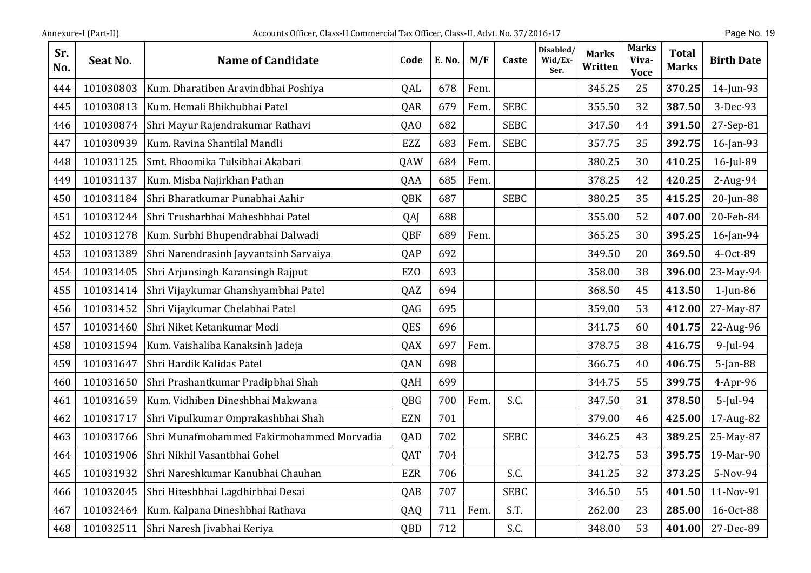| Sr.<br>No. | Seat No.  | <b>Name of Candidate</b>                  | Code            | E. No. | M/F  | Caste       | Disabled/<br>Wid/Ex-<br>Ser. | <b>Marks</b><br>Written | <b>Marks</b><br>Viva-<br><b>Voce</b> | <b>Total</b><br><b>Marks</b> | <b>Birth Date</b> |
|------------|-----------|-------------------------------------------|-----------------|--------|------|-------------|------------------------------|-------------------------|--------------------------------------|------------------------------|-------------------|
| 444        | 101030803 | Kum. Dharatiben Aravindbhai Poshiya       | QAL             | 678    | Fem. |             |                              | 345.25                  | 25                                   | 370.25                       | 14-Jun-93         |
| 445        | 101030813 | Kum. Hemali Bhikhubhai Patel              | QAR             | 679    | Fem. | <b>SEBC</b> |                              | 355.50                  | 32                                   | 387.50                       | 3-Dec-93          |
| 446        | 101030874 | Shri Mayur Rajendrakumar Rathavi          | QA <sub>0</sub> | 682    |      | <b>SEBC</b> |                              | 347.50                  | 44                                   | 391.50                       | 27-Sep-81         |
| 447        | 101030939 | Kum. Ravina Shantilal Mandli              | <b>EZZ</b>      | 683    | Fem  | <b>SEBC</b> |                              | 357.75                  | 35                                   | 392.75                       | 16-Jan-93         |
| 448        | 101031125 | Smt. Bhoomika Tulsibhai Akabari           | QAW             | 684    | Fem. |             |                              | 380.25                  | 30                                   | 410.25                       | 16-Jul-89         |
| 449        | 101031137 | Kum. Misba Najirkhan Pathan               | QAA             | 685    | Fem. |             |                              | 378.25                  | 42                                   | 420.25                       | 2-Aug-94          |
| 450        | 101031184 | Shri Bharatkumar Punabhai Aahir           | <b>QBK</b>      | 687    |      | <b>SEBC</b> |                              | 380.25                  | 35                                   | 415.25                       | 20-Jun-88         |
| 451        | 101031244 | Shri Trusharbhai Maheshbhai Patel         | QAJ             | 688    |      |             |                              | 355.00                  | 52                                   | 407.00                       | 20-Feb-84         |
| 452        | 101031278 | Kum. Surbhi Bhupendrabhai Dalwadi         | QBF             | 689    | Fem. |             |                              | 365.25                  | 30                                   | 395.25                       | 16-Jan-94         |
| 453        | 101031389 | Shri Narendrasinh Jayvantsinh Sarvaiya    | QAP             | 692    |      |             |                              | 349.50                  | 20                                   | 369.50                       | 4-Oct-89          |
| 454        | 101031405 | Shri Arjunsingh Karansingh Rajput         | EZ <sub>0</sub> | 693    |      |             |                              | 358.00                  | 38                                   | 396.00                       | 23-May-94         |
| 455        | 101031414 | Shri Vijaykumar Ghanshyambhai Patel       | QAZ             | 694    |      |             |                              | 368.50                  | 45                                   | 413.50                       | $1$ -Jun-86       |
| 456        | 101031452 | Shri Vijaykumar Chelabhai Patel           | QAG             | 695    |      |             |                              | 359.00                  | 53                                   | 412.00                       | 27-May-87         |
| 457        | 101031460 | Shri Niket Ketankumar Modi                | QES             | 696    |      |             |                              | 341.75                  | 60                                   | 401.75                       | 22-Aug-96         |
| 458        | 101031594 | Kum. Vaishaliba Kanaksinh Jadeja          | QAX             | 697    | Fem. |             |                              | 378.75                  | 38                                   | 416.75                       | 9-Jul-94          |
| 459        | 101031647 | Shri Hardik Kalidas Patel                 | <b>QAN</b>      | 698    |      |             |                              | 366.75                  | 40                                   | 406.75                       | 5-Jan-88          |
| 460        | 101031650 | Shri Prashantkumar Pradipbhai Shah        | QAH             | 699    |      |             |                              | 344.75                  | 55                                   | 399.75                       | 4-Apr-96          |
| 461        | 101031659 | Kum. Vidhiben Dineshbhai Makwana          | QBG             | 700    | Fem. | S.C.        |                              | 347.50                  | 31                                   | 378.50                       | $5$ -Jul-94       |
| 462        | 101031717 | Shri Vipulkumar Omprakashbhai Shah        | <b>EZN</b>      | 701    |      |             |                              | 379.00                  | 46                                   | 425.00                       | 17-Aug-82         |
| 463        | 101031766 | Shri Munafmohammed Fakirmohammed Morvadia | QAD             | 702    |      | <b>SEBC</b> |                              | 346.25                  | 43                                   | 389.25                       | 25-May-87         |
| 464        | 101031906 | Shri Nikhil Vasantbhai Gohel              | QAT             | 704    |      |             |                              | 342.75                  | 53                                   | 395.75                       | 19-Mar-90         |
| 465        | 101031932 | Shri Nareshkumar Kanubhai Chauhan         | <b>EZR</b>      | 706    |      | S.C.        |                              | 341.25                  | 32                                   | 373.25                       | 5-Nov-94          |
| 466        | 101032045 | Shri Hiteshbhai Lagdhirbhai Desai         | QAB             | 707    |      | <b>SEBC</b> |                              | 346.50                  | 55                                   | 401.50                       | 11-Nov-91         |
| 467        | 101032464 | Kum. Kalpana Dineshbhai Rathava           | QAQ             | 711    | Fem. | S.T.        |                              | 262.00                  | 23                                   | 285.00                       | 16-Oct-88         |
| 468        | 101032511 | Shri Naresh Jivabhai Keriya               | QBD             | 712    |      | S.C.        |                              | 348.00                  | 53                                   | 401.00                       | 27-Dec-89         |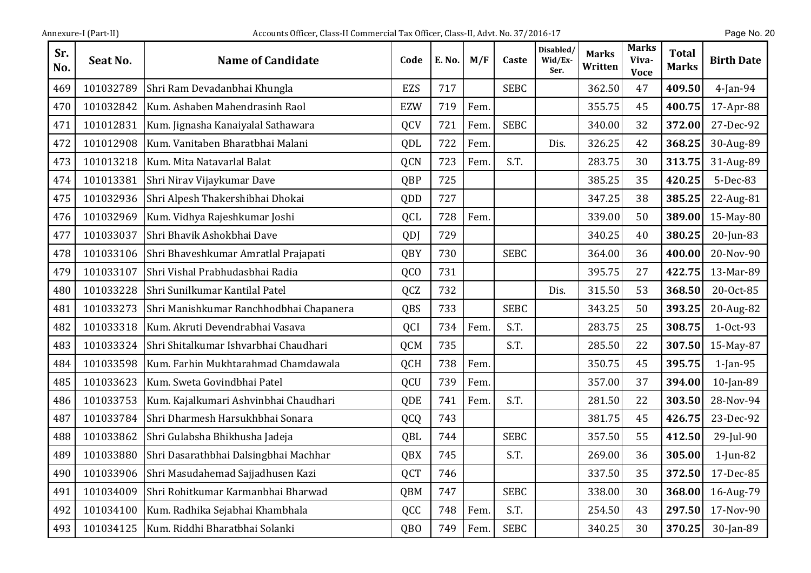| Sr.<br>No. | Seat No.  | <b>Name of Candidate</b>                | Code            | E. No. | M/F  | Caste       | Disabled/<br>Wid/Ex-<br>Ser. | <b>Marks</b><br>Written | <b>Marks</b><br>Viva-<br><b>Voce</b> | <b>Total</b><br><b>Marks</b> | <b>Birth Date</b> |
|------------|-----------|-----------------------------------------|-----------------|--------|------|-------------|------------------------------|-------------------------|--------------------------------------|------------------------------|-------------------|
| 469        | 101032789 | Shri Ram Devadanbhai Khungla            | <b>EZS</b>      | 717    |      | <b>SEBC</b> |                              | 362.50                  | 47                                   | 409.50                       | $4$ -Jan-94       |
| 470        | 101032842 | Kum. Ashaben Mahendrasinh Raol          | <b>EZW</b>      | 719    | Fem. |             |                              | 355.75                  | 45                                   | 400.75                       | 17-Apr-88         |
| 471        | 101012831 | Kum. Jignasha Kanaiyalal Sathawara      | QCV             | 721    | Fem  | <b>SEBC</b> |                              | 340.00                  | 32                                   | 372.00                       | 27-Dec-92         |
| 472        | 101012908 | Kum. Vanitaben Bharatbhai Malani        | QDL             | 722    | Fem. |             | Dis.                         | 326.25                  | 42                                   | 368.25                       | 30-Aug-89         |
| 473        | 101013218 | Kum. Mita Natavarlal Balat              | <b>QCN</b>      | 723    | Fem. | S.T.        |                              | 283.75                  | 30                                   | 313.75                       | 31-Aug-89         |
| 474        | 101013381 | Shri Nirav Vijaykumar Dave              | QBP             | 725    |      |             |                              | 385.25                  | 35                                   | 420.25                       | 5-Dec-83          |
| 475        | 101032936 | Shri Alpesh Thakershibhai Dhokai        | QDD             | 727    |      |             |                              | 347.25                  | 38                                   | 385.25                       | 22-Aug-81         |
| 476        | 101032969 | Kum. Vidhya Rajeshkumar Joshi           | QCL             | 728    | Fem. |             |                              | 339.00                  | 50                                   | 389.00                       | 15-May-80         |
| 477        | 101033037 | Shri Bhavik Ashokbhai Dave              | QDJ             | 729    |      |             |                              | 340.25                  | 40                                   | 380.25                       | $20$ -Jun-83      |
| 478        | 101033106 | Shri Bhaveshkumar Amratlal Prajapati    | QBY             | 730    |      | <b>SEBC</b> |                              | 364.00                  | 36                                   | 400.00                       | 20-Nov-90         |
| 479        | 101033107 | Shri Vishal Prabhudasbhai Radia         | QC <sub>O</sub> | 731    |      |             |                              | 395.75                  | 27                                   | 422.75                       | 13-Mar-89         |
| 480        | 101033228 | Shri Sunilkumar Kantilal Patel          | QCZ             | 732    |      |             | Dis.                         | 315.50                  | 53                                   | 368.50                       | 20-Oct-85         |
| 481        | 101033273 | Shri Manishkumar Ranchhodbhai Chapanera | QBS             | 733    |      | <b>SEBC</b> |                              | 343.25                  | 50                                   | 393.25                       | 20-Aug-82         |
| 482        | 101033318 | Kum. Akruti Devendrabhai Vasava         | QCI             | 734    | Fem  | S.T.        |                              | 283.75                  | 25                                   | 308.75                       | 1-Oct-93          |
| 483        | 101033324 | Shri Shitalkumar Ishvarbhai Chaudhari   | QCM             | 735    |      | S.T.        |                              | 285.50                  | 22                                   | 307.50                       | 15-May-87         |
| 484        | 101033598 | Kum. Farhin Mukhtarahmad Chamdawala     | QCH             | 738    | Fem. |             |                              | 350.75                  | 45                                   | 395.75                       | $1$ -Jan-95       |
| 485        | 101033623 | Kum. Sweta Govindbhai Patel             | QCU             | 739    | Fem. |             |                              | 357.00                  | 37                                   | 394.00                       | 10-Jan-89         |
| 486        | 101033753 | Kum. Kajalkumari Ashvinbhai Chaudhari   | QDE             | 741    | Fem. | S.T.        |                              | 281.50                  | 22                                   | 303.50                       | 28-Nov-94         |
| 487        | 101033784 | Shri Dharmesh Harsukhbhai Sonara        | QCQ             | 743    |      |             |                              | 381.75                  | 45                                   | 426.75                       | 23-Dec-92         |
| 488        | 101033862 | Shri Gulabsha Bhikhusha Jadeja          | QBL             | 744    |      | <b>SEBC</b> |                              | 357.50                  | 55                                   | 412.50                       | 29-Jul-90         |
| 489        | 101033880 | Shri Dasarathbhai Dalsingbhai Machhar   | QBX             | 745    |      | S.T.        |                              | 269.00                  | 36                                   | 305.00                       | $1$ -Jun-82       |
| 490        | 101033906 | Shri Masudahemad Sajjadhusen Kazi       | <b>QCT</b>      | 746    |      |             |                              | 337.50                  | 35                                   | 372.50                       | 17-Dec-85         |
| 491        | 101034009 | Shri Rohitkumar Karmanbhai Bharwad      | QBM             | 747    |      | <b>SEBC</b> |                              | 338.00                  | 30                                   | 368.00                       | 16-Aug-79         |
| 492        | 101034100 | Kum. Radhika Sejabhai Khambhala         | QCC             | 748    | Fem. | S.T.        |                              | 254.50                  | 43                                   | 297.50                       | 17-Nov-90         |
| 493        | 101034125 | Kum. Riddhi Bharatbhai Solanki          | QB <sub>O</sub> | 749    | Fem. | <b>SEBC</b> |                              | 340.25                  | 30                                   | 370.25                       | 30-Jan-89         |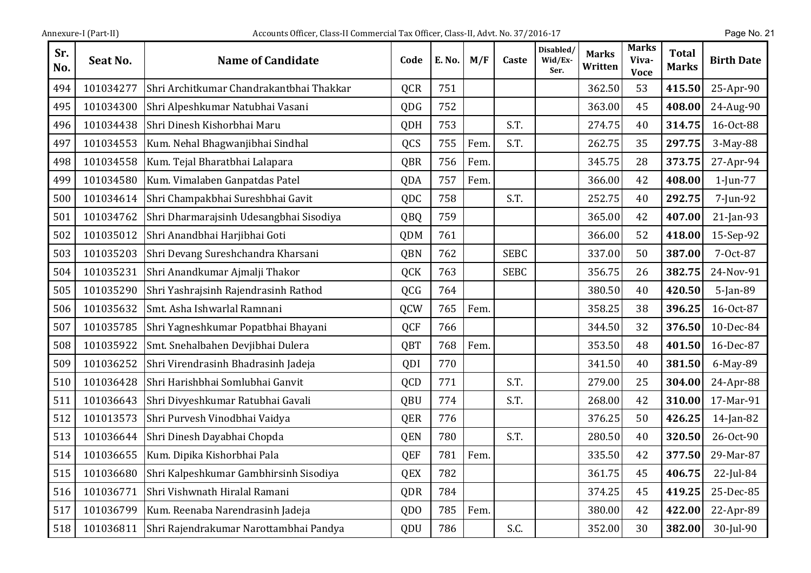| Sr.<br>No. | Seat No.  | <b>Name of Candidate</b>                 | Code            | E. No. | M/F  | Caste       | Disabled/<br>Wid/Ex-<br>Ser. | <b>Marks</b><br>Written | <b>Marks</b><br>Viva-<br><b>Voce</b> | <b>Total</b><br><b>Marks</b> | <b>Birth Date</b> |
|------------|-----------|------------------------------------------|-----------------|--------|------|-------------|------------------------------|-------------------------|--------------------------------------|------------------------------|-------------------|
| 494        | 101034277 | Shri Architkumar Chandrakantbhai Thakkar | QCR             | 751    |      |             |                              | 362.50                  | 53                                   | 415.50                       | 25-Apr-90         |
| 495        | 101034300 | Shri Alpeshkumar Natubhai Vasani         | <b>QDG</b>      | 752    |      |             |                              | 363.00                  | 45                                   | 408.00                       | 24-Aug-90         |
| 496        | 101034438 | Shri Dinesh Kishorbhai Maru              | QDH             | 753    |      | S.T.        |                              | 274.75                  | 40                                   | 314.75                       | 16-Oct-88         |
| 497        | 101034553 | Kum. Nehal Bhagwanjibhai Sindhal         | QCS             | 755    | Fem. | S.T.        |                              | 262.75                  | 35                                   | 297.75                       | 3-May-88          |
| 498        | 101034558 | Kum. Tejal Bharatbhai Lalapara           | QBR             | 756    | Fem. |             |                              | 345.75                  | 28                                   | 373.75                       | 27-Apr-94         |
| 499        | 101034580 | Kum. Vimalaben Ganpatdas Patel           | QDA             | 757    | Fem. |             |                              | 366.00                  | 42                                   | 408.00                       | $1$ -Jun-77       |
| 500        | 101034614 | Shri Champakbhai Sureshbhai Gavit        | QDC             | 758    |      | S.T.        |                              | 252.75                  | 40                                   | 292.75                       | 7-Jun-92          |
| 501        | 101034762 | Shri Dharmarajsinh Udesangbhai Sisodiya  | QBQ             | 759    |      |             |                              | 365.00                  | 42                                   | 407.00                       | 21-Jan-93         |
| 502        | 101035012 | Shri Anandbhai Harjibhai Goti            | QDM             | 761    |      |             |                              | 366.00                  | 52                                   | 418.00                       | 15-Sep-92         |
| 503        | 101035203 | Shri Devang Sureshchandra Kharsani       | QBN             | 762    |      | <b>SEBC</b> |                              | 337.00                  | 50                                   | 387.00                       | 7-Oct-87          |
| 504        | 101035231 | Shri Anandkumar Ajmalji Thakor           | QCK             | 763    |      | <b>SEBC</b> |                              | 356.75                  | 26                                   | 382.75                       | 24-Nov-91         |
| 505        | 101035290 | Shri Yashrajsinh Rajendrasinh Rathod     | QCG             | 764    |      |             |                              | 380.50                  | 40                                   | 420.50                       | 5-Jan-89          |
| 506        | 101035632 | Smt. Asha Ishwarlal Ramnani              | QCW             | 765    | Fem. |             |                              | 358.25                  | 38                                   | 396.25                       | 16-Oct-87         |
| 507        | 101035785 | Shri Yagneshkumar Popatbhai Bhayani      | QCF             | 766    |      |             |                              | 344.50                  | 32                                   | 376.50                       | 10-Dec-84         |
| 508        | 101035922 | Smt. Snehalbahen Devjibhai Dulera        | QBT             | 768    | Fem. |             |                              | 353.50                  | 48                                   | 401.50                       | 16-Dec-87         |
| 509        | 101036252 | Shri Virendrasinh Bhadrasinh Jadeja      | QDI             | 770    |      |             |                              | 341.50                  | 40                                   | 381.50                       | 6-May-89          |
| 510        | 101036428 | Shri Harishbhai Somlubhai Ganvit         | QCD             | 771    |      | S.T.        |                              | 279.00                  | 25                                   | 304.00                       | 24-Apr-88         |
| 511        | 101036643 | Shri Divyeshkumar Ratubhai Gavali        | QBU             | 774    |      | S.T.        |                              | 268.00                  | 42                                   | 310.00                       | 17-Mar-91         |
| 512        | 101013573 | Shri Purvesh Vinodbhai Vaidya            | QER             | 776    |      |             |                              | 376.25                  | 50                                   | 426.25                       | 14-Jan-82         |
| 513        | 101036644 | Shri Dinesh Dayabhai Chopda              | QEN             | 780    |      | S.T.        |                              | 280.50                  | 40                                   | 320.50                       | 26-Oct-90         |
| 514        | 101036655 | Kum. Dipika Kishorbhai Pala              | <b>QEF</b>      | 781    | Fem. |             |                              | 335.50                  | 42                                   | 377.50                       | 29-Mar-87         |
| 515        | 101036680 | Shri Kalpeshkumar Gambhirsinh Sisodiya   | QEX             | 782    |      |             |                              | 361.75                  | 45                                   | 406.75                       | $22$ -Jul-84      |
| 516        | 101036771 | Shri Vishwnath Hiralal Ramani            | QDR             | 784    |      |             |                              | 374.25                  | 45                                   | 419.25                       | 25-Dec-85         |
| 517        | 101036799 | Kum. Reenaba Narendrasinh Jadeja         | QD <sub>0</sub> | 785    | Fem. |             |                              | 380.00                  | 42                                   | 422.00                       | 22-Apr-89         |
| 518        | 101036811 | Shri Rajendrakumar Narottambhai Pandya   | QDU             | 786    |      | S.C.        |                              | 352.00                  | 30                                   | 382.00                       | 30-Jul-90         |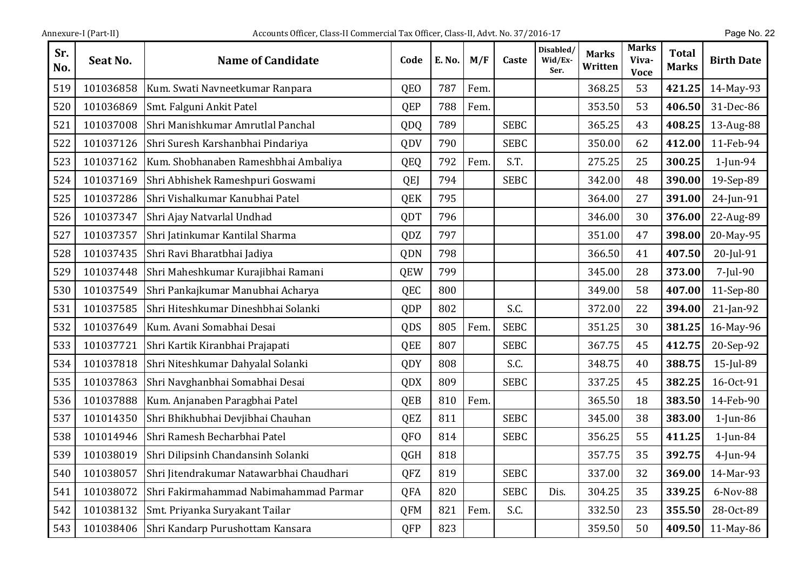| Sr.<br>No. | Seat No.  | <b>Name of Candidate</b>                 | Code            | E. No. | M/F  | Caste       | Disabled/<br>Wid/Ex-<br>Ser. | Marks<br>Written | Marks<br>Viva-<br><b>Voce</b> | <b>Total</b><br><b>Marks</b> | <b>Birth Date</b> |
|------------|-----------|------------------------------------------|-----------------|--------|------|-------------|------------------------------|------------------|-------------------------------|------------------------------|-------------------|
| 519        | 101036858 | Kum. Swati Navneetkumar Ranpara          | QEO             | 787    | Fem. |             |                              | 368.25           | 53                            | 421.25                       | 14-May-93         |
| 520        | 101036869 | Smt. Falguni Ankit Patel                 | QEP             | 788    | Fem. |             |                              | 353.50           | 53                            | 406.50                       | 31-Dec-86         |
| 521        | 101037008 | Shri Manishkumar Amrutlal Panchal        | QDQ             | 789    |      | <b>SEBC</b> |                              | 365.25           | 43                            | 408.25                       | 13-Aug-88         |
| 522        | 101037126 | Shri Suresh Karshanbhai Pindariya        | QDV             | 790    |      | <b>SEBC</b> |                              | 350.00           | 62                            | 412.00                       | 11-Feb-94         |
| 523        | 101037162 | Kum. Shobhanaben Rameshbhai Ambaliya     | <b>QEQ</b>      | 792    | Fem. | S.T.        |                              | 275.25           | 25                            | 300.25                       | $1$ -Jun-94       |
| 524        | 101037169 | Shri Abhishek Rameshpuri Goswami         | <b>QEJ</b>      | 794    |      | <b>SEBC</b> |                              | 342.00           | 48                            | 390.00                       | 19-Sep-89         |
| 525        | 101037286 | Shri Vishalkumar Kanubhai Patel          | <b>QEK</b>      | 795    |      |             |                              | 364.00           | 27                            | 391.00                       | 24-Jun-91         |
| 526        | 101037347 | Shri Ajay Natvarlal Undhad               | QDT             | 796    |      |             |                              | 346.00           | 30                            | 376.00                       | 22-Aug-89         |
| 527        | 101037357 | Shri Jatinkumar Kantilal Sharma          | QDZ             | 797    |      |             |                              | 351.00           | 47                            | 398.00                       | 20-May-95         |
| 528        | 101037435 | Shri Ravi Bharatbhai Jadiya              | QDN             | 798    |      |             |                              | 366.50           | 41                            | 407.50                       | 20-Jul-91         |
| 529        | 101037448 | Shri Maheshkumar Kurajibhai Ramani       | <b>QEW</b>      | 799    |      |             |                              | 345.00           | 28                            | 373.00                       | 7-Jul-90          |
| 530        | 101037549 | Shri Pankajkumar Manubhai Acharya        | QEC             | 800    |      |             |                              | 349.00           | 58                            | 407.00                       | 11-Sep-80         |
| 531        | 101037585 | Shri Hiteshkumar Dineshbhai Solanki      | QDP             | 802    |      | S.C.        |                              | 372.00           | 22                            | 394.00                       | $21$ -Jan-92      |
| 532        | 101037649 | Kum. Avani Somabhai Desai                | QDS             | 805    | Fem. | <b>SEBC</b> |                              | 351.25           | 30                            | 381.25                       | 16-May-96         |
| 533        | 101037721 | Shri Kartik Kiranbhai Prajapati          | QEE             | 807    |      | <b>SEBC</b> |                              | 367.75           | 45                            | 412.75                       | 20-Sep-92         |
| 534        | 101037818 | Shri Niteshkumar Dahyalal Solanki        | <b>QDY</b>      | 808    |      | S.C.        |                              | 348.75           | 40                            | 388.75                       | 15-Jul-89         |
| 535        | 101037863 | Shri Navghanbhai Somabhai Desai          | QDX             | 809    |      | <b>SEBC</b> |                              | 337.25           | 45                            | 382.25                       | 16-Oct-91         |
| 536        | 101037888 | Kum. Anjanaben Paragbhai Patel           | QEB             | 810    | Fem. |             |                              | 365.50           | 18                            | 383.50                       | 14-Feb-90         |
| 537        | 101014350 | Shri Bhikhubhai Devjibhai Chauhan        | QEZ             | 811    |      | <b>SEBC</b> |                              | 345.00           | 38                            | 383.00                       | $1$ -Jun-86       |
| 538        | 101014946 | Shri Ramesh Becharbhai Patel             | QF <sub>O</sub> | 814    |      | <b>SEBC</b> |                              | 356.25           | 55                            | 411.25                       | $1$ -Jun-84       |
| 539        | 101038019 | Shri Dilipsinh Chandansinh Solanki       | <b>QGH</b>      | 818    |      |             |                              | 357.75           | 35                            | 392.75                       | $4$ -Jun-94       |
| 540        | 101038057 | Shri Jitendrakumar Natawarbhai Chaudhari | QFZ             | 819    |      | <b>SEBC</b> |                              | 337.00           | 32                            | 369.00                       | 14-Mar-93         |
| 541        | 101038072 | Shri Fakirmahammad Nabimahammad Parmar   | QFA             | 820    |      | <b>SEBC</b> | Dis.                         | 304.25           | 35                            | 339.25                       | 6-Nov-88          |
| 542        | 101038132 | Smt. Priyanka Suryakant Tailar           | <b>QFM</b>      | 821    | Fem. | S.C.        |                              | 332.50           | 23                            | 355.50                       | 28-Oct-89         |
| 543        | 101038406 | Shri Kandarp Purushottam Kansara         | QFP             | 823    |      |             |                              | 359.50           | 50                            | 409.50                       | 11-May-86         |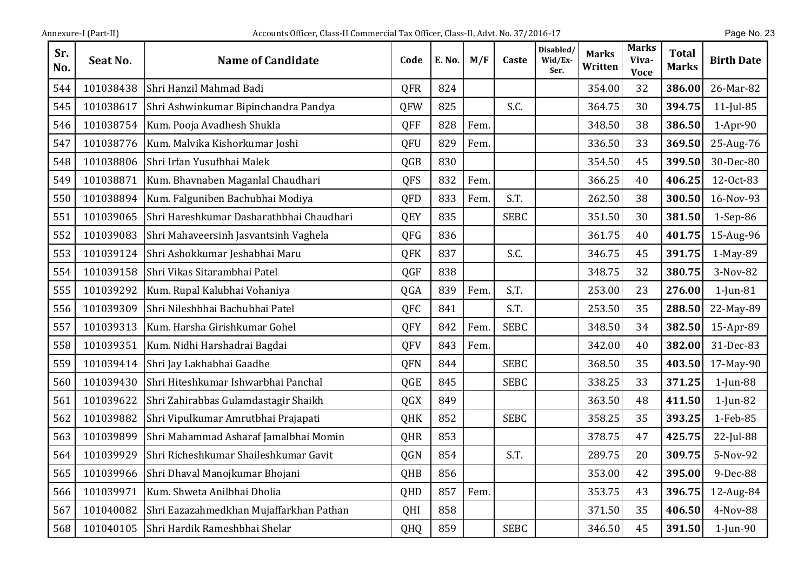| Annexure-I (Part-II) |  |
|----------------------|--|
|                      |  |

| Sr.<br>No. | Seat No.  | <b>Name of Candidate</b>                 | Code       | <b>E. No.</b> | M/F  | Caste       | Disabled/<br>Wid/Ex-<br>Ser. | <b>Marks</b><br>Written | <b>Marks</b><br>Viva-<br><b>Voce</b> | <b>Total</b><br><b>Marks</b> | <b>Birth Date</b> |
|------------|-----------|------------------------------------------|------------|---------------|------|-------------|------------------------------|-------------------------|--------------------------------------|------------------------------|-------------------|
| 544        | 101038438 | Shri Hanzil Mahmad Badi                  | <b>QFR</b> | 824           |      |             |                              | 354.00                  | 32                                   | 386.00                       | 26-Mar-82         |
| 545        | 101038617 | Shri Ashwinkumar Bipinchandra Pandya     | <b>QFW</b> | 825           |      | S.C.        |                              | 364.75                  | 30                                   | 394.75                       | $11$ -Jul-85      |
| 546        | 101038754 | Kum. Pooja Avadhesh Shukla               | QFF        | 828           | Fem. |             |                              | 348.50                  | 38                                   | 386.50                       | $1-Apr-90$        |
| 547        | 101038776 | Kum. Malvika Kishorkumar Joshi           | QFU        | 829           | Fem. |             |                              | 336.50                  | 33                                   | 369.50                       | 25-Aug-76         |
| 548        | 101038806 | Shri Irfan Yusufbhai Malek               | QGB        | 830           |      |             |                              | 354.50                  | 45                                   | 399.50                       | 30-Dec-80         |
| 549        | 101038871 | Kum. Bhavnaben Maganlal Chaudhari        | <b>QFS</b> | 832           | Fem. |             |                              | 366.25                  | 40                                   | 406.25                       | 12-Oct-83         |
| 550        | 101038894 | Kum. Falguniben Bachubhai Modiya         | QFD        | 833           | Fem. | S.T.        |                              | 262.50                  | 38                                   | 300.50                       | 16-Nov-93         |
| 551        | 101039065 | Shri Hareshkumar Dasharathbhai Chaudhari | QEY        | 835           |      | <b>SEBC</b> |                              | 351.50                  | 30                                   | 381.50                       | $1-Sep-86$        |
| 552        | 101039083 | Shri Mahaveersinh Jasvantsinh Vaghela    | QFG        | 836           |      |             |                              | 361.75                  | 40                                   | 401.75                       | 15-Aug-96         |
| 553        | 101039124 | Shri Ashokkumar Jeshabhai Maru           | QFK        | 837           |      | S.C.        |                              | 346.75                  | 45                                   | 391.75                       | 1-May-89          |
| 554        | 101039158 | Shri Vikas Sitarambhai Patel             | QGF        | 838           |      |             |                              | 348.75                  | 32                                   | 380.75                       | 3-Nov-82          |
| 555        | 101039292 | Kum. Rupal Kalubhai Vohaniya             | QGA        | 839           | Fem. | S.T.        |                              | 253.00                  | 23                                   | 276.00                       | $1$ -Jun-81       |
| 556        | 101039309 | Shri Nileshbhai Bachubhai Patel          | QFC        | 841           |      | S.T.        |                              | 253.50                  | 35                                   | 288.50                       | 22-May-89         |
| 557        | 101039313 | Kum. Harsha Girishkumar Gohel            | QFY        | 842           | Fem. | <b>SEBC</b> |                              | 348.50                  | 34                                   | 382.50                       | 15-Apr-89         |
| 558        | 101039351 | Kum. Nidhi Harshadrai Bagdai             | QFV        | 843           | Fem. |             |                              | 342.00                  | 40                                   | 382.00                       | 31-Dec-83         |
| 559        | 101039414 | Shri Jay Lakhabhai Gaadhe                | <b>QFN</b> | 844           |      | <b>SEBC</b> |                              | 368.50                  | 35                                   | 403.50                       | 17-May-90         |
| 560        | 101039430 | Shri Hiteshkumar Ishwarbhai Panchal      | QGE        | 845           |      | <b>SEBC</b> |                              | 338.25                  | 33                                   | 371.25                       | $1$ -Jun-88       |
| 561        | 101039622 | Shri Zahirabbas Gulamdastagir Shaikh     | QGX        | 849           |      |             |                              | 363.50                  | 48                                   | 411.50                       | $1$ -Jun-82       |
| 562        | 101039882 | Shri Vipulkumar Amrutbhai Prajapati      | <b>QHK</b> | 852           |      | <b>SEBC</b> |                              | 358.25                  | 35                                   | 393.25                       | 1-Feb-85          |
| 563        | 101039899 | Shri Mahammad Asharaf Jamalbhai Momin    | QHR        | 853           |      |             |                              | 378.75                  | 47                                   | 425.75                       | 22-Jul-88         |
| 564        | 101039929 | Shri Richeshkumar Shaileshkumar Gavit    | QGN        | 854           |      | S.T.        |                              | 289.75                  | 20                                   | 309.75                       | 5-Nov-92          |
| 565        | 101039966 | Shri Dhaval Manojkumar Bhojani           | QHB        | 856           |      |             |                              | 353.00                  | 42                                   | 395.00                       | 9-Dec-88          |
| 566        | 101039971 | Kum. Shweta Anilbhai Dholia              | QHD        | 857           | Fem. |             |                              | 353.75                  | 43                                   | 396.75                       | 12-Aug-84         |
| 567        | 101040082 | Shri Eazazahmedkhan Mujaffarkhan Pathan  | QHI        | 858           |      |             |                              | 371.50                  | 35                                   | 406.50                       | 4-Nov-88          |
| 568        | 101040105 | Shri Hardik Rameshbhai Shelar            | QHQ        | 859           |      | <b>SEBC</b> |                              | 346.50                  | 45                                   | 391.50                       | $1$ -Jun-90       |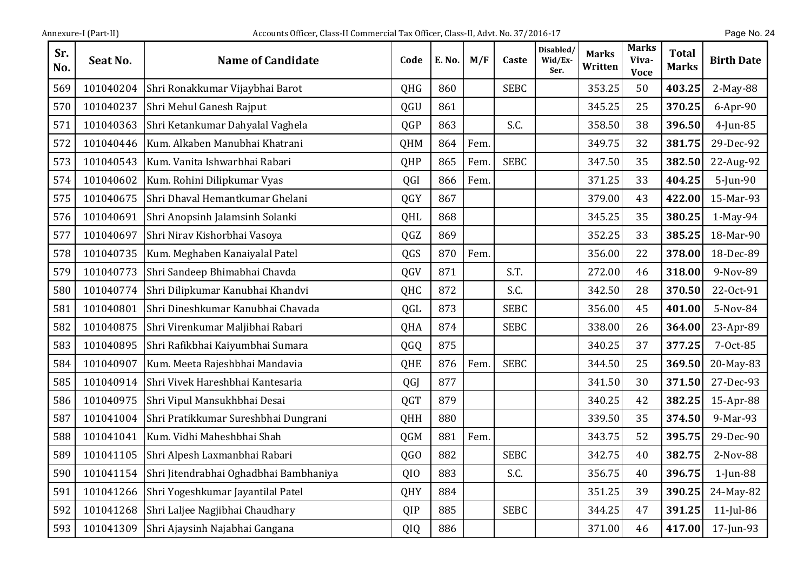| Sr.<br>No. | Seat No.  | <b>Name of Candidate</b>               | Code            | E. No. | M/F  | Caste       | Disabled/<br>Wid/Ex-<br>Ser. | <b>Marks</b><br>Written | <b>Marks</b><br>Viva-<br><b>Voce</b> | <b>Total</b><br><b>Marks</b> | <b>Birth Date</b> |
|------------|-----------|----------------------------------------|-----------------|--------|------|-------------|------------------------------|-------------------------|--------------------------------------|------------------------------|-------------------|
| 569        | 101040204 | Shri Ronakkumar Vijaybhai Barot        | QHG             | 860    |      | <b>SEBC</b> |                              | 353.25                  | 50                                   | 403.25                       | 2-May-88          |
| 570        | 101040237 | Shri Mehul Ganesh Rajput               | QGU             | 861    |      |             |                              | 345.25                  | 25                                   | 370.25                       | $6$ -Apr-90       |
| 571        | 101040363 | Shri Ketankumar Dahyalal Vaghela       | QGP             | 863    |      | S.C.        |                              | 358.50                  | 38                                   | 396.50                       | $4$ -Jun-85       |
| 572        | 101040446 | Kum. Alkaben Manubhai Khatrani         | QHM             | 864    | Fem. |             |                              | 349.75                  | 32                                   | 381.75                       | 29-Dec-92         |
| 573        | 101040543 | Kum. Vanita Ishwarbhai Rabari          | QHP             | 865    | Fem. | <b>SEBC</b> |                              | 347.50                  | 35                                   | 382.50                       | 22-Aug-92         |
| 574        | 101040602 | Kum. Rohini Dilipkumar Vyas            | QGI             | 866    | Fem. |             |                              | 371.25                  | 33                                   | 404.25                       | 5-Jun-90          |
| 575        | 101040675 | Shri Dhaval Hemantkumar Ghelani        | <b>QGY</b>      | 867    |      |             |                              | 379.00                  | 43                                   | 422.00                       | 15-Mar-93         |
| 576        | 101040691 | Shri Anopsinh Jalamsinh Solanki        | QHL             | 868    |      |             |                              | 345.25                  | 35                                   | 380.25                       | $1-May-94$        |
| 577        | 101040697 | Shri Nirav Kishorbhai Vasoya           | QGZ             | 869    |      |             |                              | 352.25                  | 33                                   | 385.25                       | 18-Mar-90         |
| 578        | 101040735 | Kum. Meghaben Kanaiyalal Patel         | QGS             | 870    | Fem. |             |                              | 356.00                  | 22                                   | 378.00                       | 18-Dec-89         |
| 579        | 101040773 | Shri Sandeep Bhimabhai Chavda          | QGV             | 871    |      | S.T.        |                              | 272.00                  | 46                                   | 318.00                       | 9-Nov-89          |
| 580        | 101040774 | Shri Dilipkumar Kanubhai Khandvi       | QHC             | 872    |      | S.C.        |                              | 342.50                  | 28                                   | 370.50                       | 22-Oct-91         |
| 581        | 101040801 | Shri Dineshkumar Kanubhai Chavada      | QGL             | 873    |      | <b>SEBC</b> |                              | 356.00                  | 45                                   | 401.00                       | 5-Nov-84          |
| 582        | 101040875 | Shri Virenkumar Maljibhai Rabari       | QHA             | 874    |      | <b>SEBC</b> |                              | 338.00                  | 26                                   | 364.00                       | 23-Apr-89         |
| 583        | 101040895 | Shri Rafikbhai Kaiyumbhai Sumara       | QGQ             | 875    |      |             |                              | 340.25                  | 37                                   | 377.25                       | 7-Oct-85          |
| 584        | 101040907 | Kum. Meeta Rajeshbhai Mandavia         | QHE             | 876    | Fem. | <b>SEBC</b> |                              | 344.50                  | 25                                   | 369.50                       | 20-May-83         |
| 585        | 101040914 | Shri Vivek Hareshbhai Kantesaria       | QGJ             | 877    |      |             |                              | 341.50                  | 30                                   | 371.50                       | 27-Dec-93         |
| 586        | 101040975 | Shri Vipul Mansukhbhai Desai           | QGT             | 879    |      |             |                              | 340.25                  | 42                                   | 382.25                       | 15-Apr-88         |
| 587        | 101041004 | Shri Pratikkumar Sureshbhai Dungrani   | QHH             | 880    |      |             |                              | 339.50                  | 35                                   | 374.50                       | 9-Mar-93          |
| 588        | 101041041 | Kum. Vidhi Maheshbhai Shah             | <b>QGM</b>      | 881    | Fem. |             |                              | 343.75                  | 52                                   | 395.75                       | 29-Dec-90         |
| 589        | 101041105 | Shri Alpesh Laxmanbhai Rabari          | QG <sub>O</sub> | 882    |      | <b>SEBC</b> |                              | 342.75                  | 40                                   | 382.75                       | 2-Nov-88          |
| 590        | 101041154 | Shri Jitendrabhai Oghadbhai Bambhaniya | QIO             | 883    |      | S.C.        |                              | 356.75                  | 40                                   | 396.75                       | $1$ -Jun-88       |
| 591        | 101041266 | Shri Yogeshkumar Jayantilal Patel      | QHY             | 884    |      |             |                              | 351.25                  | 39                                   | 390.25                       | 24-May-82         |
| 592        | 101041268 | Shri Laljee Nagjibhai Chaudhary        | QIP             | 885    |      | <b>SEBC</b> |                              | 344.25                  | 47                                   | 391.25                       | $11$ -Jul-86      |
| 593        | 101041309 | Shri Ajaysinh Najabhai Gangana         | QIQ             | 886    |      |             |                              | 371.00                  | 46                                   | 417.00                       | 17-Jun-93         |